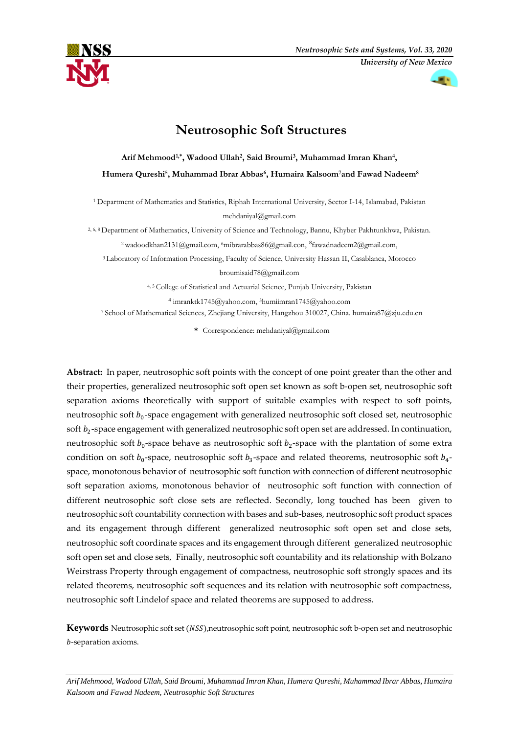



# **Neutrosophic Soft Structures**

**Arif Mehmood1,\* , Wadood Ullah<sup>2</sup> , Said Broumi<sup>3</sup> , Muhammad Imran Khan<sup>4</sup> , Humera Qureshi<sup>5</sup> , Muhammad Ibrar Abbas<sup>6</sup> , Humaira Kalsoom7and Fawad Nadeem<sup>8</sup>**

<sup>1</sup> Department of Mathematics and Statistics, Riphah International University, Sector I-14, Islamabad, Pakistan [mehdaniyal@gmail.com](mailto:mehdaniyal@gmail.com)

2, 6, 8 Department of Mathematics, University of Science and Technology, Bannu, Khyber Pakhtunkhwa, Pakistan.

<sup>2</sup>wadoodkhan2131@gmail.com, <sup>6</sup>mibrarabbas86@gmail.con, <sup>8</sup>fawadnadeem2@gmail.com,

<sup>3</sup> Laboratory of Information Processing, Faculty of Science, University Hassan II, Casablanca, Morocco

broumisaid78@gmail.com

4, <sup>5</sup> College of Statistical and Actuarial Science, Punjab University, Pakistan

4 imranktk1745@yahoo.com, <sup>5</sup>[humiimran1745@yahoo.com](mailto:humiimran1745@yahoo.com)

<sup>7</sup> School of Mathematical Sciences, Zhejiang University, Hangzhou 310027, China. humaira87@zju.edu.cn

**\*** Correspondence: mehdaniyal@gmail.com

**Abstract:** In paper, neutrosophic soft points with the concept of one point greater than the other and their properties, generalized neutrosophic soft open set known as soft b-open set, neutrosophic soft separation axioms theoretically with support of suitable examples with respect to soft points, neutrosophic soft  $b_0$ -space engagement with generalized neutrosophic soft closed set, neutrosophic soft  $b_2$ -space engagement with generalized neutrosophic soft open set are addressed. In continuation, neutrosophic soft  $b_0$ -space behave as neutrosophic soft  $b_2$ -space with the plantation of some extra condition on soft  $b_0$ -space, neutrosophic soft  $b_3$ -space and related theorems, neutrosophic soft  $b_4$ space, monotonous behavior of neutrosophic soft function with connection of different neutrosophic soft separation axioms, monotonous behavior of neutrosophic soft function with connection of different neutrosophic soft close sets are reflected. Secondly, long touched has been given to neutrosophic soft countability connection with bases and sub-bases, neutrosophic soft product spaces and its engagement through different generalized neutrosophic soft open set and close sets, neutrosophic soft coordinate spaces and its engagement through different generalized neutrosophic soft open set and close sets, Finally, neutrosophic soft countability and its relationship with Bolzano Weirstrass Property through engagement of compactness, neutrosophic soft strongly spaces and its related theorems, neutrosophic soft sequences and its relation with neutrosophic soft compactness, neutrosophic soft Lindelof space and related theorems are supposed to address.

**Keywords** Neutrosophic soft set (NSS), neutrosophic soft point, neutrosophic soft b-open set and neutrosophic -separation axioms.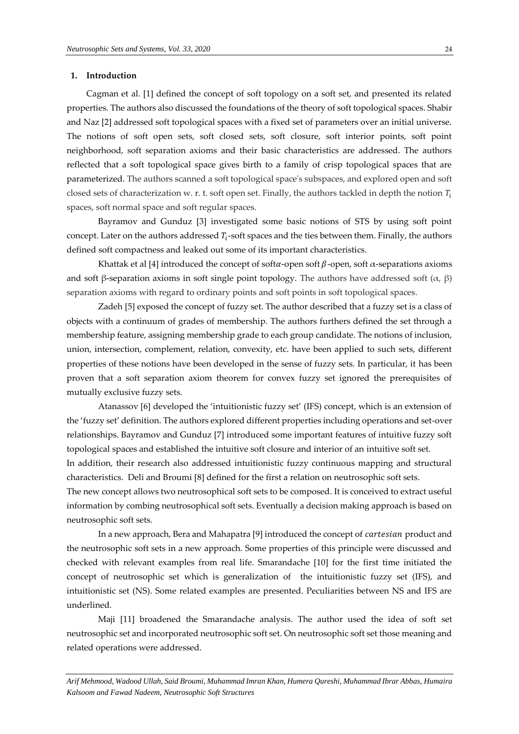#### **1. Introduction**

Cagman et al. [1] defined the concept of soft topology on a soft set, and presented its related properties. The authors also discussed the foundations of the theory of soft topological spaces. Shabir and Naz [2] addressed soft topological spaces with a fixed set of parameters over an initial universe. The notions of soft open sets, soft closed sets, soft closure, soft interior points, soft point neighborhood, soft separation axioms and their basic characteristics are addressed. The authors reflected that a soft topological space gives birth to a family of crisp topological spaces that are parameterized. The authors scanned a soft topological space's subspaces, and explored open and soft closed sets of characterization w. r. t. soft open set. Finally, the authors tackled in depth the notion  $T_i$ spaces, soft normal space and soft regular spaces.

Bayramov and Gunduz [3] investigated some basic notions of STS by using soft point concept. Later on the authors addressed  $T_i$ -soft spaces and the ties between them. Finally, the authors defined soft compactness and leaked out some of its important characteristics.

Khattak et al [4] introduced the concept of softa-open soft  $\beta$ -open, soft  $\alpha$ -separations axioms and soft β-separation axioms in soft single point topology. The authors have addressed soft  $(α, β)$ separation axioms with regard to ordinary points and soft points in soft topological spaces.

Zadeh [5] exposed the concept of fuzzy set. The author described that a fuzzy set is a class of objects with a continuum of grades of membership. The authors furthers defined the set through a membership feature, assigning membership grade to each group candidate. The notions of inclusion, union, intersection, complement, relation, convexity, etc. have been applied to such sets, different properties of these notions have been developed in the sense of fuzzy sets. In particular, it has been proven that a soft separation axiom theorem for convex fuzzy set ignored the prerequisites of mutually exclusive fuzzy sets.

Atanassov [6] developed the 'intuitionistic fuzzy set' (IFS) concept, which is an extension of the 'fuzzy set' definition. The authors explored different properties including operations and set-over relationships. Bayramov and Gunduz [7] introduced some important features of intuitive fuzzy soft topological spaces and established the intuitive soft closure and interior of an intuitive soft set.

In addition, their research also addressed intuitionistic fuzzy continuous mapping and structural characteristics. Deli and Broumi [8] defined for the first a relation on neutrosophic soft sets.

The new concept allows two neutrosophical soft sets to be composed. It is conceived to extract useful information by combing neutrosophical soft sets. Eventually a decision making approach is based on neutrosophic soft sets.

In a new approach, Bera and Mahapatra [9] introduced the concept of *cartesian* product and the neutrosophic soft sets in a new approach. Some properties of this principle were discussed and checked with relevant examples from real life. Smarandache [10] for the first time initiated the concept of neutrosophic set which is generalization of the intuitionistic fuzzy set (IFS), and intuitionistic set (NS). Some related examples are presented. Peculiarities between NS and IFS are underlined.

Maji [11] broadened the Smarandache analysis. The author used the idea of soft set neutrosophic set and incorporated neutrosophic soft set. On neutrosophic soft set those meaning and related operations were addressed.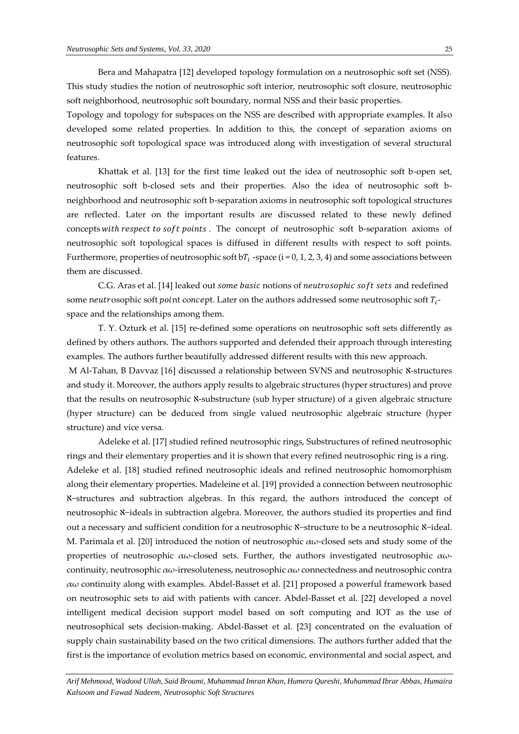Bera and Mahapatra [12] developed topology formulation on a neutrosophic soft set (NSS). This study studies the notion of neutrosophic soft interior, neutrosophic soft closure, neutrosophic soft neighborhood, neutrosophic soft boundary, normal NSS and their basic properties.

Topology and topology for subspaces on the NSS are described with appropriate examples. It also developed some related properties. In addition to this, the concept of separation axioms on neutrosophic soft topological space was introduced along with investigation of several structural features.

Khattak et al. [13] for the first time leaked out the idea of neutrosophic soft b-open set, neutrosophic soft b-closed sets and their properties. Also the idea of neutrosophic soft bneighborhood and neutrosophic soft b-separation axioms in neutrosophic soft topological structures are reflected. Later on the important results are discussed related to these newly defined concepts with respect to soft points. The concept of neutrosophic soft b-separation axioms of neutrosophic soft topological spaces is diffused in different results with respect to soft points. Furthermore, properties of neutrosophic soft b $T_i$  -space (i = 0, 1, 2, 3, 4) and some associations between them are discussed.

C.G. Aras et al. [14] leaked out some basic notions of neutrosophic soft sets and redefined some n $\emph{eutrosophic}$  soft  $\emph{point concept}$ . Later on the authors addressed some neutrosophic soft  $T_i$ space and the relationships among them.

T. Y. Ozturk et al. [15] re-defined some operations on neutrosophic soft sets differently as defined by others authors. The authors supported and defended their approach through interesting examples. The authors further beautifully addressed different results with this new approach. M Al-Tahan, B Davvaz [16] discussed a relationship between SVNS and neutrosophic N-structures and study it. Moreover, the authors apply results to algebraic structures (hyper structures) and prove that the results on neutrosophic *N*-substructure (sub hyper structure) of a given algebraic structure (hyper structure) can be deduced from single valued neutrosophic algebraic structure (hyper structure) and vice versa.

Adeleke et al. [17] studied refined neutrosophic rings, Substructures of refined neutrosophic rings and their elementary properties and it is shown that every refined neutrosophic ring is a ring. Adeleke et al. [18] studied refined neutrosophic ideals and refined neutrosophic homomorphism along their elementary properties. Madeleine et al. [19] provided a connection between neutrosophic ℵ−structures and subtraction algebras. In this regard, the authors introduced the concept of neutrosophic ℵ−ideals in subtraction algebra. Moreover, the authors studied its properties and find out a necessary and sufficient condition for a neutrosophic N−structure to be a neutrosophic N−ideal. M. Parimala et al. [20] introduced the notion of neutrosophic  $\alpha\omega$ -closed sets and study some of the properties of neutrosophic  $\alpha\omega$ -closed sets. Further, the authors investigated neutrosophic  $\alpha\omega$ continuity, neutrosophic  $\alpha\omega$ -irresoluteness, neutrosophic  $\alpha\omega$  connectedness and neutrosophic contra αω continuity along with examples. Abdel-Basset et al. [21] proposed a powerful framework based on neutrosophic sets to aid with patients with cancer. Abdel-Basset et al. [22] developed a novel intelligent medical decision support model based on soft computing and IOT as the use of neutrosophical sets decision-making. Abdel-Basset et al. [23] concentrated on the evaluation of supply chain sustainability based on the two critical dimensions. The authors further added that the first is the importance of evolution metrics based on economic, environmental and social aspect, and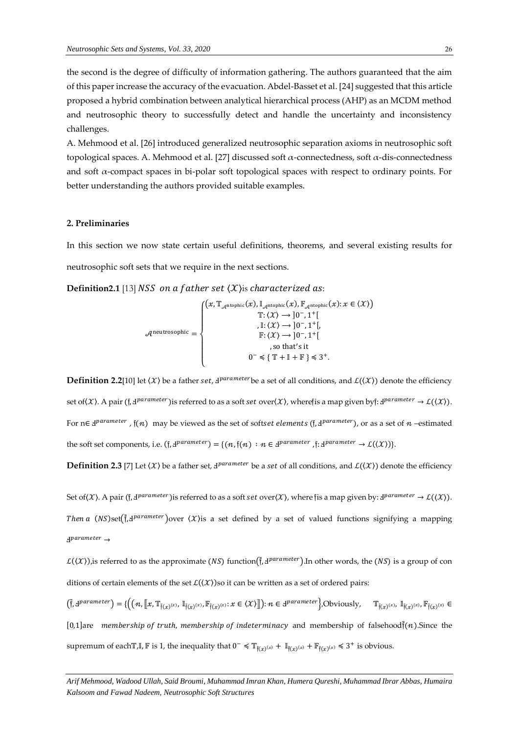the second is the degree of difficulty of information gathering. The authors guaranteed that the aim of this paper increase the accuracy of the evacuation. Abdel-Basset et al. [24] suggested that this article proposed a hybrid combination between analytical hierarchical process (AHP) as an MCDM method and neutrosophic theory to successfully detect and handle the uncertainty and inconsistency challenges.

A. Mehmood et al. [26] introduced generalized neutrosophic separation axioms in neutrosophic soft topological spaces. A. Mehmood et al. [27] discussed soft α-connectedness, soft α-dis-connectedness and soft  $\alpha$ -compact spaces in bi-polar soft topological spaces with respect to ordinary points. For better understanding the authors provided suitable examples.

## **2. Preliminaries**

In this section we now state certain useful definitions, theorems, and several existing results for neutrosophic soft sets that we require in the next sections.

**Definition2.1** [13] NSS on a father set  $(X)$  is characterized as:

$$
\mathcal{A}^{\text{neutrosophic}} = \begin{cases} \n\left(x, \mathbb{T}_{\mathcal{A}^{\text{ntophic}}}(x), \mathbb{I}_{\mathcal{A}^{\text{ntophic}}}(x), \mathbb{F}_{\mathcal{A}^{\text{ntophic}}}(x): x \in \langle \mathcal{X} \rangle\right) \\ \n\begin{array}{c} \n\mathbb{T}: \langle \mathcal{X} \rangle \rightarrow ]0^-, 1^+[ \\ \n\mathbb{F}: \langle \mathcal{X} \rangle \rightarrow ]0^-, 1^+[ \\ \n\mathbb{F}: \langle \mathcal{X} \rangle \rightarrow ]0^-, 1^+[ \\ \n\end{array} \\ \n\text{so that's it} \\ \n0^- \leq \{ \mathbb{T} + \mathbb{I} + \mathbb{F} \} \leq 3^+ .\n\end{cases}
$$

**Definition 2.2**[10] let  $\langle X \rangle$  be a father set,  $d^{parameter}$  be a set of all conditions, and  $\mathcal{L}(\langle X \rangle)$  denote the efficiency set of(X). A pair (f, d<sup>parameter</sup>)is referred to as a soft set over(X), wherefis a map given byf: d<sup>parameter</sup>  $\to$  L((X)). For  $n \in \mathcal{J}^{parameter}$  ,  $\mathfrak{f}(n)$  may be viewed as the set of softset elements (f,  $\mathcal{J}^{parameter}$  ), or as a set of  $n$  -estimated the soft set components, i.e.  $(f, d^{parameter}) = \{(n, f(n) : n \in d^{parameter}, f : d^{parameter} \rightarrow \mathcal{L}(\langle \mathcal{X} \rangle)\}.$ 

 $\bf{Definition 2.3}$  [7] Let  $\langle X\rangle$  be a father set,  $4^{parameter}$  be a s*et* of all conditions, and  $\cal{L}(\langle X\rangle)$  denote the efficiency

Set of(X). A pair (f, d<sup>parameter</sup>)is referred to as a soft set over(X), where fis a map given by: d<sup>parameter</sup>  $\to$  L((X)). Then a (NS)set( $\tilde{f}$ , d<sup>parameter</sup>)over  $\langle X \rangle$ is a set defined by a set of valued functions signifying a mapping Ⅎ →

 $\mathcal{L}(\mathcal{X})$ ), is referred to as the approximate (NS) function( $\tilde{f}$ ,  $d^{parameter}$ ). In other words, the (NS) is a group of con ditions of certain elements of the set  $\mathcal{L}(\langle \mathcal{X} \rangle)$ so it can be written as a set of ordered pairs:

 $\left(\tilde{\mathfrak{f}},\mathbf{d}^{parameter}\right)=\{\left(\left(n,\left[\!\left[x,\mathbb{T}_{\tilde{\mathfrak{f}}(x)}^{(x)},\mathbb{I}_{\tilde{\mathfrak{f}}(x)}^{(x)},\mathbb{F}_{\tilde{\mathfrak{f}}(x)}^{(x)}:x\in\langle\mathcal{X}\rangle\right]\!\right)\right):n\in\mathbf{d}^{parameter}\right\}$ , Obviously,  $\mathbb{T}_{\tilde{\mathfrak{f}}(x)}^{(x)}$ ,  $\mathbb{F}_{\tilde{\mathfrak{f}}(x)}^{(x)}$ ,  $\mathbb{F}_{\tilde{\mathfrak$ [0,1] are membership of truth, membership of indeterminacy and membership of falsehood $\tilde{f}(n)$ . Since the supremum of each  $\mathbb{T}, \mathbb{I}, \mathbb{F}$  is 1, the inequality that  $0^- \leq \mathbb{T}_{\tilde{f}(x)}(x) + \mathbb{I}_{\tilde{f}(x)}(x) + \mathbb{F}_{\tilde{f}(x)}(x) \leq 3^+$  is obvious.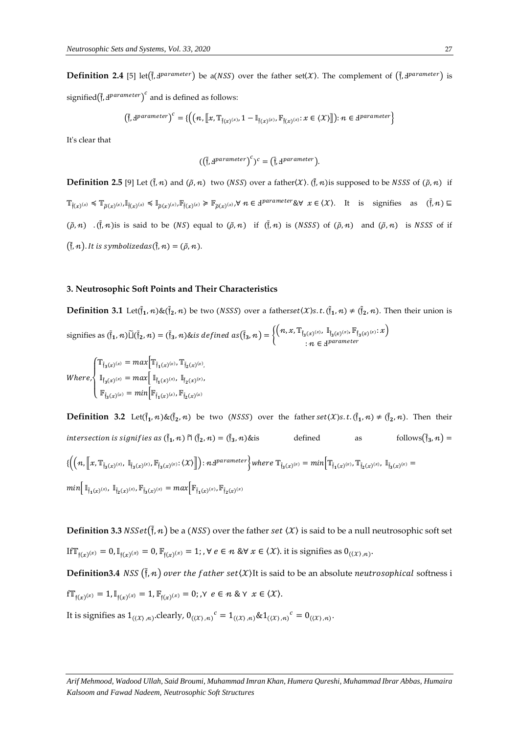**Definition 2.4** [5] let( $\tilde{f}$ ,  $d^{parameter}$ ) be a(NSS) over the father set( $X$ ). The complement of ( $\tilde{f}$ ,  $d^{parameter}$ ) is signified $(\tilde{f}, J^{parameter})^c$  and is defined as follows:

$$
\left(\tilde{\mathfrak{f}},\exists^{parameter}\right)^c=\{\left((n,\llbracket x,\mathbb{T}_{\tilde{\mathfrak{f}}(x)^{(x)}},1-\mathbb{I}_{\tilde{\mathfrak{f}}(x)^{(x)}},\mathbb{F}_{\tilde{\mathfrak{f}}(x)^{(x)}}:x\in\langle\mathcal{X}\rangle\rrbracket\right):\ n\in\mathcal{B}^{parameter}\}
$$

It's clear that

$$
((\tilde{\mathfrak{f}}, \mathfrak{d}^{parameter})^c)^c = (\tilde{\mathfrak{f}}, \mathfrak{d}^{parameter}).
$$

**Definition 2.5** [9] Let  $(\tilde{f}, n)$  and  $(\tilde{\rho}, n)$  two (NSS) over a father $(\chi)$ .  $(\tilde{f}, n)$  is supposed to be NSSS of  $(\tilde{\rho}, n)$  if  $\mathbb{T}_{\tilde{f}(x)}^{(x)}(\mathbf{x}) \leq \mathbb{T}_{\tilde{\rho}(x)}^{(x),\mathbb{I}_{\tilde{f}(x)}^{(x)}} \leq \mathbb{I}_{\tilde{\rho}(x)}^{(x),\mathbb{F}_{\tilde{f}(x)}^{(x),\mathbb{V}}(\mathbf{x})} \geq \mathbb{F}_{\tilde{\rho}(x)}^{(x),\mathbb{V}} \mathbb{\mathcal{H}} \in \mathcal{A}^{parameter} \mathcal{R} \mathcal{V} \mathcal{X} \in \langle \mathcal{X} \rangle$ . It is signifies as  $(\tilde{f}, n) \$  $(\tilde{\rho}, n)$  . ( $\tilde{\mathfrak{f}}, n$ ) is said to be (NS) equal to  $(\tilde{\rho}, n)$  if  $(\tilde{\mathfrak{f}}, n)$  is (NSSS) of  $(\tilde{\rho}, n)$  and  $(\tilde{\rho}, n)$  is NSSS of if  $(\tilde{\mathfrak{f}}, n)$ . It is symbolizedas $(\tilde{\mathfrak{f}}, n) = (\tilde{\rho}, n)$ .

#### **3. Neutrosophic Soft Points and Their Characteristics**

**Definition 3.1** Let( $\tilde{f}_1, n$ ) &( $\tilde{f}_2, n$ ) be two (*NSSS*) over a fatherset(*X*)s.t.( $\tilde{f}_1, n$ )  $\neq$  ( $\tilde{f}_2, n$ ). Then their union is signifies as  $(\tilde{\mathfrak{f}}_1, n) \tilde{\sqcup} (\tilde{\mathfrak{f}}_2, n) = (\tilde{\mathfrak{f}}_3, n)$ &is defined as $(\tilde{\mathfrak{f}}_3, n) = \left\{ \left( n, x, \mathbb{T}_{\tilde{\mathfrak{f}}_3(x)^{(x)}}, \mathbb{T}_{\tilde{\mathfrak{f}}_3(x)^{(x)}}, \mathbb{F}_{\tilde{\mathfrak{f}}_3(x)^{(x)}} : x \right) \right\}$  $:n \in \mathcal{A}^{parameter}$ 

$$
Where, \begin{cases} \mathbb{T}_{\tilde{\mathfrak{f}}_3(x)^{(x)}} = max \Big[ \mathbb{T}_{\tilde{\mathfrak{f}}_1(x)^{(x)}}, \mathbb{T}_{\tilde{\mathfrak{f}}_2(x)^{(x)}}, \\ \mathbb{I}_{\tilde{\mathfrak{f}}_3(x)^{(x)}} = max \Big[ \mathbb{I}_{\tilde{\mathfrak{f}}_1(x)^{(x)}}, \mathbb{I}_{\tilde{\mathfrak{f}}_2(x)^{(x)}}, \\ \mathbb{F}_{\tilde{\mathfrak{f}}_3(x)^{(x)}} = min \Big[ \mathbb{F}_{\tilde{\mathfrak{f}}_1(x)^{(x)}}, \mathbb{F}_{\tilde{\mathfrak{f}}_2(x)^{(x)}} \Big] \end{cases}
$$

**Definition 3.2** Let( $\tilde{f}_1, n$ ) &( $\tilde{f}_2, n$ ) be two (NSSS) over the father set(X)s.t.( $\tilde{f}_1, n$ )  $\neq$  ( $\tilde{f}_2, n$ ). Then their intersection is signifies as  $(\tilde{\mathfrak{f}}_1, n)$   $\widetilde{\sqcap}\, (\tilde{\mathfrak{f}}_2, n) = (\tilde{\mathfrak{f}}$  $(\tilde{\mathbf{f}}_3, n)$ &is defined as follows $(\tilde{\mathbf{f}}_3, n)$  =  $\{\left(\{n,\left\|x,\mathbb{T}_{\tilde{\mathfrak f}_3(x)^{(x)}},\mathbb{I}_{\tilde{\mathfrak f}_3(x)^{(x)}},\mathbb{F}_{\tilde{\mathfrak f}_3(x)^{(x)}};\langle\mathcal{X}\rangle\right\|\right):\text{$n$-}1^{parameter}\Big\} \text{ where } \mathbb{T}_{\tilde{\mathfrak f}_3(x)^{(x)}}=\text{$min$}\Big\{ \mathbb{T}_{\tilde{\mathfrak f}_1(x)^{(x)}},\mathbb{T}_{\tilde{\mathfrak f}_2(x)^{(x)}},\mathbb{I}_{\tilde{\mathfrak f}_3(x)^{(x)}}=\text{$min$}\Big\}$  $min[\mathbb{I}_{\tilde{\mathfrak{f}}_1(x)^{(x)}},\mathbb{I}_{\tilde{\mathfrak{f}}_2(x)^{(x)}},\mathbb{F}_{\tilde{\mathfrak{f}}_3(x)^{(x)}}=max[\mathbb{F}_{\tilde{\mathfrak{f}}_1(x)^{(x)}},\mathbb{F}_{\tilde{\mathfrak{f}}_2(x)^{(x)}}]$ 

**Definition 3.3**  $NSSet(\tilde{f}, n)$  be a (NSS) over the father  $set\{X\}$  is said to be a null neutrosophic soft set If  $\mathbb{T}_{\mathfrak{f}(x)}(x) = 0$ ,  $\mathbb{I}_{\mathfrak{f}(x)}(x) = 0$ ,  $\mathbb{F}_{\mathfrak{f}(x)}(x) = 1$ ; ,  $\forall e \in \mathbb{n}$  &  $\forall x \in \langle \mathcal{X} \rangle$ . it is signifies as  $0_{(\langle \mathcal{X} \rangle, \mathbb{n})}$ .

 $\bf{Definition 3.4}$   $NSS$   $(\tilde{\mathfrak{f}},n)$  over the  $f$ ather  $set(X)$ It is said to be an absolute  $neutronsophical$  softness i  $f{\mathbb T}_{\mathfrak f(x)}(x) = 1$ ,  ${\mathbb I}_{\mathfrak f(x)}(x) = 1$ ,  ${\mathbb F}_{\mathfrak f(x)}(x) = 0$ ;  $\gamma \cdot e \in n \& \gamma \cdot x \in \langle \chi \rangle$ .

It is signifies as  $1_{((\mathcal{X}), n)}$ .clearly,  $0_{((\mathcal{X}), n)}{}^c = 1_{((\mathcal{X}), n)}$ & $1_{((\mathcal{X}), n)}{}^c = 0_{((\mathcal{X}), n)}$ .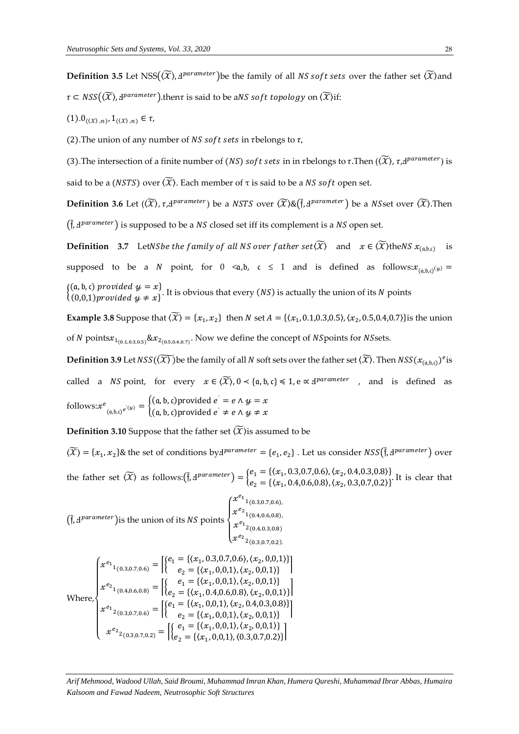**Definition 3.5** Let NSS( $(\widetilde{X})$ ,  $\mathbf{d}^{parameter}$ ) be the family of all NS soft sets over the father set  $(\widetilde{X})$  and  $\tau\subset \mathit{NSS}\bigl((\widetilde{X}),\mathrm{d}^{parameter}\bigr).$ then $\tau$  is said to be a $NS$  so $ft$  topology on  $(\widetilde{X})$ if:

 $(1).0_{(\langle \mathcal{X} \rangle,n)}, 1_{(\langle \mathcal{X} \rangle,n)} \in \tau,$ 

(2). The union of any number of NS soft sets in rbelongs to  $\tau$ .

(3). The intersection of a finite number of (NS) soft sets in in rbelongs to  $\tau$ . Then  $(\widetilde{X})$ ,  $\tau$ , H<sup>parameter</sup>) is said to be a (*NSTS*) over  $\langle \widetilde{X} \rangle$ . Each member of  $\tau$  is said to be a *NS soft* open set.

**Definition 3.6** Let  $(\widetilde{X})$ ,  $\tau$ , H<sup>parameter</sup>) be a NSTS over  $(\widetilde{X})$ &( $\tilde{f}$ , H $^{parameter}$ ) be a NSset over  $(\widetilde{X})$ . Then  $(\tilde{f}, d^{parameter})$  is supposed to be a NS closed set iff its complement is a NS open set.

**Definition** 3.7 LetNSbe the family of all NS over father set( $\widetilde{X}$ ) and  $x \in \widetilde{X}$ ) the NS  $x_{(a,b,c)}$ is supposed to be a N point, for  $0 \le a,b$ ,  $c \le 1$  and is defined as follows: $x_{(a,b,c)}(y) =$  $\{(\mathfrak{a}, \mathfrak{b}, \mathfrak{c}) \text{ provided } y = x\}$ (a, *b*, *b*) *b b t* and  $y = x$ , it is obvious that every (*NS*) is actually the union of its *N* points (0,0,1) *provided*  $y \neq x$ }

**Example 3.8** Suppose that  $(\widetilde{X}) = \{x_1, x_2\}$  then N set  $A = \{\langle x_1, 0.1, 0.3, 0.5 \rangle, \langle x_2, 0.5, 0.4, 0.7 \rangle\}$ is the union of  $N$  points $x_{1_{(0.1,0.3,0.5)}}$ & $x_{2_{(0.5,0.4,0.7)}}$ . Now we define the concept of  $NS$ points for  $NS$ sets.

**Definition 3.9** Let  $NSS(\widetilde{X)}$  )be the family of all  $N$  soft sets over the father set  $(\widetilde{X})$ . Then  $NSS(x_{(a,b,c)})^e$  is called a *NS* point, for every  $x \in (\widetilde{X})$ ,  $0 < \{a, b, c\} \le 1$ , e  $\propto$   $\Delta^{parameter}$ , and is defined as follows: $x^e$  $\mathcal{L}(\mathfrak{a},\mathfrak{b},c)^{e^{\lambda(\mathcal{Y})}} = \begin{cases} (\mathfrak{a},\mathfrak{b},c) \text{provided } e^{\lambda} = e \wedge \mathcal{Y} = x \\ (\mathfrak{a},\mathfrak{b},c) \text{provided } e^{\lambda} \neq e \wedge \mathcal{Y} \neq x \end{cases}$  $(a, b, c)$ provided  $e^{\cdot} \neq e \wedge y \neq x$ 

**Definition 3.10** Suppose that the father set  $\widetilde{\mathcal{X}}$  is assumed to be

 $\langle \widetilde{X} \rangle = \{x_1, x_2\}$ & the set of conditions by  $d^{parameter} = \{e_1, e_2\}$ . Let us consider  $NSS(\tilde{f}, d^{parameter})$  over the father set  $\langle \widetilde{X} \rangle$  as follows: $(\tilde{f}, d^{parameter}) = \begin{cases} e_1 = \{ (x_1, 0.3, 0.7, 0.6), (x_2, 0.4, 0.3, 0.8) \} \\ 0 = \{ (x_1, 0.4, 0.6, 0.8), (x_2, 0.4, 0.3, 0.7, 0.3) \} \end{cases}$  $e_2 = {\chi_{x_1}, 0.4, 0.6, 0.8}, \langle x_2, 0.3, 0.7, 0.2 \rangle}$ . It is clear that

 $(\tilde{f}, d^{parameter})$  is the union of its NS points  $\sqrt{\frac{1}{2}}$  $\int_{x^{e_2}}^{x^{e_1}} x^{(0.3,0.7,0.6)}$  $x^{e_2}$ <sub>1</sub>(0.4,0.6,0.8),  $x^{e_1}$ <sub>2</sub>(0.4,0.3,0.8)  $x^{e_2}$ <sub>2</sub>(0.3,0.7,0.2). Where,  $\overline{\mathcal{L}}$  $\overline{\phantom{a}}$  $\overline{1}$  $\overline{\phantom{a}}$  $\left\{x^{e_1}_{1(0.3,0.7,0.6)} = \begin{cases} \n\begin{cases} e_1 = \{(x_1, 0.3,0.7,0.6), (x_2,0,0,1)\} \\ \n\end{cases} \\
\begin{cases} e_2 = \{(x_1, 0,0,1), (x_2, 0,0,1)\} \n\end{cases}\n\end{cases}\right\}$  $e_2 = {\langle x_1, 0, 0, 1 \rangle, \langle x_2, 0, 0, 1 \rangle}$  $\mathcal{X}^{e_2}{}_{1(0.4,0.6,0.8)} = \left[ \begin{cases} e_1 = \{(\mathcal{X}_1, 0,0,1), (\mathcal{X}_2, 0,0,1)\} \\ e_2 = \{(\mathcal{X}_1, 0,0,6,0,8), (\mathcal{X}_2, 0,0,0)\} \end{cases} \right]$  $e_2 = \{ (x_1, 0.4, 0.6, 0.8), (x_2, 0, 0, 1) \}$  $x^{e_1}{}_{2(0.3,0.7,0.6)} = \begin{cases} {e_1} = \{(x_1, 0,0,1), (x_2, 0.4, 0.3, 0.8)\} \\ {e_2} = \{(x_1, 0,0,1), (x_2, 0, 0, 1)\} \end{cases}$  $e_2 = {\langle x_1, 0, 0, 1 \rangle, \langle x_2, 0, 0, 1 \rangle}$  $\mathcal{X}^{e_2}{}_{(0.3,0.7,0.2)} = \begin{bmatrix} e_1 = \{ (x_1, 0,0,1), (x_2, 0,0,1) \} \\ e_2 = \{ (x_1, 0,0,1), (0,3,0,7,0,2) \} \end{bmatrix}$  $e_2 = {\langle x_1, 0, 0, 1 \rangle, \langle 0.3, 0.7, 0.2 \rangle}$ 

*Arif Mehmood, Wadood Ullah, Said Broumi, Muhammad Imran Khan, Humera Qureshi, Muhammad Ibrar Abbas, Humaira Kalsoom and Fawad Nadeem, Neutrosophic Soft Structures*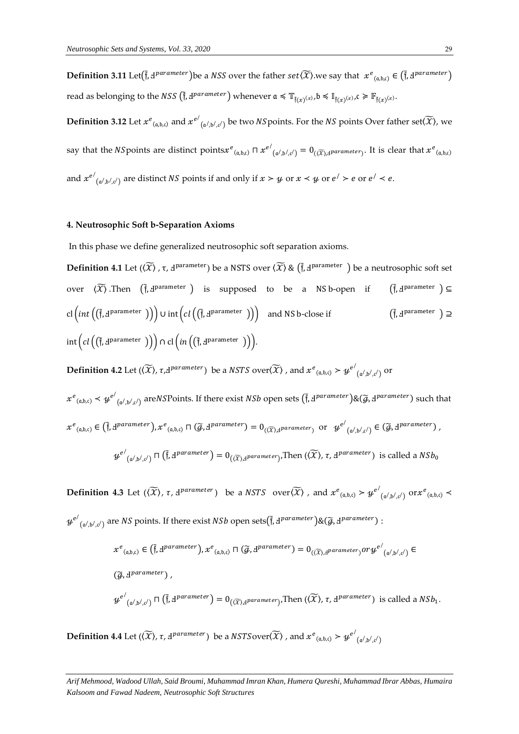$\bf{Definition 3.11}$   $\rm{Let}(\tilde{f},d^{parameter})$ be a  $NSS$  over the father  $set(\widetilde{X})$ .we say that  $\;x^e_{\;(a,b,c)}\in\big(\tilde{f},d^{parameter}\big)$ read as belonging to the *NSS*  $(\tilde{f}, d^{parameter})$  whenever  $\mathfrak{a} \preccurlyeq \mathbb{T}_{\tilde{f}(x)^{(x)}, \mathfrak{b}} \preccurlyeq \mathbb{I}_{\tilde{f}(x)^{(x)}, \mathfrak{c}} \geq \mathbb{F}_{\tilde{f}(x)^{(x)}}$ .

**Definition 3.12** Let  $x^e_{(\mathfrak{a},\mathfrak{b},\mathfrak{c})}$  and  $x^{e'}$  $_{(\alpha',\beta',c')}$  be two *NS* points. For the *NS* points Over father set $(\widetilde{X})$ , we say that the NSpoints are distinct points $x^e_{\, (\mathfrak a, \mathfrak b, \mathfrak c)} \sqcap x^{e'}$  $\mathfrak{g}_{(\mathfrak{a}',\mathfrak{b}',\mathfrak{c}')} = 0_{(\widetilde{X}),\mathfrak{a} \text{parameter})}.$  It is clear that  $x^e_{(\mathfrak{a},\mathfrak{b},\mathfrak{c})}$ and  $x^{e^{\prime}}$  $(\alpha', \beta', c')$  are distinct NS points if and only if  $x > y$  or  $x < y$  or  $e' > e$  or  $e' < e$ .

## **4. Neutrosophic Soft b-Separation Axioms**

In this phase we define generalized neutrosophic soft separation axioms.

**Definition 4.1** Let ( $\langle \widetilde{X} \rangle$  ,  $\tau$ ,  $\Delta$ <sup>parameter</sup>) be a NSTS over  $\langle \widetilde{X} \rangle$  &  $(\tilde{f}, \Delta^{\text{parameter}})$  be a neutrosophic soft set over  $\langle \widetilde{X} \rangle$  .Then  $(\widetilde{\mathfrak{f}}, \mathfrak{t}^{\text{parameter}})$  is supposed to be a NS-bopen if  $(\widetilde{\mathfrak{f}})$  $\widetilde{\mathfrak{f}}$ ,  $\mathfrak{f}^{\text{parameter}}$  )  $\subseteq$ cl  $\big(\text{int}\big(\tilde{\mathfrak{f}},\text{J}^{\text{parameter}}\big)\big)\big)$   $\cup$  int  $\big(\text{cl}\big(\big(\tilde{\mathfrak{f}},\text{J}^{\text{parameter}}\big)\big)\big)$  and NS b-close if  $\hspace{1.5cm}\big(\tilde{\mathfrak{f}}\big)$  $\tilde{f}$ ,  $\mathbf{d}^{\text{parameter}}$  )  $\supseteq$  $\text{int}\big(\textit{cl}\left(\textsf{(\tilde{f},\tilde{d}^{parameter}\ )}\right)\big)\cap\textit{cl}\big(\textit{in}\left(\textsf{(\tilde{f},\tilde{d}^{parameter}\ )}\right)\big).$ 

 $\bf{Definition \ 4.2 \ Let \ } (\widetilde{X}), \tau$ , d $^{parameter} )$  be a  $\mathit NSTS$   ${\rm over}(\widetilde{X})$  , and  $x^e_{~(a,b,c)}$   $> y^{e'}$  $(a^j, b^j, c^j)$  Or

 $x^e{}_{(a,b,c)} \prec y^{e'}$  $_{(\alpha',\beta',c')}$  are NSP oints. If there exist NSb open sets  $(\tilde{f}, d^{parameter}) \& (\tilde{g}, d^{parameter})$  such that  $x^e_{(a,b,c)} \in (\tilde{f}, \exists^{parameter})$ ,  $x^e_{(a,b,c)} \sqcap (\widetilde{g}, \exists^{parameter}) = 0_{((\widetilde{X}), \exists^{parameter})}$  or  $y^{e'}$  $\mathcal{L}_{(\mathfrak{a}',\mathfrak{b}',\mathfrak{c}')} \in (\widetilde{\mathcal{G}},\mathfrak{1}^{parameter})$  ,

$$
{\mathcal Y^{e'}}_{(\mathfrak a',\mathfrak b',\mathfrak c')} \sqcap \left(\tilde{\mathfrak f},\exists^{parameter}\right) = 0_{(\widetilde{\mathfrak X}),\exists^{parameter}\mathfrak f}.\text{ Then } (\widetilde{\mathfrak X}),\tau,\exists^{parameter}\text{ is called a } NSb_0
$$

**Definition 4.3** Let  $(\widetilde{X})$ ,  $\tau$ ,  $\exists^{parameter}$  be a NSTS over  $\widetilde{X}$  , and  $x^e_{(a,b,c)} > y^{e'}$  $_{(\mathfrak{a}',\mathfrak{b}',\mathfrak{c}')}\text{or} x^e_{(\mathfrak{a},\mathfrak{b},\mathfrak{c})} \prec$  $y^{e/}$  $_{(\alpha',\beta',c')}$  are  $NS$  points. If there exist  $NSb$  open sets $(\tilde{\mathfrak{f}},A^{parameter})$ & $(\widetilde{g},A^{parameter})$  :

$$
x^{e} (a,b,c) \in (\tilde{f}, d^{parameter}), x^{e} (a,b,c) \cap (\tilde{g}, d^{parameter}) = 0_{(\tilde{X}), d^{parameter}}) \text{ or } y^{e'} (a',b',c') \in
$$
  

$$
(\tilde{g}, d^{parameter}),
$$
  

$$
y^{e'} (a',b',c') \cap (\tilde{f}, d^{parameter}) = 0_{(\tilde{X}), d^{parameter}}, \text{Then } (\tilde{X}), \tau, d^{parameter}) \text{ is called a } NSb_1.
$$

 $\mathbf D$ **efinition 4.4** Let ( $(\widetilde{\mathcal{X}})$ ,  $\tau$ , d<sup>parameter</sup>) be a  $NSTS$ over( $\widetilde{\mathcal{X}}$ ) , and  $x^e_{(\mathfrak{a},\mathfrak{b},\mathfrak{c})} > y^{e^f}$  $(a^{\prime}, b^{\prime}, c^{\prime})$ 

*Arif Mehmood, Wadood Ullah, Said Broumi, Muhammad Imran Khan, Humera Qureshi, Muhammad Ibrar Abbas, Humaira Kalsoom and Fawad Nadeem, Neutrosophic Soft Structures*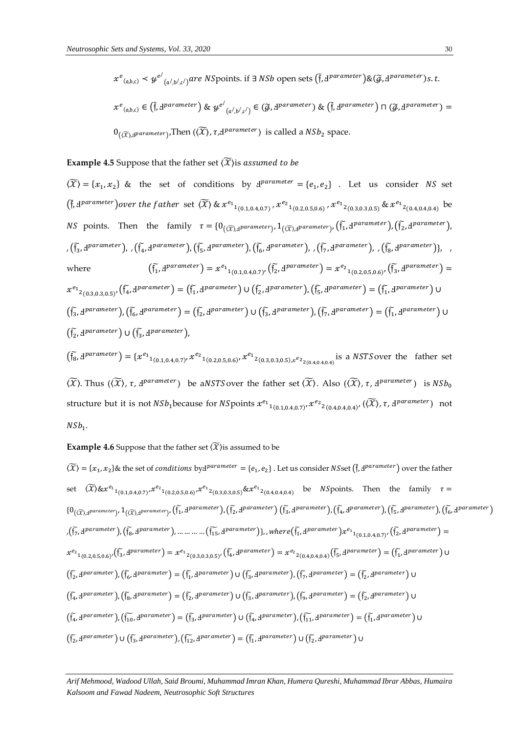$$
x^e_{(a,b,c)} \prec y^{e'}_{(a',b',c')} are NSpoints. \text{ if } \exists N\text{Sb open sets } (\tilde{\mathfrak{f}}, \underline{\mathfrak{f}})^{parameter} \text{)} \& (\tilde{g}, \underline{\mathfrak{f}})^{parameter} \text{ is } t.
$$

$$
x^e_{(a,b,c)} \in (\tilde{f}, \underline{d}^{parameter}) \& \psi^{e'}_{(a',b',c')} \in (\tilde{g}, \underline{d}^{parameter}) \& (\tilde{f}, \underline{d}^{parameter}) \sqcap (\tilde{g}, \underline{d}^{parameter}) = 0_{((\widetilde{X}), \underline{d}^{parameter})}.\text{Then } ((\widetilde{X}), \tau, \underline{d}^{parameter}) \text{ is called a } NSb_2 \text{ space.}
$$

**Example 4.5** Suppose that the father set  $\widetilde{\mathcal{X}}$  is assumed to be

 $\langle \widetilde{X} \rangle = \{x_1, x_2\}$  & the set of conditions by  $\mathbf{d}^{parameter} = \{e_1, e_2\}$ . Let us consider NS set  $(\tilde{f}, d^{parameter})$ over the father set  $\langle \widetilde{X} \rangle$  &  $x^{e_1}{}_{1(0.1,0.4,0.7)}$ ,  $x^{e_2}{}_{1(0.2,0.5,0.6)}$ ,  $x^{e_1}{}_{2(0.3,0.3,0.5)}$  &  $x^{e_1}{}_{2(0.4,0.4,0.4)}$  be *NS* points. Then the family  $\tau = \{0_{(\widetilde{X}), \underline{d}}$  *parameter*<sub>)</sub>,  $1_{(\widetilde{X}), \underline{d}}$  *parameter*<sub>)</sub>,  $(\widetilde{f_1}, \underline{d}^{parameter})$ ,  $(\widetilde{f_2}, \underline{d}^{parameter})$ , ,  $(\tilde{\mathfrak{f}_3}, \mathfrak{1}^{parameter})$ , ,  $(\tilde{\mathfrak{f}_4}, \mathfrak{1}^{parameter})$ ,  $(\tilde{\mathfrak{f}_5}, \mathfrak{1}^{parameter})$ ,  $(\tilde{\mathfrak{f}_6}, \mathfrak{1}^{parameter})$ , ,  $(\tilde{\mathfrak{f}_7}, \mathfrak{1}^{parameter})$ , ,  $(\tilde{\mathfrak{f}_8}, \mathfrak{1}^{parameter})$ , , where  $\widetilde{f_1}$ ,  $d^{parameter}$ ) =  $x^{e_1}$ <sub>1(0.1,0.4,0.7)</sub>,  $(\widetilde{f_2}, d^{parameter}) = x^{e_2}$ <sub>1(0.2,0.5,0.6)</sub>,  $(\widetilde{f_3}, d^{parameter}) =$  $x^{e_1}{}_{2(0.3,0.3,0.5)}$ ,  $(\tilde{f_4}, \mathbf{J}^{parameter}) = (\tilde{f_1}, \mathbf{J}^{parameter}) \cup (\tilde{f_2}, \mathbf{J}^{parameter})$ ,  $(\tilde{f_5}, \mathbf{J}^{parameter}) = (\tilde{f_1}, \mathbf{J}^{parameter}) \cup$  $(\tilde{\mathfrak{f}}_3, \mathbf{d}^{parameter})$ ,  $(\tilde{\mathfrak{f}}_6, \mathbf{d}^{parameter}) = (\tilde{\mathfrak{f}}_2, \mathbf{d}^{parameter}) \cup (\tilde{\mathfrak{f}}_3, \mathbf{d}^{parameter})$ ,  $(\tilde{\mathfrak{f}}_7, \mathbf{d}^{parameter}) = (\tilde{\mathfrak{f}}_1, \mathbf{d}^{parameter}) \cup$  $\left(\widetilde{\mathfrak{f}_{2}},\mathbf{d}^{parameter}\right) \cup \left(\widetilde{\mathfrak{f}_{3}},\mathbf{d}^{parameter}\right),$ 

 $(\tilde{f}_8, d^{\text{parameter}}) = \{x^{e_1}_{1_{(0.1, 0.4, 0.7)}}, x^{e_2}_{1_{(0.2, 0.5, 0.6)}}, x^{e_1}_{2_{(0.3, 0.3, 0.5)}, x^{e_2}_{2_{(0.4, 0.4, 0.4)}}}$  is a NSTS over the father set  $\langle \widetilde{X} \rangle$ . Thus  $(\langle \widetilde{X} \rangle, \tau, d^{parameter})$  be aNSTS over the father set  $\langle \widetilde{X} \rangle$ . Also  $(\langle \widetilde{X} \rangle, \tau, d^{parameter})$  is  $NSb_0$ structure but it is not  $NSh_1$ because for  $NS$ points  $x^{e_1}$ <sub>1(0.1,0.4,0.7)</sub>,  $x^{e_2}$ <sub>2(0.4,0.4,0.4)</sub>, ( $(\widetilde{X})$ ,  $\tau$ ,  $d^{parameter}$ ) not  $NSb_1$ .

### **Example 4.6** Suppose that the father set  $(\widetilde{X})$  is assumed to be

 $\widetilde{(X)} = \{x_1, x_2\}$ & the set of *conditions* by  $A^{parameter} = \{e_1, e_2\}$ . Let us consider *NSset* ( $\tilde{f}$ ,  $A^{parameter}$ ) over the father  $\exp\left\{\widetilde{X}\right\} \& x^{e_1}{}_{1(0.1,0.4,0.7)} x^{e_2}{}_{1(0.2,0.5,0.6)} x^{e_1}{}_{2(0.3,0.3,0.5)} \& x^{e_1}{}_{2(0.4,0.4,0.4)}$  be *NS* points. Then the family  $\tau =$  $\{0_{(\widetilde{X}), \mathbf{d}^{parameter}\}} , 1_{(\widetilde{X}), \mathbf{d}^{parameter}} , (\widetilde{\mathfrak{f}}_1, \mathbf{d}^{parameter}), (\widetilde{\mathfrak{f}}_2, \mathbf{d}^{parameter})$  ( $\widetilde{\mathfrak{f}}_3, \mathbf{d}^{parameter}$ ), ( $\widetilde{\mathfrak{f}}_4, \mathbf{d}^{parameter}$ ), ( $\widetilde{\mathfrak{f}}_5, \mathbf{d}^{parameter}$ ), ( $\widetilde{\mathfrak{f}}_6, \mathbf{d}^{parameter}$  $\mathcal{L}(\tilde{f_7}, \mathrm{d}^{parameter})$ ,  $(\tilde{f_8}, \mathrm{d}^{parameter})$ , ... ... ... ...  $(\tilde{f_{15}}, \mathrm{d}^{parameter})$ }, , where  $(\tilde{f_1}, \mathrm{d}^{parameter})$  $x^{e_1}$ <sub>1(0.1,0.4,0.7)</sub>,  $(\tilde{f_2}, \mathrm{d}^{parameter}) =$  $x^{e_2}1_{(0.2,0.5,0.6)'}(\tilde{f}_3, d^{\text{parameter}}) = x^{e_1}2_{(0.3,0.3,0.5)'}(\tilde{f}_4, d^{\text{parameter}}) = x^{e_2}2_{(0.4,0.4,0.4)}(\tilde{f}_5, d^{\text{parameter}}) = (\tilde{f}_1, d^{\text{parameter}}) \cup (1, 0.4, 0.4)$  $(\tilde{f_2}, \mathbf{d}^{parameter}), (\tilde{f_6}, \mathbf{d}^{parameter}) = (\tilde{f_1}, \mathbf{d}^{parameter}) \cup (\tilde{f_3}, \mathbf{d}^{parameter}), (\tilde{f_7}, \mathbf{d}^{parameter}) = (\tilde{f_2}, \mathbf{d}^{parameter}) \cup (\tilde{f_8}, \mathbf{d}^{parameter})$  $(\widetilde{\mathfrak{f}}_4, \mathbf{d}^{parameter}), (\widetilde{\mathfrak{f}}_8, \mathbf{d}^{parameter}) = (\widetilde{\mathfrak{f}}_2, \mathbf{d}^{parameter}) \cup (\widetilde{\mathfrak{f}}_3, \mathbf{d}^{parameter}), (\widetilde{\mathfrak{f}}_9, \mathbf{d}^{parameter}) = (\widetilde{\mathfrak{f}}_2, \mathbf{d}^{parameter}) \cup \mathfrak{d}^{target}$  $(\widetilde{\mathfrak{f}_4}, \mathfrak{q}$ parameter),  $(\widetilde{\mathfrak{f}_{10}}, \mathfrak{q}$ parameter) =  $(\widetilde{\mathfrak{f}_3}, \mathfrak{q}$ parameter)  $\cup$   $(\widetilde{\mathfrak{f}_4}, \mathfrak{q}$ parameter),  $(\widetilde{\mathfrak{f}_{11}}, \mathfrak{q}$ parameter) =  $(\widetilde{\mathfrak{f}_1}, \mathfrak{q}$ parameter)  $\cup$  $(\widetilde{\mathfrak{f}_2},\mathfrak{g}$ parameter)  $\cup$   $(\widetilde{\mathfrak{f}_3},\mathfrak{g}$ parameter), $(\widetilde{\mathfrak{f}_{12}},\mathfrak{g}$ parameter) =  $(\widetilde{\mathfrak{f}_1},\mathfrak{g}$ parameter)  $\cup$   $(\widetilde{\mathfrak{f}_2},\mathfrak{g}$ parameter)  $\cup$ 

*Arif Mehmood, Wadood Ullah, Said Broumi, Muhammad Imran Khan, Humera Qureshi, Muhammad Ibrar Abbas, Humaira Kalsoom and Fawad Nadeem, Neutrosophic Soft Structures*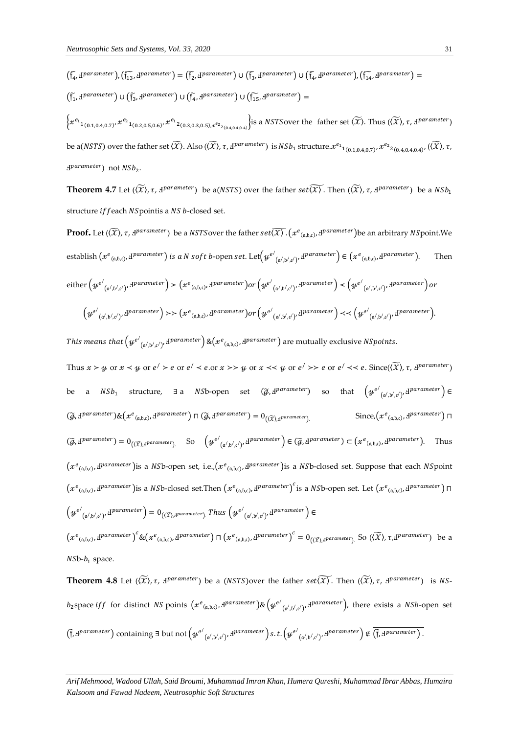$$
(\tilde{f}_4, d^{\text{parameter}}), (\tilde{f}_{13}, d^{\text{parameter}}) = (\tilde{f}_2, d^{\text{parameter}}) \cup (\tilde{f}_3, d^{\text{parameter}}) \cup (\tilde{f}_4, d^{\text{parameter}}), (\tilde{f}_{14}, d^{\text{parameter}}) =
$$

$$
(\tilde{f}_1, d^{\text{parameter}}) \cup (\tilde{f}_3, d^{\text{parameter}}) \cup (\tilde{f}_4, d^{\text{parameter}}) \cup (\tilde{f}_5, d^{\text{parameter}}) \cup (\tilde{f}_{15}, d^{\text{parameter}}) =
$$

 $\{x^{e_{1}}{}_{1(0.1,0.4,0.7)}, x^{e_{2}}{}_{1(0.2,0.5,0.6)}, x^{e_{1}}{}_{2(0.3,0.3,0.5),x^{e_{2}}{}_{2(0.4,0.4,0.4)}}\}$  is a NST Sover the father set  $\langle \widetilde{X}\rangle$ . Thus  $(\langle \widetilde{X}\rangle, \tau, d^{parameter})$ be a(NSTS) over the father set  $(\widetilde{X})$ . Also ( $(\widetilde{X})$ ,  $\tau$ , d<sup>parameter</sup>) is  $NSh_1$  structure. $x^{e_1}$ <sub>1(0.1,0.4,0.7)</sub>,  $x^{e_2}$ <sub>2(0.4,0.4,0.4)</sub>, ( $(\widetilde{X})$ ,  $\tau$ , d<sup>parameter</sup>) not  $\mathit{NSb}_2$ .

**Theorem 4.7** Let  $(\widetilde{X})$ ,  $\tau$ ,  $A^{parameter}$ ) be a(NSTS) over the father  $set \widetilde{X}$ . Then  $(\widetilde{X})$ ,  $\tau$ ,  $A^{parameter}$ ) be a  $NSh_1$ structure if feach NS pointis a NS b-closed set.

**Proof.** Let  $(\widetilde{X})$ ,  $\tau$ , d<sup>parameter</sup>) be a NSTSover the father set  $\widetilde{(\mathcal{X})}$  .  $(x^e{}_{(a,b,c)},$  d<sup>parameter</sup>)be an arbitrary NSpoint.We establish  $(xe_{(a,b,c)},d^{parameter})$  is a N soft b-open set. Let $\left(y^{e'}_{(a',b',c')},d^{parameter}\right) \in \left(x^{e_{(a,b,c)}},d^{parameter}\right)$ . Then  $\mathrm{either}\left(y^{e'}_{\phantom{e'}_{\phantom{e'}(\mathfrak{a}',\mathfrak{b}',c')},\mathbf{d}^{parameter}\right)\succ\left(x^{e}_{\phantom{e'}(\mathfrak{a},\mathfrak{b},c)},\mathbf{d}^{parameter}\right) or \left(y^{e'}_{\phantom{e'}(\mathfrak{a}',\mathfrak{b}',c')},\mathbf{d}^{parameter}\right)\prec\left(y^{e'}_{\phantom{e'}(\mathfrak{a}',\mathfrak{b}',c')},\mathbf{d}^{parameter}\right) or$  $\left(y^{e'}{}_{(\mathfrak{a}',\mathfrak{b}',\mathfrak{c}')},\mathfrak{d}^{parameter}\right)\rightarrowtail \left(x^{e}{}_{(\mathfrak{a},\mathfrak{b},\mathfrak{c})},\mathfrak{d}^{parameter}\right) or \left(y^{e'}{}_{(\mathfrak{a}',\mathfrak{b}',\mathfrak{c}')},\mathfrak{d}^{parameter}\right)\prectail \left(y^{e'}{}_{(\mathfrak{a}',\mathfrak{b}',\mathfrak{c}')},\mathfrak{d}^{parameter}\right).$ 

This means that  $\left(y^{e'}_{\phantom{e'}(\mathfrak{a}',\mathfrak{b}',\mathfrak{c}')},\mathrm{d}^{parameter}\right)\&\left(x^{e}_{\phantom{e}(\mathfrak{a},\mathfrak{b},\mathfrak{c})},\mathrm{d}^{parameter}\right)$  are mutually exclusive NSpoints.

Thus  $x > y$  or  $x < y$  or  $e' > e$  or  $e' < e$  or  $x >> y$  or  $x << y$  or  $e' >> e$  or  $e' << e$ . Since( $(\widetilde{X})$ ,  $\tau$ ,  $d^{parameter}$ ) be a  $NSh_1$  structure, ∃a  $NSb$ -open set ( $\widetilde{g}$ , Ⅎ $parameter$ ) so that  $\left(y^{e'}_{\left(\mathfrak{a}',\mathfrak{b}',c'\right)},4^{parameter}\right)\in$  $(\widetilde{g},\mathbf{J}^{parameter})\&\left(x^e{}_{(a,b,c)},\mathbf{J}^{parameter}\right)\sqcap(\widetilde{g},\mathbf{J}^{parameter})=0_{((\widetilde{X}),\mathbf{J}^{parameter})}$  Since, $\left(x^e{}_{(a,b,c)},\mathbf{J}^{parameter}\right)\sqcap$  $(\widetilde{g}, \mathbf{d}^{parameter}) = \mathbf{0}_{((\widetilde{X}), \mathbf{d}^{parameter})}$  So  $(\mathcal{Y}^{e'}_{(\mathfrak{a}', \mathfrak{b}', \mathfrak{c}')}, \mathbf{d}^{parameter}) \in (\widetilde{g}, \mathbf{d}^{parameter}) \subset (\mathcal{X}^{e}_{(\mathfrak{a}, \mathfrak{b}, \mathfrak{c})}, \mathbf{d}^{parameter})$ . Thus  $(x^e_{(a,b,c)},d^{parameter})$ is a NSb-open set, i.e., $(x^e_{(a,b,c)},d^{parameter})$ is a NSb-closed set. Suppose that each NSpoint  $(x^e_{(a,b,c)},d^{\text{parameter}})$ is a NSb-closed set.Then  $(x^e_{(a,b,c)},d^{\text{parameter}})^c$ is a NSb-open set. Let  $(x^e_{(a,b,c)},d^{\text{parameter}})$   $\sqcap$  $\left(y^{e'}_{\phantom{e'(\alpha',\beta',c')}},\mathrm{d}^{parameter}\right)=0_{(\widetilde{X}),\mathrm{d}^{parameter})}$  . Thus  $\left(y^{e'}_{\phantom{e(\alpha',\beta',c')}},\mathrm{d}^{parameter}\right)\in$ 

 $(x^e_{(a,b,c)},d^{parameter})^c$ & $(x^e_{(a,b,c)},d^{parameter}) \sqcap (x^e_{(a,b,c)},d^{parameter})^c = 0_{(\widetilde{X}),d^{parameter}}$ . So  $(\widetilde{X}), \tau, d^{parameter}$  be a  $N\delta b-b_1$  space.

**Theorem 4.8** Let  $(\widetilde{X})$ ,  $\tau$ ,  $d^{parameter}$ ) be a (NSTS) over the father  $set \widetilde{(\mathcal{X})}$ . Then  $(\widetilde{X})$ ,  $\tau$ ,  $d^{parameter}$ ) is NSb<sub>2</sub>space iff for distinct NS points  $(xe_{(a,b,c)}, d^{parameter})$ & $(ye'_{(a',b',c')}, d^{parameter})$ , there exists a NSb-open set  $\left(\tilde{\bm{\mathfrak{f}}}, \bm{\mathfrak{1}}^{parameter}\right)$  containing  $\exists$  but not  $\left(y^{e'}_{\left(\mathfrak{a}', \mathfrak{b}', \mathfrak{c}'\right)}, \bm{\mathfrak{1}}^{parameter}\right)$ s. t. $\left(y^{e'}_{\left(\mathfrak{a}', \mathfrak{b}', \mathfrak{c}'\right)}, \bm{\mathfrak{1}}^{parameter}\right)$   $\notin \left(\tilde{\bm{\mathfrak{f}}}, \bm{\mathfrak{1}}^{parameter}\right)$ .

*Arif Mehmood, Wadood Ullah, Said Broumi, Muhammad Imran Khan, Humera Qureshi, Muhammad Ibrar Abbas, Humaira Kalsoom and Fawad Nadeem, Neutrosophic Soft Structures*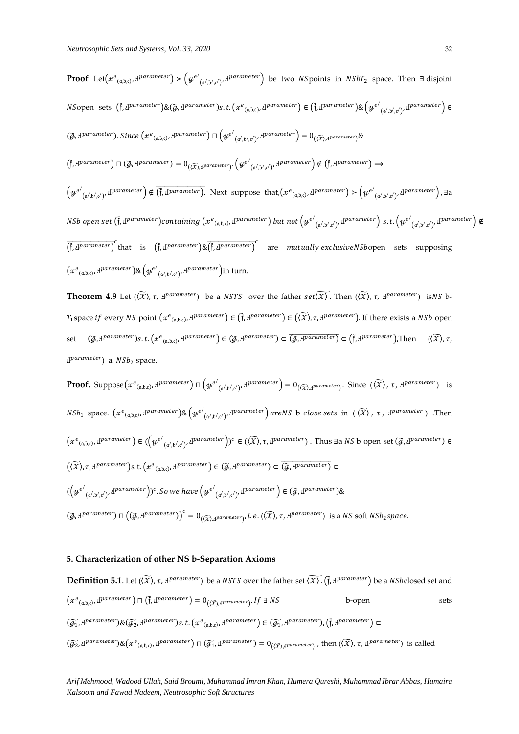**Proof** Let( $x^e_{(a,b,c)}$ ,  $d^{parameter}$ ) >  $(y^{e'}_{(a',b',c')}, d^{parameter})$  be two *NS*points in *NSbT*<sub>2</sub> space. Then ∃ disjoint  $NS$ open sets  $(\tilde{\mathfrak{f}},\mathrm{d}^{parameter})\&(\widetilde{g},\mathrm{d}^{parameter})$ s.t. $(x^e{}_{(a,b,c)},\mathrm{d}^{parameter})\in (\tilde{\mathfrak{f}},\mathrm{d}^{parameter})\&\left(y^{e'}{}_{(a',b',c')},\mathrm{d}^{parameter}\right)\in$  $(\widetilde{g},\mathtt{d}^{parameter})$ . Since  $\big(x^e_{(\mathfrak{a},\mathfrak{b},\mathfrak{c})},\mathtt{d}^{parameter}\big)$   $\sqcap\Big(y^{e'}_{(\mathfrak{a}',\mathfrak{b}',\mathfrak{c}')},\mathtt{d}^{parameter}\Big)=0_{(\widetilde{X}),\mathtt{d}^{parameter}}\big)\&$  $\left(\tilde{\bm{\mathsf{f}}}, \bm{\mathsf{d}} \text{parameter}\right) \sqcap \left(\widetilde{g}, \bm{\mathsf{d}} \text{parameter}\right) = 0_{\left((\widetilde{\mathcal{X}}), \bm{\mathsf{d}} \text{parameter}\right)} . \left( \bm{\mathsf{\mathcal{Y}}}^{e'}_{\left(\alpha', b', c'\right)}, \bm{\mathsf{d}} \text{parameter}\right) \not\in \left(\tilde{\bm{\mathsf{f}}}, \bm{\mathsf{d}} \text{parameter}\right) \Rightarrow$  $\left(y^{e'}_{(a',b',c')},\textit{dparameter}\right) \notin \overline{\left(\tilde{\mathfrak{f}},\textit{dparameter}\right)}.$  Next suppose that, $\left(x^{e}_{(a,b,c)},\textit{dparameter}\right) \succ \left(y^{e'}_{(a',b',c')},\textit{dparameter}\right)$ ,  $\exists a$ NSb open set  $(\tilde{\text{\sf f}},\text{\sf d}^{parameter})$ containing  $(x^e{}_{(\mathfrak{a},\mathfrak{b},\mathfrak{c})},\text{\sf d}^{parameter})$  but not  $\big(\psi^{e'}{}_{(\mathfrak{a}',\mathfrak{b}',\mathfrak{c}')},\text{\sf d}^{parameter}\big)$  s. t.  $\big(\psi^{e'}{}_{(\mathfrak{a}',\mathfrak{b}',\mathfrak{c}')},\text{\sf d}^{parameter}\big)$  $(\tilde{\mathfrak{f}}, \mathfrak{g}^{parameter})^c$  that is  $(\tilde{\mathfrak{f}}, \mathfrak{g}^{parameter})$ & $(\tilde{\mathfrak{f}}, \mathfrak{g}^{parameter})^c$  are mutually exclusiveNSbopen sets supposing  $(x^e{}_{(a,b,c)},4^{parameter})$ & $\big(\psi^{e'}{}_{(a',b',c')},4^{parameter}\big)$ in turn.

**Theorem 4.9** Let  $(\widetilde{X})$ ,  $\tau$ ,  $d^{parameter}$ ) be a *NSTS* over the father  $set(\widetilde{X})$ . Then  $(\widetilde{X})$ ,  $\tau$ ,  $d^{parameter}$ ) is NS b- $T_1$ space if every NS point  $(x^e_{(a,b,c)}, d^{parameter}) \in (\tilde{f}, d^{parameter}) \in ((\widetilde{X}), \tau, d^{parameter})$ . If there exists a NSb open set  $(\widetilde{g}, d^{parameter})s.t. (x^e_{(a,b,c)}, d^{parameter}) \in (\widetilde{g}, d^{parameter}) \subset (\widetilde{g}, d^{parameter}) \subset (\widetilde{f}, d^{parameter})$ , Then  $((\widetilde{X}), \tau, d^{parameter})$ d<sup>parameter</sup>) a *NSb*<sub>2</sub> space.

**Proof.** Suppose  $(x^e_{(a,b,c)}, d^{parameter}) \sqcap (y^{e'}_{(a',b',c')}, d^{parameter}) = 0_{(\widetilde{X}), d^{parameter}})$ . Since  $(\widetilde{X}), \tau$ ,  $d^{parameter}$ ) is  $NSh_1$  space.  $(xe_{(\mathfrak{a},\mathfrak{b},\mathfrak{c})},\mathrm{d}^{parameter})\&\left(ye_{(\mathfrak{a}',\mathfrak{b}',\mathfrak{c}')},\mathrm{d}^{parameter}\right)$  areNS b close sets in  $(\widetilde{X})$  ,  $\tau$  ,  $\mathrm{d}^{parameter}$  ) .Then  $\big(x^e{}_{(a,b,c)},$  I $\emph{parameter}\big) \in (\big(\psi^{e'}{}_{(a',b',c')},\emph{dparameter}\big))^c \in (\widetilde{X}),\tau,\emph{d}^{parameter})$  . Thus ∃a  $NS$  b open set  $(\widetilde{g},\emph{d}^{parameter}) \in$  $((\widetilde{X}), \tau, A^{parameter})$ s.t. $(x^e_{(a,b,c)}, A^{parameter}) \in (\widetilde{A}, A^{parameter}) \subset \overline{(\widetilde{A}, A^{parameter})}$  $(\left( y^{e'}_{\left( a',b',c' \right)},\left. \texttt{I}^{parameter} \right)\right)$ c. So we have  $\left( y^{e'}_{\left( a',b',c' \right)},\left. \texttt{I}^{parameter} \right)\in \left( \widetilde{\mathcal{G}},\texttt{I}^{parameter} \right)\&$  $(\widetilde{g},\mathcal{F}^\text{parameter}) \sqcap \big((\widetilde{g},\mathcal{F}^\text{parameter})\big)^c = 0_{((\widetilde{X}),\mathcal{F}^\text{parameter})},$  i. e.  $((\widetilde{X}),\tau,\mathcal{F}^\text{parameter})$  is a NS soft NSb<sub>2</sub> space.

## **5. Characterization of other NS b-Separation Axioms**

**Definition 5.1**. Let ( $(\widetilde{X})$ ,  $\tau$ ,  $d^{parameter}$ ) be a NSTS over the father set  $(\widetilde{X})$ . ( $\tilde{f}$ ,  $d^{parameter}$ ) be a NSbclosed set and  $(xe_{(a,b,c)},b^{parameter}) \sqcap (\tilde{f},b^{parameter}) = 0_{((\widetilde{X}),b^{parameter})}.$  If  $\exists NS$  b-open sets  $(\widetilde{g_1}, \mathbf{J}^{parameter}) \& (\widetilde{g_2}, \mathbf{J}^{parameter}) s.t. \left(x^e_{(a,b,c)}, \mathbf{J}^{parameter}\right) \in (\widetilde{g_1}, \mathbf{J}^{parameter}) , \left(\widetilde{\mathbf{J}}, \mathbf{J}^{parameter}\right) \subset$  $(\widetilde{g_2}, \mathbf{d}^{parameter}) \& \left(x^e_{(a,b,c)}, \mathbf{d}^{parameter}\right) \sqcap (\widetilde{g_1}, \mathbf{d}^{parameter}) = \mathbf{0}_{(\widetilde{X}), \mathbf{d}^{parameter}}$ , then  $(\widetilde{X}), \tau$ ,  $\mathbf{d}^{parameter}$  is called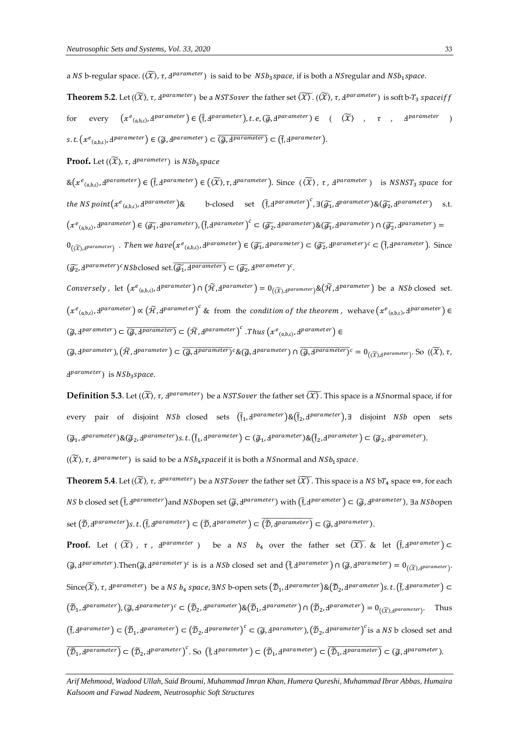a NS b-regular space. ( $(\widetilde{X})$ ,  $\tau$ , d<sup>parameter</sup>) is said to be  $\; NSb_3space$ , if is both a NSregular and NS $b_1$ space.

 $\bf Theorem~5.2$ . Let ( $(\widetilde{X})$ ,  $\tau$ ,  $A^{parameter}$ ) be a  $NSTSover$  the father set  $\widetilde{(\mathcal{X})}$ . ( $(\widetilde{X})$ ,  $\tau$ ,  $A^{parameter}$ ) is soft b- $T_3$   $spaceiff$ for every  $(xe_{(a,b,c)},d^{\text{parameter}}) \in (\tilde{f},d^{\text{parameter}}), t.e, (\tilde{g},d^{\text{parameter}}) \in (\widetilde{X})$ ,  $\tau$ ,  $d^{\text{parameter}}$ )  $s.t. \left(x^e_{(a,b,c)}, \underline{d}^{parameter}\right) \in (\widetilde{g}, \underline{d}^{parameter}) \subset \overline{(\widetilde{g}, \underline{d}^{parameter})} \subset \overline{(\widetilde{f}, \underline{d}^{parameter})}.$ 

 $\textbf{Proof.}$  Let  $(\widetilde{\mathcal{X}})$ ,  $\tau$ ,  $\text{d}^{parameter}$ ) is  $NSh_3 space$ 

 $\&(x^e_{(a,b,c)},d^{parameter}) \in (\tilde{f},d^{parameter}) \in (\langle \tilde{X} \rangle,\tau,d^{parameter})$ . Since  $(\langle \tilde{X} \rangle,\tau,d^{parameter})$  is  $NSNST_3$  space for the NS point $(x^e_{~(\mathfrak a, \mathfrak b, \mathfrak c)}, \mathfrak d$  $\mathit{parameter}$  )& b-closed set  $(\tilde{\mathfrak{f}}, \mathit{d}^{parameter})^c$ ,  $\exists (\widetilde{\mathcal{G}_1}, \mathit{d}^{parameter}) \& (\widetilde{\mathcal{G}_2}, \mathit{d}^{parameter})$  s.t.  $(x^e_{(a,b,c)},d^{parameter}) \in (\widetilde{g_1},d^{parameter}), (\tilde{f},d^{parameter})^c \subset (\widetilde{g_2},d^{parameter}) \& (\widetilde{g_1},d^{parameter}) \cap (\widetilde{g_2},d^{parameter}) =$  $0_{((\widetilde{X}),A^{parameter})}$  . Then we have $(x^e_{(a,b,c)},d^{parameter}) \in (\widetilde{g_1},d^{parameter}) \subset (\widetilde{g_2},d^{parameter})^c \subset (\widetilde{f},d^{parameter})$ . Since  $(\widetilde{\mathcal{G}_2},\mathbf{d}^{parameter})^c NSb$ closed set. $(\widetilde{\mathcal{G}_1},\mathbf{d}^{parameter}) \subset (\widetilde{\mathcal{G}_2},\mathbf{d}^{parameter})^c$ .

Conversely, let  $(x^e_{(a,b,c)},d^{parameter}) \cap (\tilde{H},d^{parameter}) = 0_{((\widetilde{X}),d^{parameter})} \& (\tilde{H},d^{parameter})$  be a NSb closed set.  $(x^e_{(a,b,c)},d^{parameter}) \propto (\widetilde{\mathcal{H}},d^{parameter})^c$  & from the condition of the theorem, wehave  $(x^e_{(a,b,c)},d^{parameter}) \in$  $(\widetilde{g},\mathbf{d}^{parameter}) \subset \overline{(\widetilde{g},\mathbf{d}^{parameter})} \subset (\widetilde{\mathcal{H}},\mathbf{d}^{parameter})^c$ . Thus  $(x^e_{(a,b,c)},\mathbf{d}^{parameter}) \in$ 

 $(\widetilde{g},\mathbf{1}^{parameter}),(\widetilde{H},\mathbf{1}^{parameter})\subset\overline{(\widetilde{g},\mathbf{1}^{parameter})}$ c & $(\widetilde{g},\mathbf{1}^{parameter})\cap\overline{(\widetilde{g},\mathbf{1}^{parameter})}$ c =  $0_{((\widetilde{X}),\mathbf{1}^{parameter})}$ . So  $((\widetilde{X}),\tau,$ d<sup>parameter</sup>) is NSb<sub>3</sub>space.

**Definition 5.3**. Let ( $(\widetilde{X})$ ,  $\tau$ ,  $d^{parameter}$ ) be a *NSTSover* the father set  $(\widetilde{X})$ . This space is a *NSnormal space*, if for every pair of disjoint *NSb* closed sets ( $\tilde{f}_1$ , I<sup>parameter</sup>)&( $\tilde{f}_2$ , I<sup>parameter</sup>),∃ disjoint *NSb* open sets  $(\widetilde{g}_1, \underbar{d}^{parameter}) \& (\widetilde{g}_2, \underbar{d}^{parameter})s.t. (\widetilde{f}_1, \underbar{d}^{parameter}) \subset (\widetilde{g}_1, \underbar{d}^{parameter}) \& (\widetilde{f}_2, \underbar{d}^{parameter}) \subset (\widetilde{g}_2, \underbar{d}^{parameter}).$ 

 $((\widetilde{X}), \tau, \mathrm{d}^{parameter})$  is said to be a  $NSb_4space$  if it is both a  $NS$ normal and  $NSb_1space$ 

**Theorem 5.4**. Let ( $(\widetilde{X})$ ,  $\tau$ , d<sup>parameter</sup>) be a NSTSover the father set  $(\widetilde{X})$ . This space is a NS bT<sub>4</sub> space  $\Leftrightarrow$ , for each NS b closed set (†̄, Ⅎ<sup>parameter</sup>)and NSbopen set (@, Ⅎ<sup>parameter</sup>) with (†̄, Ⅎ<sup>parameter</sup>) ⊂ (@, Ⅎ<sup>parameter</sup>), ∃a NSbopen  $\text{set}\left(\widetilde{\mathcal{D}}, \mathcal{I}^{parameter}\right)$ s. t.  $(\tilde{\mathfrak{f}}, \mathcal{I}^{parameter}) \subset (\widetilde{\mathcal{D}}, \mathcal{I}^{parameter}) \subset (\widetilde{\mathcal{D}}, \mathcal{I}^{parameter}) \subset (\widetilde{\mathcal{G}}, \mathcal{I}^{parameter}).$ 

**Proof.** Let (  $\widetilde{\langle X \rangle}$  ,  $\tau$  ,  $A^{parameter}$  ) be a  $NS$   $b_4$  over the father set  $\widetilde{\langle X \rangle}$  & let  $(\tilde{\mathfrak{f}}, A^{parameter}) \subset$  $(\widetilde{\mathcal{G}},\mathbf{J}^{parameter})$ .Then $(\widetilde{\mathcal{G}},\mathbf{J}^{parameter})^c$  is is a *NSb* closed set and  $(\widetilde{\mathfrak{f}},\mathbf{J}^{parameter}) \cap (\widetilde{\mathcal{G}},\mathbf{J}^{parameter}) = 0_{((\widetilde{\mathcal{X}}),\mathbf{J}^{parameter})}$ . Since( $\widetilde{X}$ ),  $\tau$ , d $^{parameter}$ ) be a  $NS$   $b_4$  space,  $\exists NS$  b-open sets  $(\widetilde{\mathcal{D}}_1$ , d $^{parameter})$ & $(\widetilde{\mathcal{D}}_2$ , d $^{parameter})$ s. t.  $(\widetilde{\mathfrak{f}},$  d $^{parameter})$   $\subset$  $(\widetilde{\mathcal{D}}_1, \mathbf{d}^{parameter})$ ,  $(\widetilde{\mathcal{G}}, \mathbf{d}^{parameter})^c \subset (\widetilde{\mathcal{D}}_2, \mathbf{d}^{parameter}) \& (\widetilde{\mathcal{D}}_1, \mathbf{d}^{parameter}) \cap (\widetilde{\mathcal{D}}_2, \mathbf{d}^{parameter}) = \mathbf{0}_{((\widetilde{\mathcal{X}}), \mathbf{d}^{parameter})}$ . Thus  $(\tilde{f}, d^{parameter}) \subset (\tilde{D}_1, d^{parameter}) \subset (\tilde{D}_2, d^{parameter})^c \subset (\tilde{g}, d^{parameter}), (\tilde{D}_2, d^{parameter})^c$  is a NS b closed set and  $\overline{\left(\widetilde{\mathcal{D}}_{1}, \Phi^{parameter}\right)} \subset \left(\widetilde{\mathcal{D}}_{2}, \Phi^{parameter}\right)^{c}$ . So  $\left(\tilde{\mathfrak{f}}, \Phi^{parameter}\right) \subset \left(\widetilde{\mathcal{D}}_{1}, \Phi^{parameter}\right) \subset \overline{\left(\widetilde{\mathcal{D}}_{1}, \Phi^{parameter}\right)} \subset \left(\widetilde{\mathcal{G}}, \Phi^{parameter}\right)$ .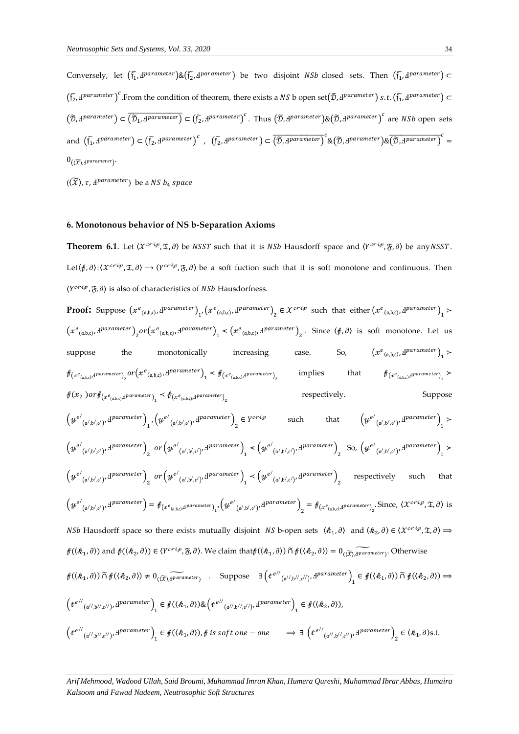Conversely, let  $(\tilde{f_1}, d^{parameter}) \& (\tilde{f_2}, d^{parameter})$  be two disjoint *NSb* closed sets. Then  $(\tilde{f_1}, d^{parameter})$   $\subset$  $(\tilde{f_2}, \mu^{\textit{parameter}})^c$ . From the condition of theorem, there exists a NS b open set $(\tilde{D}, \mu^{\textit{parameter}})$  s.t.  $(\tilde{f_1}, \mu^{\textit{parameter}})$   $\subset$  $(\tilde{\mathcal{D}}, \mathbf{d}^{parameter}) \subset (\tilde{b}_1, \mathbf{d}^{parameter}) \subset (\tilde{b}_2, \mathbf{d}^{parameter})^c$ . Thus  $(\tilde{\mathcal{D}}, \mathbf{d}^{parameter}) \& (\tilde{\mathcal{D}}, \mathbf{d}^{parameter})^c$  are NSb open sets and  $(\tilde{f_1}, \textit{d}^{parameter}) \subset (\tilde{f_2}, \textit{d}^{parameter})^c$ ,  $(\tilde{f_2}, \textit{d}^{parameter}) \subset (\overline{\tilde{D}}, \textit{d}^{parameter})^c$  & $(\overline{\tilde{D}}, \textit{d}^{parameter})$  & $(\overline{\tilde{D}}, \textit{d}^{parameter})^c$  $0_{(\langle \widetilde{\chi} \rangle, \exists^{parameter})}.$ 

 $(\langle \widetilde{X} \rangle$ ,  $\tau$ ,  $\exists^{parameter}$ ) be a NS  $b_4$  space

## **6. Monotonous behavior of NS b-Separation Axioms**

**Theorem 6.1**. Let  $\langle \mathcal{X}^{critp}, \mathcal{X}, \partial \rangle$  be NSST such that it is NSb Hausdorff space and  $\langle Y^{critp}, \mathcal{Y}, \partial \rangle$  be any NSST. Let  $(\hat{\beta}, \partial): (X^{cri\rho}, \mathfrak{X}, \partial) \to (Y^{cri\rho}, \mathfrak{X}, \partial)$  be a soft fuction such that it is soft monotone and continuous. Then  $\langle Y^{crip}, \mathfrak{F}, \partial \rangle$  is also of characteristics of *NSb* Hausdorfness.

Proof: Suppose 
$$
(x^e{}_{(a,b,c)},y^{parameter})_1(x^e{}_{(a,b,c)},y^{parameter})_2 \in X^{crfp}
$$
 such that either  $(x^e{}_{(a,b,c)},y^{parameter})_1 \times (x^e{}_{(a,b,c)},y^{parameter})_2 \in X^{crfp}$  such that either  $(x^e{}_{(a,b,c)},y^{parameter})_1 \times (x^e{}_{(a,b,c)},y^{parameter})_2$ . Since  $\langle f, \partial \rangle$  is soft monotone. Let us suppose the monotonically increasing case. So,  $(x^e{}_{(a,b,c)},y^{parameter})_1 \times (x^e{}_{(a,b,c)},y^{parameter})_1 \times (x^e{}_{(a,b,c)},y^{parameter})_1 \times (x^e{}_{(a,b,c)},y^{parameter})_1 \times (x^e{}_{(a,b,c)},y^{parameter})_1 \times (x^e{}_{(a,b,c)},y^{parameter})_1 \times (x^e{}_{(a,b,c)},y^{parameter})_1 \times (x^e{}_{(a,b,c)},y^{parameter})_1 \times (x^e{}_{(a,b,c)},y^{parameter})_1 \times (x^e{}_{(a,b,c)},y^{parameter})_1 \times (x^e{}_{(a',b',c')},y^{parameter})_2 \in Y^{crfp}$  such that  $(y^{e'}{}_{(a',b',c')},y^{parameter})_1 \times (y^{e'}{}_{(a',b',c')},y^{parameter})_2$  or  $(y^{e'}{}_{(a',b',c')},y^{parameter})_1 \times (y^{e'}{}_{(a',b',c')},y^{parameter})_2$  so,  $(y^{e'}{}_{(a',b',c')},y^{parameter})_1 \times (y^{e'}{}_{(a',b',c')},y^{parameter})_2$  respectively such that  $(y^{e'}{}_{(a',b',c')},y^{parameter})_1 \times (y^{e'}{}_{(a',b',c')},y^{parameter})_2$  respectively such that  $(y^{e'}{}_{(a',b',c')},y^{parameter})_2 \in Y^{crfp}$  (where  $(x^{e'}{}_{(a',b',c')},y^{parameter})_2 \in Y^{crfp}$  (where  $(x^{e'}{}_{(a',b',c')},y^{parameter})_2 \times (y^{e'}{}_{(a',b',c')},y^{parameter})_1 \times (y^{e'}{}_{(a',b',c')},y^{parameter})_1 \times (y^{e'}{}_{(a',b',c')},y^{parameter})_1$ 

*Arif Mehmood, Wadood Ullah, Said Broumi, Muhammad Imran Khan, Humera Qureshi, Muhammad Ibrar Abbas, Humaira Kalsoom and Fawad Nadeem, Neutrosophic Soft Structures*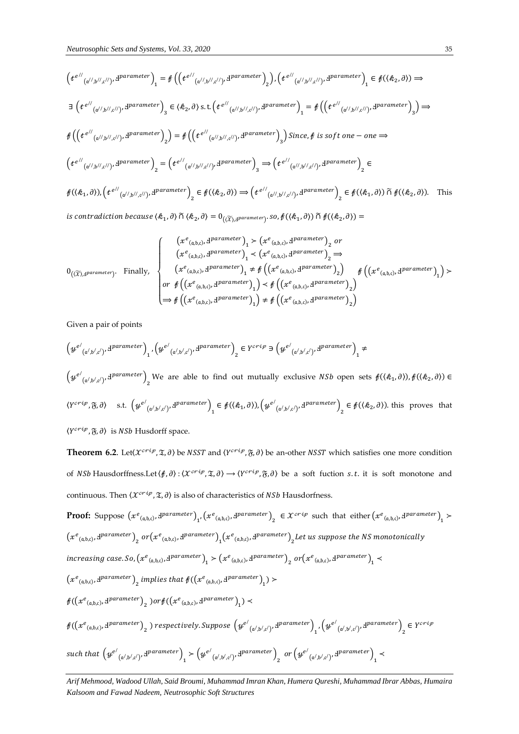$$
\left(t^{e^{//}}(a^{//},b^{//},c^{//})\cdot d^{parameter}\right)_1 = \oint \left(\left(t^{e^{//}}(a^{//},b^{//},c^{//})\cdot d^{parameter}\right)_2\right), \left(t^{e^{//}}(a^{//},b^{//},c^{//})\cdot d^{parameter}\right)_1 \in \mathcal{f}(\langle k_2,\partial)\right) \Rightarrow
$$
\n
$$
\exists \left(t^{e^{//}}(a^{//},b^{//},c^{//})\cdot d^{parameter}\right)_3 \in \langle k_2,\partial\rangle \text{ s.t.} \left(t^{e^{//}}(a^{//},b^{//},c^{//})\cdot d^{parameter}\right)_1 = \oint \left(\left(t^{e^{//}}(a^{//},b^{//},c^{//})\cdot d^{parameter}\right)_3\right) \Rightarrow
$$
\n
$$
\oint \left(\left(t^{e^{//}}(a^{//},b^{//},c^{//})\cdot d^{parameter}\right)_2\right) = \oint \left(\left(t^{e^{//}}(a^{//},b^{//},c^{//})\cdot d^{parameter}\right)_3\right) \text{ Since, } \oint \text{ is soft one } - \text{ one } \Rightarrow
$$
\n
$$
\left(t^{e^{//}}(a^{//},b^{//},c^{//})\cdot d^{parameter}\right)_2 = \left(t^{e^{//}}(a^{//},b^{//},c^{//})\cdot d^{parameter}\right)_3 \Rightarrow \left(t^{e^{//}}(a^{//},b^{//},c^{//})\cdot d^{parameter}\right)_2 \in
$$
\n
$$
\oint (\langle k_1,\partial\rangle), \left(t^{e^{//}}(a^{//},b^{//},c^{//})\cdot d^{parameter}\right)_2 \in \mathcal{f}(\langle k_2,\partial\rangle) \Rightarrow \left(t^{e^{//}}(a^{//},b^{//},c^{//})\cdot d^{parameter}\right)_2 \in \mathcal{f}(\langle k_1,\partial\rangle) \cap \mathcal{f}(\langle k_2,\partial\rangle). \text{ This}
$$
\n
$$
\text{is contradiction because } \langle k_1,\partial\rangle \cap \langle k_2,\partial\rangle = 0_{(\langle\overline{\chi}\rangle, d^{parameter})} \text{ so, } \oint (\langle k_1,\partial\rangle) \cap \mathcal{f}(\langle k_2,\partial\rangle) =
$$

$$
0_{(\widetilde{X}), \underline{d} \textrm{parameter})}. \quad \textrm{Finally,} \quad \left\{ \begin{array}{l} \left(x^e_{(a,b,c)}, x^{parameter}\right)_1 > \left(x^e_{(a,b,c)}, x^{parameter}\right)_2 \textit{ or} \\ \left(x^e_{(a,b,c)}, x^{parameter}\right)_1 < \left(x^e_{(a,b,c)}, x^{parameter}\right)_2 \Rightarrow \\ \left(x^e_{(a,b,c)}, x^{parameter}\right)_1 > \#\left(\left(x^e_{(a,b,c)}, x^{parameter}\right)_2\right) \\ \textit{or} \quad \ \ \left(x^e_{(a,b,c)}, x^{parameter}\right)_1\right) < \#\left(\left(x^e_{(a,b,c)}, x^{parameter}\right)_2\right) \\ \Rightarrow \quad \ \ \ \, \ \ \textrm{arg} \left(x^e_{(a,b,c)}, x^{parameter}\right)_1\right) \neq \#\left(\left(x^e_{(a,b,c)}, x^{parameter}\right)_2\right) \end{array} \right\} \notag \\ \left. \left(\left(x^e_{(a,b,c)}, x^{parameter}\right)_1\right) < \#\left(\left(x^e_{(a,b,c)}, x^{parameter}\right)_2\right) \Rightarrow \left(x^e_{(a,b,c)}, x^{parameter}\right)_2\right) \Rightarrow \quad \ \ \ \textrm{arg} \left(x^e_{(a,b,c)}, x^{parameter}\right)_2\right) \Rightarrow \left(x^e_{(a,b,c)}, x^{parameter}\right)_2 \Rightarrow \quad \ \ \textrm{arg} \left(x^e_{(a,b,c)}, x^{parameter}\right)_2\right) \Rightarrow \left(x^e_{(a,b,c)}, x^{parameter}\right)_2 \Rightarrow \quad \ \ \ \textrm{arg} \left(x^e_{(a,b,c)}, x^{parameter}\right)_2 \Rightarrow \quad \ \ \textrm{arg} \left(x^e_{(a,b,c)}, x^{parameter}\right)_2 \Rightarrow \quad \ \ \textrm{arg} \left(x^e_{(a,b,c)}, x^{parameter}\right)_2 \Rightarrow \quad \ \ \textrm{arg} \left(x^e_{(a,b,c)}, x^{parameter}\right)_2 \Rightarrow \quad \ \ \textrm{arg} \left(x^e_{(a,b,c)}, x^{parameter}\right)_2 \Rightarrow \quad \ \ \ \textrm{arg} \left(x^e_{(a,b,c)}, x^{parameter}\right)_2 \Rightarrow \quad \ \ \ \textrm{arg} \left(x^e_{(a,b,c)}, x^{parameter}\right)_2 \Rightarrow \quad \ \ \
$$

Given a pair of points

$$
\left(\boldsymbol{\mathcal{Y}}^{e^j}{}_{(\mathfrak{a}^j,\mathfrak{b}^j,\mathfrak{c}^j)},\mathfrak{d}^{parameter}\right)_1,\left(\boldsymbol{\mathcal{Y}}^{e^j}{}_{(\mathfrak{a}^j,\mathfrak{b}^j,\mathfrak{c}^j)},\mathfrak{d}^{parameter}\right)_2\in Y^{crip}\ni\left(\boldsymbol{\mathcal{Y}}^{e^j}{}_{(\mathfrak{a}^j,\mathfrak{b}^j,\mathfrak{c}^j)},\mathfrak{d}^{parameter}\right)_1\neq 0
$$

 $\left(\psi^{e'}_{(\alpha',b',c')},d^{parameter}\right)_{2}$  We are able to find out mutually exclusive *NSb* open sets  $f((\mathcal{R}_{1},\partial)),f((\mathcal{R}_{2},\partial))\in$  $\langle Y^{crip}, \mathfrak{F}, \partial \rangle$  s.t.  $\left( y^{e'}_{(a',b',c')}, d^{parameter} \right)_{1} \in f(\langle \mathcal{R}_{1}, \partial \rangle), \left( y^{e'}_{(a',b',c')}, d^{parameter} \right)_{2} \in f(\langle \mathcal{R}_{2}, \partial \rangle)$ . this proves that  $\langle Y^{crip}, \mathfrak{F}, \partial \rangle$  is NSb Husdorff space.

**Theorem 6.2.** Let $\langle X^{crip}, \mathfrak{T}, \partial \rangle$  be NSST and  $\langle Y^{crip}, \mathfrak{F}, \partial \rangle$  be an-other NSST which satisfies one more condition of *NSb* Hausdorffness.Let  $\langle f, \partial \rangle$ :  $\langle \mathcal{X}^{crip}, \mathfrak{X}, \partial \rangle \to \langle Y^{crip}, \mathfrak{F}, \partial \rangle$  be a soft fuction *s.t.* it is soft monotone and continuous. Then  $\langle \mathcal{X}^{crip}, \mathfrak{X}, \partial \rangle$  is also of characteristics of *NSb* Hausdorfness.

Proof: Suppose 
$$
(x^e_{(a,b,c)}, dparameter)_{1}
$$
,  $(x^e_{(a,b,c)}, dparameter)_{2} \in X^{crip}$  such that either  $(x^e_{(a,b,c)}, dparameter)_{1}$   
\n $(x^e_{(a,b,c)}, dparameter)_{2}$  or  $(x^e_{(a,b,c)}, dparameter)_{1}(x^e_{(a,b,c)}, dparameter)_{2}$  Let us suppose the NS monotonically increasing case. So,  $(x^e_{(a,b,c)}, dparameter)_{1} \times (x^e_{(a,b,c)}, dparameter)_{2}$  or  $(x^e_{(a,b,c)}, dparameter)_{1}$   
\n $(x^e_{(a,b,c)}, dparameter)_{2}$  implies that  $f((x^e_{(a,b,c)}, dparameter)_{1}) \times$   
\n $f((x^e_{(a,b,c)}, dparameter)_{2})$  or  $f((x^e_{(a,b,c)}, dparameter)_{1}) \times$   
\n $f((x^e_{(a,b,c)}, dparameter)_{2})$  or  $f((x^e_{(a,b,c)}, dparameter)_{1}) \times$   
\n $f((x^e_{(a,b,c)}, dparameter)_{2})$  respectively. Suppose  $(y^{e'}_{(a',b',c')}, dparameter)_{1}$ ,  $(y^{e'}_{(a',b',c')}, dparameter)_{2} \in Y^{crip}$   
\nsuch that  $(y^{e'}_{(a',b',c')}, dparameter)_{1} \times (y^{e'}_{(a',b',c')}, dparameter)_{2}$  or  $(y^{e'}_{(a',b',c')}, dparameter)_{1}$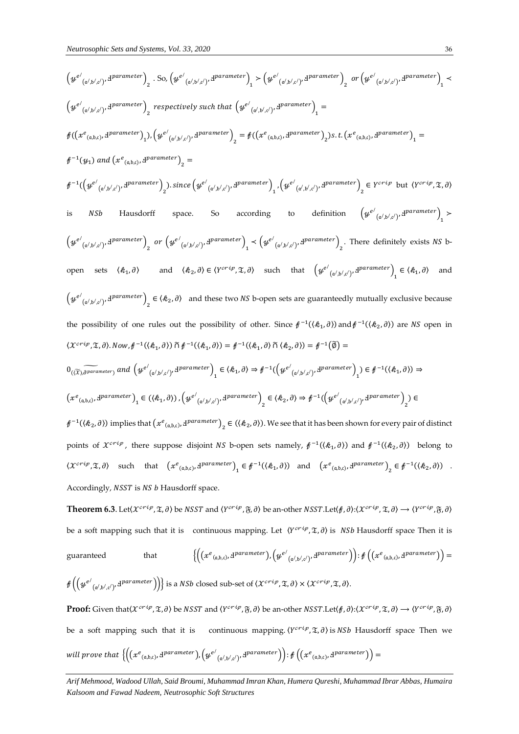$$
(g^{e'}_{(\phi',b',c')},g^{parameter})_{2} S_{0} (g^{e'}_{(\phi',b',c')},g^{parameter})_{1} \times (g^{e'}_{(\phi',b',c')},g^{parameter})_{2} \text{ or } (g^{e'}_{(\phi',b',c')},g^{parameter})_{1} \times (g^{e'}_{(\phi',b',c')},g^{parameter})_{2} \times (g^{e'}_{(\phi',b',c')},g^{parameter})_{2} \times (g^{e'}_{(\phi',b',c')},g^{parameter})_{2} \times (g^{e'}_{(\phi',b',c')},g^{parameter})_{2} \times (g^{e'}_{(\phi',b',c')},g^{parameter})_{2} \times (g^{e'}_{(\phi',b',c')},g^{parameter})_{2} \times (g^{e'}_{(\phi',b',c')},g^{parameter})_{2} \times (g^{e'}_{(\phi',b',c')},g^{parameter})_{2} \times (g^{e'}_{(\phi',b',c')},g^{parameter})_{2} \times (g^{e'}_{(\phi',b',c')},g^{parameter})_{2} \times (g^{e'}_{(\phi',b',c')},g^{parameter})_{2} \times (g^{e'}_{(\phi',b',c')},g^{parameter})_{2} \times (g^{e'}_{(\phi',b',c')},g^{parameter})_{2} \times (g^{e'}_{(\phi',b',c')},g^{parameter})_{2} \times (g^{e'}_{(\phi',b',c')},g^{parameter})_{2} \times (g^{e'}_{(\phi',b',c')},g^{parameter})_{2} \times (g^{e'}_{(\phi',b',c')},g^{parameter})_{2} \times (g^{e'}_{(\phi',b',c')},g^{parameter})_{2} \times (g^{e'}_{(\phi',b',c')},g^{parameter})_{2} \times (g^{e'}_{(\phi',b',c')},g^{parameter})_{2} \times (g^{e'}_{(\phi',b',c')},g^{parameter})_{2} \times (g^{e'}_{(\phi',b',c')},g^{parameter})_{2} \times (g^{e'}_{(\phi',b',c')},g^{parameter})_{2} \times (g^{e'}_{(\phi',b',c')},g^{parameter})_{2} \times (g^{e'}_{(\phi',b',c')},g^{parameter})_{2} \times (g^{e'}_{(\phi',b',c')},g^{parameter})_{2} \times (g^{e'}_{(\phi',b',c')},g^{parameter})_{2} \times (g^{e'}_{(\phi',b',c')},g^{parameter})_{2} \times (g^{e'}_{(\phi',b',c')},g^{parameter})_{
$$

 ${\bf Theorem~6.3}$ . Let( $\mathcal X^{crip},\mathfrak X,\partial$ ) be  $NSST$  and  $\langle Y^{crip},\mathfrak F,\partial\rangle$  be an-other  $NSST.$ Let( $f,\partial\rangle{:}\langle \mathcal X^{crip},\mathfrak X,\partial\rangle\to \langle Y^{crip},\mathfrak F,\partial\rangle$ be a soft mapping such that it is continuous mapping. Let  $\langle Y^{cri\varphi}, \mathfrak{T}, \partial \rangle$  is *NSb* Hausdorff space Then it is guaranteed that  $\left( e_{(a,b,c)}, \mathbf{d} \textit{parameter} \right)$ ,  $\left( \mathcal{Y}^{e'}_{(a',b',c')}, \mathbf{d} \textit{parameter} \right) \right)$  :  $\mathcal{f} \left( \left( x^e_{(a,b,c)}, \mathbf{d} \textit{parameter} \right) \right) =$ 

$$
\textit{f}\left(\left(\textit{y}^{e'}_{\left(\mathfrak{a'},\mathfrak{b'},c'\right)},\textit{d}^{parameter}\right)\right)\}
$$
 is a *NSb* closed sub-set of  $\langle \mathcal{X}^{crip},\mathfrak{X},\partial \rangle \times \langle \mathcal{X}^{crip},\mathfrak{X},\partial \rangle$ .

 $\bf{Proof:}$  Given that $(\chi^{crip}, \mathfrak{T}, \partial)$  be  $NSST$  and  $\langle Y^{crip}, \mathfrak{F}, \partial \rangle$  be an-other  $NSST$  .Let $(\#,\partial)$ : $\langle \chi^{crip}, \mathfrak{T}, \partial \rangle \to \langle Y^{crip}, \mathfrak{F}, \partial \rangle$ be a soft mapping such that it is continuous mapping.  $\langle Y^{crip}, \mathfrak{X}, \partial \rangle$  is NSb Hausdorff space Then we will prove that  $\left\{\left(\left(xe_{_{(\mathfrak{a},\mathfrak{b},\mathfrak{c})}},\det^{parameter}\right),\left(ye_{_{(\mathfrak{a}',\mathfrak{b}',\mathfrak{c}')},\det^{parameter}\right)}\right): \mathcal{f}\left(\left(xe_{_{(\mathfrak{a},\mathfrak{b},\mathfrak{c})}},\det^{parameter}\right)\right)=0\right\}$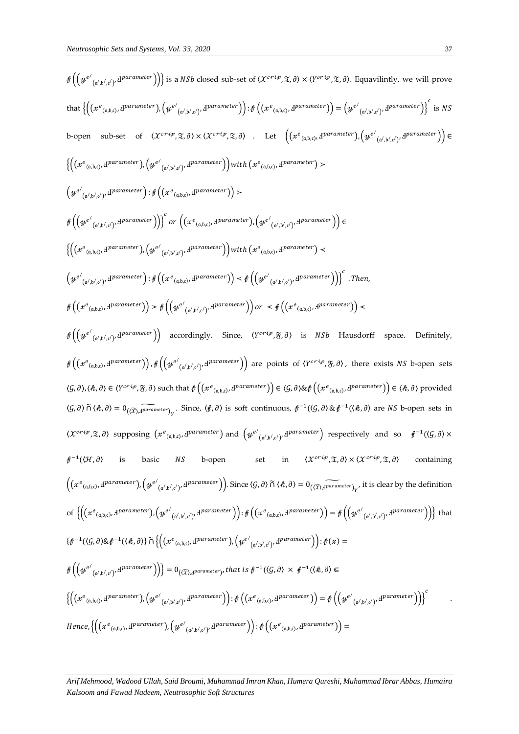$$
f\left(\left\{g^{e'}(x^{i}s_{i}x^{j})+\delta^{parameter}\right)\right\};s \text{ a } NSb \text{ closed sub-set of } (X^{crt}\mathcal{P},\mathfrak{F},\partial) \times (Y^{cr'\mathcal{P}},\mathfrak{T},\partial). \text{ Equativity, we will prove}
$$
\n
$$
f\left(\left\{g^{e'}(x^{i}s_{i}x^{j})+\delta^{parameter}\right)\right\};\mathcal{G}\left(\left\{g^{e'}(x^{j}s_{i}x^{j})+\delta^{parameter}\right\}\right)\right)=\left\{g^{e'}\left(g^{i}s_{i}x^{j}\right)+\delta^{parameter}\right\};s \text{ for } \mathcal{G}\left(\mathfrak{F},\mathfrak{F},\mathfrak{F},\mathfrak{F})\right)=\left(g^{e'}\left(g^{i}s_{i}x^{j}\right)+\delta^{parameter}\right)\right\};s \text{ for } \mathcal{G}\left(\mathfrak{F},\mathfrak{F},\mathfrak{F},\mathfrak{F})\right)=\left\{g^{e'}\left(g^{i}s_{i}x^{j}\right)+\delta^{parameter}\right\};s \text{ for } \mathcal{G}\left(\mathfrak{F},\mathfrak{F},\mathfrak{F},\mathfrak{F})\right)=\left(g^{e'}\left(g^{i}s_{i}x^{j}\right)+\delta^{parameter}\right)\right)\left(g^{e'}\left(g^{i}s_{i}x^{j}\right)+\delta^{parameter}\right)\right)\left(g^{e'}\left(g^{i}s_{i}x^{j}\right)+\delta^{parameter}\right)\right)=\left\{g^{e'}\left(g^{i}s_{i}x^{j}\right)+\delta^{parameter}\right)\right\};s \text{ for } \mathcal{G}\left(\mathfrak{F}^{\mathcal{P},\mathcal{P},\mathcal{P}})\right)=\left(g^{e'}\left(g^{i}s_{i}x^{j}\right)+\delta^{parameter}\right)\right)\left(g^{e'}\left(g^{i}s_{i}x^{j}\right)+\delta^{parameter}\right)\right)=\left(g^{e'}\left(g^{i}s_{i}x^{j}\right)+\delta^{parameter}\right)\right)\left(g^{e'}\left(g^{i}s_{i}x^{j}\right)+\delta^{parameter}\right)=\left(g^{e'}\left(g^{i}s_{i}x^{j}\right)+\delta^{parameter}\right)\right)\left(g^{e'}\left(g^{i}s_{i}x^{j}\right)+\delta^{parameter}\right)=\left(g^{e'}\left(g^{i}s_{i}x
$$

*Arif Mehmood, Wadood Ullah, Said Broumi, Muhammad Imran Khan, Humera Qureshi, Muhammad Ibrar Abbas, Humaira Kalsoom and Fawad Nadeem, Neutrosophic Soft Structures*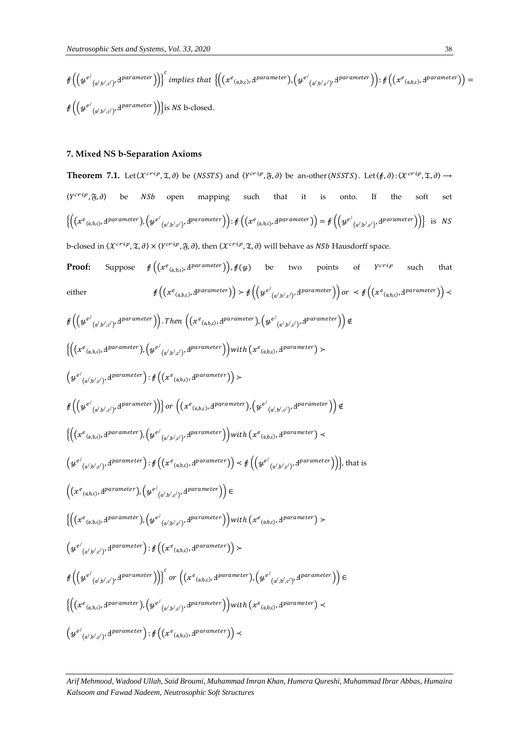$$
\mathscr{E}\left(\left(\mathscr{L}^{e'}_{\left(\mathfrak{a'},\mathfrak{b'},\mathfrak{c'}\right)},\mathfrak{d}^{parameter}\right)\right)\right)^{c} implies that \left\{\left(\left(x^e_{\left(\mathfrak{a},\mathfrak{b},\mathfrak{c}\right)},\mathfrak{d}^{parameter}\right),\left(\mathscr{L}^{e'}_{\left(\mathfrak{a'},\mathfrak{b'},\mathfrak{c'}\right)},\mathfrak{d}^{parameter}\right)\right): \mathscr{E}\left(\left(x^e_{\left(\mathfrak{a},\mathfrak{b},\mathfrak{c}\right)},\mathfrak{d}^{parameter}\right)\right)=\mathscr{E}\left(\left(\mathscr{L}^{e'}_{\left(\mathfrak{a'},\mathfrak{b'},\mathfrak{c'}\right)},\mathfrak{d}^{parameter}\right)\right)\right\}
$$

## **7. Mixed NS b-Separation Axioms**

**Theorem 7.1.** Let  $\langle X^{crip}, \mathfrak{T}, \partial \rangle$  be  $(NSSTS)$  and  $\langle Y^{crip}, \mathfrak{F}, \partial \rangle$  be an-other  $(NSSTS)$ . Let  $\langle f, \partial \rangle$ :  $\langle X^{crip}, \mathfrak{T}, \partial \rangle$   $\rightarrow$  $\langle Y^{crip}, \mathfrak{F}, \partial \rangle$  be *NSb* open mapping such that it is onto. If the soft set  $\left\{\left(\left(xe_{_{(\mathfrak{a},\mathfrak{b},\mathfrak{c})}},\mathfrak{d} \text{parameter}\right),\left(ye_{_{(\mathfrak{a}',\mathfrak{b}',\mathfrak{c}')},\mathfrak{d}}\text{parameter}\right)\right)\colon\mathfrak{f}\left(\left(xe_{_{(\mathfrak{a},\mathfrak{b},\mathfrak{c})}},\mathfrak{d} \text{parameter}\right)\right)\right\}=\mathfrak{f}\left(\left(ye_{_{(\mathfrak{a}',\mathfrak{b}',\mathfrak{c}')},\mathfrak{d}}\text{parameter}\right)\right\}\text{ is }\text{NS}$ b-closed in  $\langle\mathcal{X}^{crip},\mathfrak{X},\partial\rangle\times \langle Y^{crip},\mathfrak{F},\partial\rangle$ , then  $\langle\mathcal{X}^{crip},\mathfrak{X},\partial\rangle$  will behave as NSb Hausdorff space.

**Proof:** Suppose  $\mathscr{f}\left(\left(x^{e}_{(a,b,c)},p^{parameter}\right)\right),\mathscr{f}(y)$  be two points of Y such that either  $\mathscr{E}\left(\left(x^e_{(a,b,c)},\mathbf{d}^{parameter}\right)\right) \geq \mathscr{E}\left(\left(y^{e'}_{(a',b',c')},\mathbf{d}^{parameter}\right)\right)$  or  $\mathscr{E}\left(\left(x^e_{(a,b,c)},\mathbf{d}^{parameter}\right)\right)$ 

$$
\begin{split} &\oint \left(\left(\mathcal{Y}^{e'}_{(\alpha',b',c')},\mathbf{d}^{parameter}\right)\right). Then \left(\left(x^{e}{}_{(a,b,c)},\mathbf{d}^{parameter}\right),\left(\mathcal{Y}^{e'}_{(\alpha',b',c')},\mathbf{d}^{parameter}\right)\right) \notin \\ &\left\{\left(\left(x^{e}{}_{(a,b,c)},\mathbf{d}^{parameter}\right),\left(\mathcal{Y}^{e'}_{(\alpha',b',c')},\mathbf{d}^{parameter}\right)\right) \right.\\ &\left. \left(\mathcal{Y}^{e'}_{(\alpha',b',c')},\mathbf{d}^{parameter}\right):\oint \left(\left(x^{e}{}_{(a,b,c)},\mathbf{d}^{parameter}\right)\right) \right.\\ &\left. \left(\mathcal{Y}^{e'}_{(\alpha',b',c')},\mathbf{d}^{parameter}\right):\oint \left(\left(x^{e}{}_{(a,b,c)},\mathbf{d}^{parameter}\right)\right) \right) \right\}\\ &\left\{\left(\left(x^{e}{}_{(\alpha',b,c)},\mathbf{d}^{parameter}\right),\left(\mathcal{Y}^{e'}_{(\alpha',b',c')},\mathbf{d}^{parameter}\right)\right)\right)\notin \left(\left(x^{e}{}_{(\alpha',b,c)},\mathbf{d}^{parameter}\right),\left(\mathcal{Y}^{e'}_{(\alpha',b',c')},\mathbf{d}^{parameter}\right)\right) \right\}\\ &\left(\left(x^{e}{}_{(\alpha',b,c)},\mathbf{d}^{parameter}\right):\oint \left(\left(x^{e}{}_{(\alpha',b,c)},\mathbf{d}^{parameter}\right)\right) \right) \right.\\ &\left. \left. \left(\mathcal{Y}^{e'}_{(\alpha',b,c)},\mathbf{d}^{parameter}\right):\oint \left(\left(x^{e}{}_{(\alpha',b,c)},\mathbf{d}^{parameter}\right)\right) \right) \in \left\{\left(\left(x^{e}{}_{(\alpha,b,c)},\mathbf{d}^{parameter}\right),\left(\mathcal{Y}^{e'}_{(\alpha',b',c')},\mathbf{d}^{parameter}\right)\right)\right) \right\}\\ &\left. \left(\left(x^{e}{}_{(\alpha,b,c)},\mathbf{d}^{parameter}\right),\left(\mathcal{Y}^{e'}_{(\alpha',b',c')},\mathbf{d}^{parameter}\right)\right) \right) \right\}\\ &\left. \left\{\left(\left(x^{e}{}_{(\alpha,b,c)},\mathbf{d}^{parameter}\right),\left(\mathcal{Y}^{e
$$

*Arif Mehmood, Wadood Ullah, Said Broumi, Muhammad Imran Khan, Humera Qureshi, Muhammad Ibrar Abbas, Humaira Kalsoom and Fawad Nadeem, Neutrosophic Soft Structures*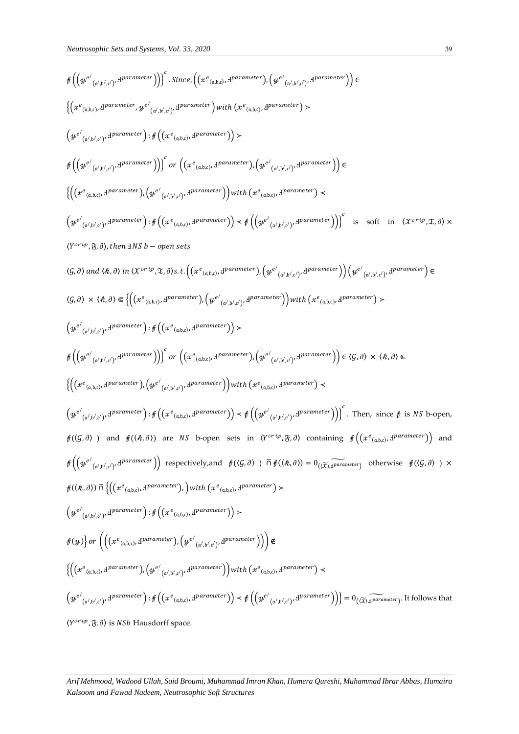$$
f\left(\left\{g^{c'}(\psi_{\langle b',b'\rangle}\cdot d^{parameter})\right\} \right)^{c} . Since \left(\left(x^{c}{}_{(\lambda,b),1}d^{parameter}\right), \left(g^{c'}(\psi_{\langle b',b'\rangle}\cdot d^{parameter}\right)\right) \in
$$
\n
$$
\left\{\left(x^{c}{}_{(\lambda,b),b'}d^{parameter}, g^{c'}(\psi_{\langle b',b'\rangle}\cdot d^{parameter})\right) \text{ if } \left(x^{c}{}_{(\lambda,b),1}d^{parameter}\right) \right) \in
$$
\n
$$
\left(g^{c'}(\psi_{\langle b',b'\rangle}\cdot d^{parameter}) \cdot g^{c'}(\psi_{\langle b',b'\rangle}\cdot d^{parameter})\right) \left\{g^{c'}(\psi_{\langle b',b'\rangle}\cdot d^{parameter})\right\} \in
$$
\n
$$
f\left(\left\{g^{c'}(\psi_{\langle b',b'\rangle}\cdot d^{parameter})\right\} \right)^{c} \text{ or } \left(\left(x^{c}{}_{(\lambda,b),1}d^{parameter}\right)\right) \in \left\{\left(g^{c'}(\psi_{\langle b',b'\rangle}\cdot d^{parameter})\right\} \in
$$
\n
$$
\left(g^{c'}(\psi_{\langle b',b'\rangle}\cdot d^{parameter}) \cdot \left(g^{c'}(\psi_{\langle b',b'\rangle}\cdot d^{parameter})\right) \right) \in f\left(\left(y^{c'}(\psi_{\langle b',b'\rangle}\cdot d^{parameter})\right) \in
$$
\n
$$
\left(g^{c'}(\psi_{\langle b',b'\rangle}\cdot d^{parameter}) \cdot \left(g^{c'}(\psi_{\langle b',b'\rangle}\cdot d^{parameter})\right) \right) \text{ if } \left(x^{c}{}_{(\lambda,b),b'}d^{parameter}\right) \in
$$
\n
$$
\left(g^{c'}(\psi_{\langle b',b'\rangle}\cdot d^{parameter}) \cdot \left(g^{c'}(\psi_{\langle b',b'\rangle}\cdot d^{parameter})\right) \left(g^{c'}(\psi_{\langle b',b'\rangle}\cdot d^{parameter})\right) \right) \left(g^{c'}(\psi_{\langle b',b'\rangle}\cdot d^{parameter}) \right) \in
$$
\n
$$
f\left(\left(x^{c'}(\psi_{\langle b',b'\rangle}\cdot d^{parameter}) \cdot \left(g^{c'}(\psi_{\langle b,b\rangle}\cdot d^{parameter})\right) \right) \left(g^{c'}(\psi_{\langle b',b'\rangle}\cdot d^{parameter})\right) \right) \left(g^{c'}
$$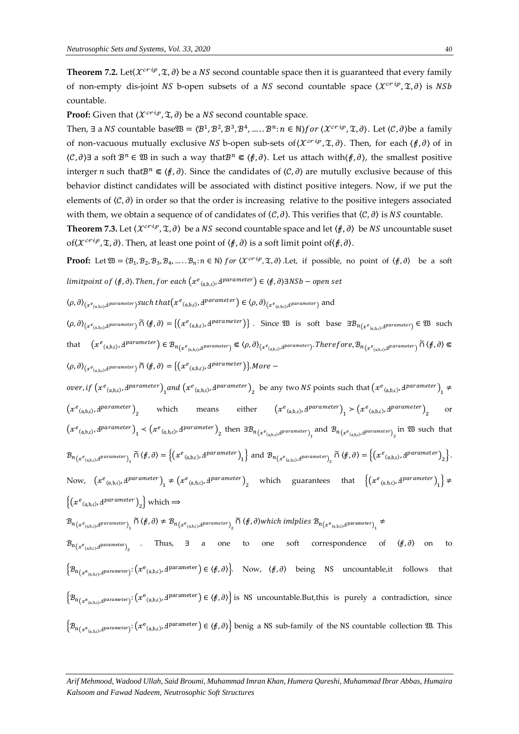**Theorem 7.2.** Let $\langle \mathcal{X}^{crip}, \mathfrak{X}, \partial \rangle$  be a NS second countable space then it is guaranteed that every family of non-empty dis-joint NS b-open subsets of a NS second countable space  $\langle \mathcal{X}^{crip}, \mathfrak{T}, \partial \rangle$  is NSb countable.

**Proof:** Given that  $\langle \mathcal{X}^{crip}, \mathcal{I}, \partial \rangle$  be a NS second countable space.

Then,  $\exists$  a NS countable base  $\mathfrak{W} = \langle \mathcal{B}^1, \mathcal{B}^2, \mathcal{B}^3, \mathcal{B}^4, \dots, \mathcal{B}^n : n \in \mathbb{N} \rangle$  for  $\langle \mathcal{X}^{crip}, \mathfrak{X}, \partial \rangle$ . Let  $\langle \mathcal{C}, \partial \rangle$  be a family of non-vacuous mutually exclusive NS b-open sub-sets of  $(\mathcal{X}^{crip}, \mathfrak{X}, \partial)$ . Then, for each  $\langle \beta, \partial \rangle$  of in  $\langle C, \partial \rangle$  a soft  $\mathcal{B}^n$  ∈  $\mathfrak{W}$  in such a way that $\mathcal{B}^n$  ∈  $\langle \varphi, \partial \rangle$ . Let us attach with $\langle \varphi, \partial \rangle$ , the smallest positive interger *n* such that $B^n \n\t\in \langle f, \partial \rangle$ . Since the candidates of  $\langle \mathcal{C}, \partial \rangle$  are mutully exclusive because of this behavior distinct candidates will be associated with distinct positive integers. Now, if we put the elements of  $\langle C, \partial \rangle$  in order so that the order is increasing relative to the positive integers associated with them, we obtain a sequence of of candidates of  $\langle C, \partial \rangle$ . This verifies that  $\langle C, \partial \rangle$  is NS countable.

**Theorem 7.3.** Let  $\langle \mathcal{X}^{crip}, \mathcal{I}, \partial \rangle$  be a NS second countable space and let  $\langle f, \partial \rangle$  be NS uncountable suset of $\langle \mathcal{X}^{crip}, \mathfrak{X}, \partial \rangle$ . Then, at least one point of  $\langle f, \partial \rangle$  is a soft limit point of $\langle f, \partial \rangle$ .

**Proof:** Let  $\mathfrak{W} = \langle \mathcal{B}_1, \mathcal{B}_2, \mathcal{B}_3, \mathcal{B}_4, \dots, \mathcal{B}_n : n \in \mathbb{N} \rangle$  for  $\langle \mathcal{X}^{crip}, \mathfrak{X}, \partial \rangle$ . Let, if possible, no point of  $\langle f, \partial \rangle$  be a soft limitpoint of  $\langle \ell, \partial \rangle.$  Then, for each  $\left(x^e_{\;(\mathfrak{a},\mathfrak{b},\mathfrak{c})}, \Psi^{parameter}\right) \in \langle \ell, \partial \rangle$ ∃NSb — open set

$$
\langle \rho, \partial \rangle_{(x^e_{(a,b,c)},d^{parameter})} such\ that \big(x^e_{(a,b,c)},d^{parameter}\big) \in \langle \rho, \partial \rangle_{(x^e_{(a,b,c)},d^{parameter})} \ and
$$

 $\langle \rho, \partial \rangle_{(x^e_{(a,b,c)},d^{parameter})}$   $\widetilde{\cap}$   $\langle \phi, \partial \rangle = \{ (x^e_{(a,b,c)},d^{parameter}) \}$ . Since  $\mathfrak{W}$  is soft base  $\exists \mathcal{B}_{n(x^e_{(a,b,c)},d^{parameter})} \in \mathfrak{W}$  such that  $(x^e_{(a,b,c)},d^{parameter})\in \mathcal{B}_{n_{(x^e_{(a,b,c)},d^{parameter})}}\Subset \langle \rho,\partial\rangle_{(x^e_{(a,b,c)},d^{parameter})}. Therefore, \mathcal{B}_{n_{(x^e_{(a,b,c)},d^{parameter})}}\cap (\mathcal{F},\partial)\Subset$  $\langle \rho, \partial \rangle_{(x^e_{(a,b,c),d}p \text{arameter})}$   $\widetilde{\cap}$   $\langle \ell, \partial \rangle = \{ (x^e_{(a,b,c)}, d^{parameter}) \}.$  More  $-$ 

over, if  $(x^e_{(a,b,c)},d^{parameter})$ <sub>1</sub> and  $(x^e_{(a,b,c)},d^{parameter})$ <sub>2</sub> be any two NS points such that  $(x^e_{(a,b,c)},d^{parameter})$ <sub>1</sub>  $\neq$  $(x^e_{(a,b,c)}, d^{parameter})$ <sub>2</sub> which means either  $(x^e)$  $e_{(a,b,c)}$ ,  $d^{parameter}$ <sub>1</sub>  $>$   $\left(x^e_{(a,b,c)}, d^{parameter}\right)_2$ or  $(x^e_{(a,b,c)}, 1^{parameter})$ <sub>1</sub>  $\lt (x^e_{(a,b,c)}, 1^{parameter})$ <sub>2</sub> then  $\exists B_{n(x^e_{(a,b,c)}, 1^{parameter})}$ <sub>1</sub> and  $B_{n(x^e_{(a,b,c)}, 1^{parameter})}$ <sub>2</sub> in  $\mathfrak{W}$  such that  $\mathcal{B}_{n_{\left(\mathcal{X}^{e}_{(a,b,c)},d^{parameter}\right)}_{1}} \cap \left\langle f,\partial\right\rangle = \left\{\left(\mathcal{X}^{e}_{(a,b,c)},\mathcal{Y}^{parameter}\right)_{1}\right\} \text{ and } \mathcal{B}_{n_{\left(\mathcal{X}^{e}_{(a,b,c)},d^{parameter}\right)}_{2}} \cap \left\langle f,\partial\right\rangle = \left\{\left(\mathcal{X}^{e}_{(a,b,c)},\mathcal{Y}^{parameter}\right)_{2}\right\}.$ Now,  $(x^e_{(a,b,c)}, d^{parameter})$ <sub>1</sub>  $\neq (x^e_{(a,b,c)}, d^{parameter})$ <sub>2</sub> which guarantees that  $\{(x^e_{(a,b,c)}, d^{parameter})$ <sub>1</sub> $\}$   $\neq$  $\{(x^e_{(a,b,c)}, A^{parameter})_2\}$  which  $\Rightarrow$  $\mathcal{B}_{n_{\left( x^e_{(a,b,c)},A^{parameter}\right)_{1}}}\cap\left\langle f,\partial\right\rangle \neq \mathcal{B}_{n_{\left( x^e_{(a,b,c)},A^{parameter}\right)_{2}}}\cap\left\langle f,\partial\right\rangle which\ implies\ \mathcal{B}_{n_{\left( x^e_{(a,b,c)},A^{parameter}\right)_{1}}}\neq\mathcal{B}_{n_{\left( x^e_{(a,b,c)},A^{parent}_{1}\right)_{2}}}.$  $\mathcal{B}_{{\bf n}_{\left(\mathcal{X}^{{\bf e}}(a,b,c),d^{{\bf p} \text{arameter}}\right)_2}}$  . Thus,  $\exists$  a one to one soft correspondence of  $\left<\{,\theta}\right>$  on to  $\big\{\mathcal{B}_{n\left(x^{e}_{(a,b,c),d}p\text{arameter}\right)}:\left(x^{e}_{(a,b,c)},d^{parameter}\right)\in\left\langle f,\partial\right\rangle\big\}$ . Now,  $\langle f,\partial\rangle$  being NS uncountable,it follows that  $\big\{\mathcal{B}_{n(x_{(a,b,c),d}^{\text{parameter}}):}(x_{(a,b,c)},d^{\text{parameter}}) \in \langle f,d \rangle\big\}$  is NS uncountable.But,this is purely a contradiction, since  $\left\{\mathcal{B}_{n_{\left(x^{e_{(a,b,c)},d^{parameter}\right)}}:\left(x^{e_{(a,b,c)},d^{parameter}\right)} \in \left\langle f,\partial\right\rangle\right\}$  benig a NS sub-family of the NS countable collection  $\mathfrak{W}.$  This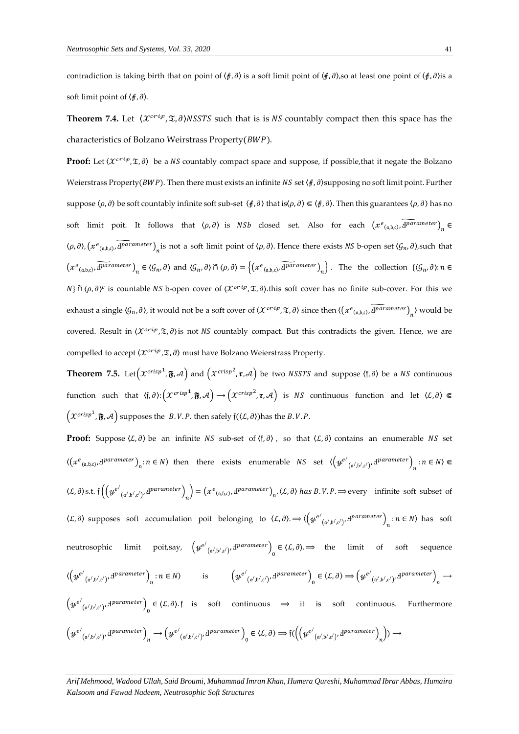contradiction is taking birth that on point of  $\langle f, \partial \rangle$  is a soft limit point of  $\langle f, \partial \rangle$ ,so at least one point of  $\langle f, \partial \rangle$  is a soft limit point of  $\langle f, \partial \rangle$ .

**Theorem 7.4.** Let  $\langle \mathcal{X}^{crip}, \mathcal{X}, \partial \rangle$ NSSTS such that is is NS countably compact then this space has the characteristics of Bolzano Weirstrass Property( $BWP$ ).

**Proof:** Let  $\langle \mathcal{X}^{<sup>{crig}}, \mathcal{I}, \partial \rangle</sup>$  be a NS countably compact space and suppose, if possible, that it negate the Bolzano</sup> Weierstrass Property( $BWP$ ). Then there must exists an infinite  $NS$  set  $\langle f, \partial \rangle$ supposing no soft limit point. Further suppose  $\langle \rho, \partial \rangle$  be soft countably infinite soft sub-set  $\langle \beta, \partial \rangle$  that is $\langle \rho, \partial \rangle \in \langle \beta, \partial \rangle$ . Then this guarantees  $\langle \rho, \partial \rangle$  has no soft limit poit. It follows that  $\langle \rho, \partial \rangle$  is  $NSh$  closed set. Also for each  $(xe_{(a,b,c)}, \overline{a} \overline{parent} e e)$ <sub>n</sub>  $\langle \rho, \partial \rangle$ ,  $\left(x^e_{(a,b,c)}, \widetilde{d}^{parameter}\right)_n$  is not a soft limit point of  $\langle \rho, \partial \rangle$ . Hence there exists NS b-open set  $\langle \mathcal{G}_n, \partial \rangle$ , such that  $(xe_{(a,b,c)}, \overline{A^{parameter}})_n \in \langle \mathcal{G}_n, \partial \rangle$  and  $\langle \mathcal{G}_n, \partial \rangle \cap \langle \rho, \partial \rangle = \left\{ (xe_{(a,b,c)}, \overline{A^{parameter}})_n \right\}$ . The the collection  $\{\langle \mathcal{G}_n, \partial \rangle : n \in \mathbb{N}\}$ N}  $\tilde{\Omega}$  ( $\rho$ , $\partial$ )<sup>c</sup> is countable NS b-open cover of ( $\mathcal{X}^{crtip}$ , $\mathfrak{X}$ , $\partial$ ).this soft cover has no finite sub-cover. For this we exhaust a single  $\langle G_n, \partial \rangle$ , it would not be a soft cover of  $\langle \mathcal{X}^{<sup>crip}</sup>$ </sup>,  $\mathfrak{X}, \partial \rangle$  since then  $\langle (x^e_{(a,b,c)}, \widetilde{4^{parameter}})_n \rangle$  would be covered. Result in  $\langle \mathcal{X}^{crip}, \mathfrak{X}, \partial \rangle$ is not NS countably compact. But this contradicts the given. Hence, we are compelled to accept  $\langle \mathcal{X}^{crip}, \mathfrak{X}, \partial \rangle$  must have Bolzano Weierstrass Property.

**Theorem 7.5.** Let  $(x^{crisp1}, \mathbf{\tilde{y}}, \mathcal{A})$  and  $(x^{crisp2}, \mathbf{r}, \mathcal{A})$  be two NSSTS and suppose  $\langle \mathfrak{f}, \partial \rangle$  be a NS continuous function such that  $\langle f, \partial \rangle : \left( \mathcal{X}^{crisp^1}, \mathfrak{F}, \mathcal{A} \right) \to \left( \mathcal{X}^{crisp^2}, \mathfrak{r}, \mathcal{A} \right)$  is NS continuous function and let  $\langle \mathcal{L}, \partial \rangle \Subset$  $(x^{crisp1}, \mathfrak{F}, \mathcal{A})$  supposes the B.V.P. then safely  $\mathfrak{f}((\mathcal{L}, \partial))$  has the B.V.P.

**Proof:** Suppose  $(\mathcal{L}, \partial)$  be an infinite *NS* sub-set of  $\langle \mathfrak{f}, \partial \rangle$ , so that  $\langle \mathcal{L}, \partial \rangle$  contains an enumerable *NS* set  $\langle (x^e_{(a,b,c)}, d^{parameter})_n : n \in N \rangle$  then there exists enumerable  $NS$  set  $\langle (y^{e'}_{(a',b',c')}, d^{parameter})_n : n \in N \rangle \subseteq$  $\langle L, \partial \rangle$ s.t.  $\int \left( \left( \mathcal{Y}^{e'}_{(a',b',c')}, \mathbf{d}^{parameter} \right)_n \right) = \left( x^e_{(a,b,c)}, \mathbf{d}^{parameter} \right)_n$ ,  $\langle L, \partial \rangle$  has  $B. V. P. \Rightarrow$  every infinite soft subset of  $\langle L, \partial \rangle$  supposes soft accumulation poit belonging to  $\langle L, \partial \rangle \rightarrow \langle \left( y^{e'}_{\alpha', b', c'} \right) \rangle^{d^parameter} \rangle_n : n \in N$  has soft neutrosophic limit poit,say,  $(\psi^{e'}_{(\alpha',b',c')}, d^{parameter})_0 \in \langle L, \partial \rangle \Rightarrow$  the limit of soft sequence  $\langle \left( \mathcal{Y}^{e'}_{(\alpha',\mathfrak{b}',\mathfrak{c}')},\mathbf{d}^{parameter} \right)_n : n \in \mathbb{N} \rangle$  is  $\left( \mathcal{Y}^{e'}_{(\alpha',\mathfrak{b}',\mathfrak{c}')},\mathbf{d}^{parameter} \right)_0 \in \langle \mathcal{L}, \partial \rangle \Longrightarrow \left( \mathcal{Y}^{e'}_{(\alpha',\mathfrak{b}',\mathfrak{c}')},\mathbf{d}^{parameter} \right)_n \rightarrow$  $\left(\mathcal{Y}^{e'}_{\left(\alpha',b',c'\right)},\mathbf{d}^{parameter}\right)_{0} \in \langle L,\partial\rangle.$  [is soft continuous  $\Rightarrow$  it is soft continuous. Furthermore  $\left(\boldsymbol{\mathcal{Y}}^{e'}_{(\mathfrak{a}', \mathfrak{b}', \mathfrak{c}')}, \boldsymbol{\mathrm{d}}^{parameter}\right)_{n} \rightarrow \left(\boldsymbol{\mathcal{Y}}^{e'}_{(\mathfrak{a}', \mathfrak{b}', \mathfrak{c}')}, \boldsymbol{\mathrm{d}}^{parameter}\right)_{0} \in \langle \mathcal{L}, \partial \rangle \Rightarrow \mathfrak{f}((\left(\boldsymbol{\mathcal{Y}}^{e'}_{(\mathfrak{a}', \mathfrak{b}', \mathfrak{c}')}, \boldsymbol{\mathrm{d}}^{parameter})_{n}\right)) \rightarrow$ 

*Arif Mehmood, Wadood Ullah, Said Broumi, Muhammad Imran Khan, Humera Qureshi, Muhammad Ibrar Abbas, Humaira Kalsoom and Fawad Nadeem, Neutrosophic Soft Structures*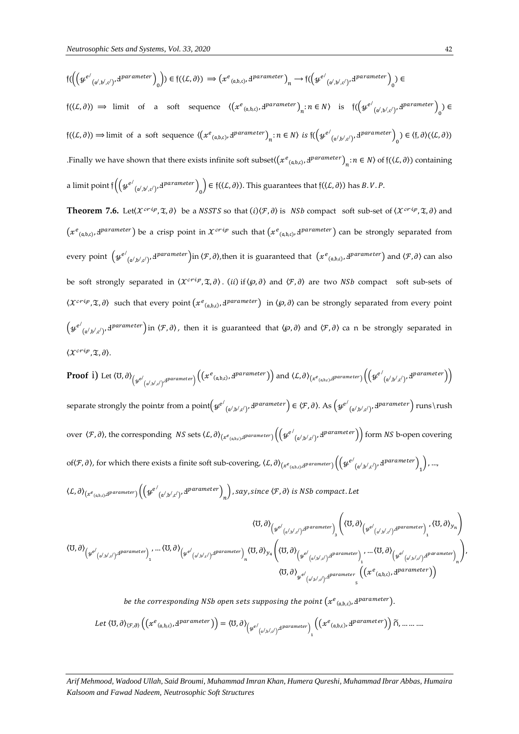$$
f(\left(\psi^{e'}_{(\alpha',b',c')},\Psi^{parameter}\right)_{0}) \in f(\left(\mathcal{L},\partial\right)) \implies \left(x^{e}_{(\alpha,b,c)},\Psi^{parameter}\right)_{n} \to f(\left(\psi^{e'}_{(\alpha',b',c')},\Psi^{parameter}\right)_{0}) \in f(\left(\mathcal{L},\partial\right)) \implies \text{limit of a soft sequence } \left(\left(x^{e}_{(\alpha,b,c)},\Psi^{parameter}\right)_{n}:n \in \mathbb{N}\right) \text{ is } f(\left(\psi^{e'}_{(\alpha',b',c')},\Psi^{parameter}\right)_{0}) \in f(\left(\mathcal{L},\partial\right)) \implies \text{limit of a soft sequence } \left(\left(x^{e}_{(\alpha,b,c)},\Psi^{parameter}\right)_{n}:n \in \mathbb{N}\right) \text{ is } f(\left(\psi^{e'}_{(\alpha',b',c')},\Psi^{parameter}\right)_{0}) \in \left(\mathfrak{f},\partial\right)\left(\left(\mathcal{L},\partial\right)\right)
$$
\n
$$
\text{. Finally we have shown that there exists infinite soft subset}(\left(x^{e}_{(\alpha,b,c)},\Psi^{parameter}\right)_{n}:n \in \mathbb{N}\right) \text{ of } f(\left(\mathcal{L},\partial\right)) \text{ containing a limit point } f\left(\left(\psi^{e'}_{(\alpha',b',c')},\Psi^{parameter}\right)_{0}\right) \in f(\left(\mathcal{L},\partial\right)). \text{ This guarantees that } f(\left(\mathcal{L},\partial\right)) \text{ has } B.V.P.
$$

**Theorem 7.6.** Let( $\chi^{crip}, \mathfrak{X}, \partial$ ) be a NSSTS so that  $(i)(\mathcal{F}, \partial)$  is NSb compact soft sub-set of  $\langle \chi^{crip}, \mathfrak{X}, \partial \rangle$  and  $(x^e_{(a,b,c)},1^{parameter})$  be a crisp point in  $x^{crip}$  such that  $(x^e_{(a,b,c)},1^{parameter})$  can be strongly separated from every point  $(\psi^{e'}_{(\alpha',\beta',c')},d^{parameter})$ in  $\langle \mathcal{F}, \partial \rangle$ , then it is guaranteed that  $(x^e_{(\alpha,\beta,c)},d^{parameter})$  and  $\langle \mathcal{F}, \partial \rangle$  can also be soft strongly separated in  $\langle \mathcal{X}^{crip}, \mathcal{I}, \partial \rangle$ . (ii) if  $\langle \varphi, \partial \rangle$  and  $\langle \mathcal{F}, \partial \rangle$  are two NSb compact soft sub-sets of  $\langle \chi^{cri\rho}, \mathfrak{X}, \partial \rangle$  such that every point  $\left( x^e_{(\mathfrak{a}, \mathfrak{b}, c)}, \Psi^{parameter} \right)$  in  $\langle \varphi, \partial \rangle$  can be strongly separated from every point  $\left(y^{e'}_{(\alpha',\mathfrak{b}',\mathfrak{c}')},d^{parameter}\right)$  in  $\langle \mathcal{F},\partial\rangle$ , then it is guaranteed that  $\langle \wp,\partial\rangle$  and  $\langle \mathcal{F},\partial\rangle$  ca n be strongly separated in  $\langle \mathcal{X}^{crip}, \mathfrak{T}, \partial \rangle.$ 

**Proof** i) Let 
$$
\langle U, \partial \rangle_{(\psi^{e'}(a',b',c')},d^{parameter}) \Big( (x^e_{(a,b,c)},d^{parameter}) \Big)
$$
 and  $\langle L, \partial \rangle_{(x^e_{(a,b,c)},d^{parameter})} \Big( (\psi^{e'}_{(a',b',c')},d^{parameter}) \Big)$   
separate strongly the pointx from a point $(\psi^{e'}_{(a',b',c')},d^{parameter}) \in \langle \mathcal{F}, \partial \rangle$ . As  $(\psi^{e'}_{(a',b',c')},d^{parameter})$  runs  $\rangle$  runs  
over  $\langle \mathcal{F}, \partial \rangle$ , the corresponding *NS* sets  $\langle L, \partial \rangle_{(x^e_{(a,b,c)},d^{parameter})} \Big( (\psi^{e'}_{(a',b',c')},d^{parameter}) \Big)$  form *NS* b-open covering  
of $\langle \mathcal{F}, \partial \rangle$ , for which there exists a finite soft sub-covering,  $\langle L, \partial \rangle_{(x^e_{(a,b,c)},d^{parameter})} \Big( (\psi^{e'}_{(a',b',c')},d^{parameter}) \Big) \Big)$ , ...,  
 $\langle L, \partial \rangle_{(x^e_{(a,b,c)},d^{parameter})} \Big( (\psi^{e'}_{(a',b',c')},d^{parameter}) \Big) \Big)$ , ...,

$$
\langle U, \partial \rangle_{\left(\psi^{e'}(a',b',c')^{d^{parameter}}\right)} \cdot \langle U, \partial \rangle_{\mathcal{H}} \rangle_{1} \cdot \langle U, \partial \rangle_{\left(\psi^{e'}(a',b',c')^{d^{parameter}}\right)} \cdot \langle U, \partial \rangle_{\mathcal{H}} \cdot \langle U, \partial \rangle_{\left(\psi^{e'}(a',b',c')^{d^{parameter}}\right)} \cdot \langle U, \partial \rangle_{\mathcal{H}} \cdot \langle U, \partial \rangle_{\left(\psi^{e'}(a',b',c')^{d^{parameter}}\right)} \cdot \langle U, \partial \rangle_{\left(\psi^{e'}(a',b',c')^{d^{parameter}}\right)} \cdot \langle U, \partial \rangle_{\left(\psi^{e'}(a',b',c')^{d^{parameter}}\right)} \cdot \langle U, \partial \rangle_{\left(\psi^{e'}(a',b',c')^{d^{parameter}}\right)} \cdot \langle U, \partial \rangle_{\left(\psi^{e'}(a',b',c')^{d^{parameter}}\right)} \cdot \langle U, \partial \rangle_{\left(\psi^{e'}(a',b',c')^{d^{parameter}}\right)} \cdot \langle U, \partial \rangle_{\left(\psi^{e'}(a',b',c')^{d^{parameter}}\right)} \cdot \langle U, \partial \rangle_{\left(\psi^{e'}(a',b',c')^{d^{parameter}}\right)} \cdot \langle U, \partial \rangle_{\left(\psi^{e'}(a',b',c')^{d^{parameter}}\right)} \cdot \langle U, \partial \rangle_{\left(\psi^{e'}(a',b',c')^{d^{parameter}}\right)} \cdot \langle U, \partial \rangle_{\left(\psi^{e'}(a',b',c')^{d^{parameter}}\right)} \cdot \langle U, \partial \rangle_{\left(\psi^{e'}(a',b',c')^{d^{parameter}}\right)} \cdot \langle U, \partial \rangle_{\left(\psi^{e'}(a',b',c')^{d^{parameter}}\right)} \cdot \langle U, \partial \rangle_{\left(\psi^{e'}(a',b',c')^{d^{parameter}}\right)} \cdot \langle U, \partial \rangle_{\left(\psi^{e'}(a',b',c')^{d^{parameter}}\right)} \cdot \langle U, \partial \rangle_{\left(\psi^{e'}(a',b',c')^{d^{parameter}}\right)} \cdot \langle U, \partial \rangle_{\left(\psi^{e'}(a',b',c')^{d^{parameter}}\right)} \cdot \langle U, \partial \rangle_{\left(\psi^{e'}(a',b',c')^{d^{parameter}}\right)} \cdot \langle U, \partial \rangle_{\left
$$

be the corresponding NSb open sets supposing the point  $(x^e_{\; (a,b,c)}, 4^{parameter})$ .

$$
Let \langle \mathbf{U}, \partial \rangle_{\langle \mathcal{F}, \partial \rangle} \left( \left( x^e_{(a,b,c)}, x^{parameter} \right) \right) = \langle \mathbf{U}, \partial \rangle_{\left( y^{e'}_{(a',b',c')}, x^{parameter} \right)} \left( \left( x^e_{(a,b,c)}, x^{parameter} \right) \right) \widetilde{\cap}, \dots \dots \dots
$$

*Arif Mehmood, Wadood Ullah, Said Broumi, Muhammad Imran Khan, Humera Qureshi, Muhammad Ibrar Abbas, Humaira Kalsoom and Fawad Nadeem, Neutrosophic Soft Structures*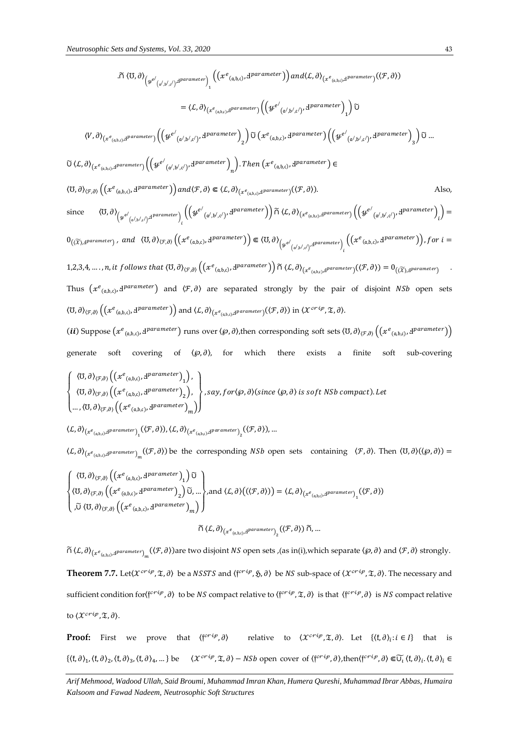$$
\begin{split}\n&\text{.} &\tilde{\Pi} \langle \mathbf{U}, \partial \rangle_{\left(\mathcal{Y}^{e'}(a',b',c')\right)} \mathcal{P}^{parameter}\right)_{1} \left(\mathcal{X}^{e}(a,b,c), \mathcal{B}^{parameter}\right) \text{ and } \langle L, \partial \rangle_{\left(\mathcal{X}^{e}(a,b,c)\right)} \mathcal{P}^{parameter}(\mathcal{F},\partial)) \\
&= \langle L, \partial \rangle_{\left(\mathcal{X}^{e}(a,b,c)\right)} \mathcal{P}^{parameter}\right) \left(\left(\mathcal{Y}^{e'}(a',b',c')\right) \mathcal{P}^{parameter}\right) \text{ and } \langle L, \partial \rangle_{\left(\mathcal{X}^{e}(a',b',c')\right)} \mathcal{P}^{parameter}\right) \\
&\text{.} &\text{.} &\text{.} &\text{.} &\text{.} &\text{.} &\text{.} &\text{.} &\text{.} &\text{.} &\text{.} &\text{.} &\text{.} &\text{.} &\text{.} &\text{.} &\text{.} &\text{.} &\text{.} &\text{.} &\text{.} &\text{.} &\text{.} &\text{.} &\text{.} &\text{.} &\text{.} &\text{.} &\text{.} &\text{.} &\text{.} &\text{.} &\text{.} &\text{.} &\text{.} &\text{.} &\text{.} &\text{.} &\text{.} &\text{.} &\text{.} &\text{.} &\text{.} &\text{.} &\text{.} &\text{.} &\text{.} &\text{.} &\text{.} &\text{.} &\text{.} &\text{.} &\text{.} &\text{.} &\text{.} &\text{.} &\text{.} &\text{.} &\text{.} &\text{.} &\text{.} &\text{.} &\text{.} &\text{.} &\text{.} &\text{.} &\text{.} &\text{.} &\text{.} &\text{.} &\text{.} &\text{.} &\text{.} &\text{.} &\text{.} &\text{.} &\text{.} &\text{.} &\text{.} &\text{.} &\text{.} &\text{.} &\text{.
$$

generate soft covering of  $\langle \wp, \partial \rangle$ , for which there exists a finite soft sub-covering

$$
\begin{Bmatrix} \langle \mathbf{U}, \partial \rangle_{(\mathcal{F}, \partial)} \left( \left( x^e_{(\mathfrak{a}, \mathfrak{b}, \mathfrak{c})}, \mathbf{d}^{parameter} \right)_1 \right), \\ \langle \mathbf{U}, \partial \rangle_{(\mathcal{F}, \partial)} \left( \left( x^e_{(\mathfrak{a}, \mathfrak{b}, \mathfrak{c})}, \mathbf{d}^{parameter} \right)_2 \right), \\ \dots, \langle \mathbf{U}, \partial \rangle_{(\mathcal{F}, \partial)} \left( \left( x^e_{(\mathfrak{a}, \mathfrak{b}, \mathfrak{c})}, \mathbf{d}^{parameter} \right)_m \right) \end{Bmatrix}, say, for \langle \wp, \partial \rangle (since \langle \wp, \partial \rangle is soft NSh compact). Let
$$

$$
\langle \mathcal{L}, \partial \rangle_{\left(\mathcal{X}^e_{(a,b,c)}, \mathcal{A}^{parameter}\right)_1}(\langle \mathcal{F}, \partial \rangle), \langle \mathcal{L}, \partial \rangle_{\left(\mathcal{X}^e_{(a,b,c)}, \mathcal{A}^{parameter}\right)_2}(\langle \mathcal{F}, \partial \rangle), \dots
$$

 $\langle L, \partial \rangle_{(x^e_{(a,b,c)},d^{parameter})_{m}}(\langle F, \partial \rangle)$  be the corresponding  $NSh$  open sets containing  $\langle F, \partial \rangle$ . Then  $\langle U, \partial \rangle(\langle \wp, \partial \rangle)$  =

$$
\begin{cases}\n\langle \mathbf{U}, \partial \rangle_{\langle \mathcal{F}, \partial \rangle} \left( \left( x^e_{(a,b,c)}, \mathbf{d}^{parameter} \right)_1 \right) \widetilde{\mathbf{U}} \\
\langle \mathbf{U}, \partial \rangle_{\langle \mathcal{F}, \partial \rangle} \left( \left( x^e_{(a,b,c)}, \mathbf{d}^{parameter} \right)_2 \right) \widetilde{\mathbf{U}}, \dots \right), \text{and } \langle \mathcal{L}, \partial \rangle \left( \langle \mathcal{F}, \partial \rangle \right) = \langle \mathcal{L}, \partial \rangle_{\langle x^e_{(a,b,c)}, \mathbf{d}^{parameter} \rangle} \left( \langle \mathcal{F}, \partial \rangle \right) \\
\widetilde{\mathbf{U}} \langle \mathbf{U}, \partial \rangle_{\langle \mathcal{F}, \partial \rangle} \left( \left( x^e_{(a,b,c)}, \mathbf{d}^{parameter} \right)_m \right)\n\end{cases}
$$
\n
$$
\widetilde{\mathbf{U}} \langle \mathcal{L}, \partial \rangle_{\langle x^e_{(a,b,c)}, \mathbf{d}^{parameter} \rangle} \left( \langle \mathcal{F}, \partial \rangle \right) \widetilde{\mathbf{U}}, \dots
$$

$$
\tilde{\cap} \langle L, \partial \rangle_{(x^e_{(a,b,c)},d\text{parameter})_m} (\langle \mathcal{F}, \partial \rangle)
$$
 are two disjoint *NS* open sets, (as in(i), which separate  $\langle \varphi, \partial \rangle$  and  $\langle \mathcal{F}, \partial \rangle$  strongly. **Theorem 7.7.** Let $\langle X^{cri\psi}, \mathfrak{X}, \partial \rangle$  be a *NSSTS* and  $\langle f^{cri\psi}, \mathfrak{H}, \partial \rangle$  be *NS* sub-space of  $\langle X^{cri\psi}, \mathfrak{X}, \partial \rangle$ . The necessary and sufficient condition for $\langle f^{cri\psi}, \partial \rangle$  to be *NS* compact relative to  $\langle f^{cri\psi}, \mathfrak{X}, \partial \rangle$  is that  $\langle f^{cri\psi}, \partial \rangle$  is *NS* compact relative to  $\langle X^{cri\psi}, \mathfrak{X}, \partial \rangle$ .

**Proof:** First we prove that  $\langle f^{crip}, \partial \rangle$  relative to  $\langle \mathcal{X}^{crip}, \mathfrak{X}, \partial \rangle$ . Let  $\{ \langle f, \partial \rangle_i : i \in I \}$  that is  $\{\langle f, \partial \rangle_1, \langle f, \partial \rangle_2, \langle f, \partial \rangle_3, \langle f, \partial \rangle_4, ...\}$  be  $\langle \chi^{c r i \rho}, \mathfrak{X}, \partial \rangle - N S b$  open cover of  $\langle f^{c r i \rho}, \partial \rangle$ , then $\langle f^{c r i \rho}, \partial \rangle \in \widetilde{U}_l \langle f, \partial \rangle_i$ .  $\langle f, \partial \rangle_i \in \mathfrak{S}_l$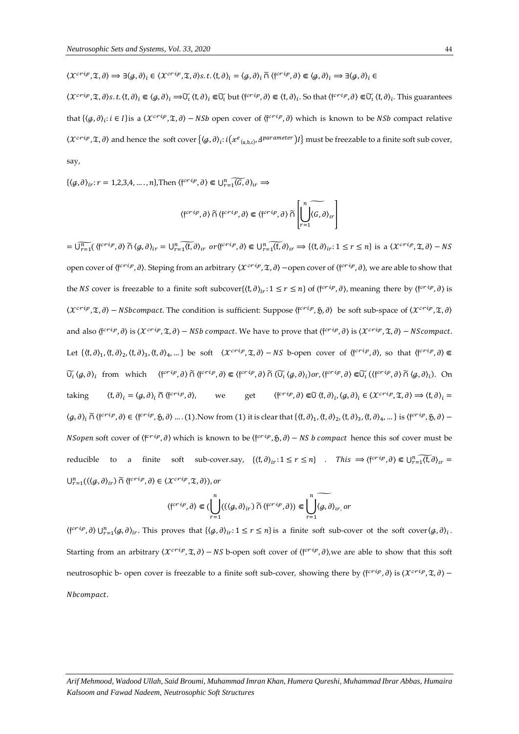$\langle \mathcal{X}^{crip}, \mathfrak{X}, \partial \rangle \Longrightarrow \exists \langle \mathcal{G}, \partial \rangle_i \in \langle \mathcal{X}^{crip}, \mathfrak{X}, \partial \rangle_S. t.\langle \mathfrak{k}, \partial \rangle_i = \langle \mathcal{G}, \partial \rangle_i \ \widetilde{\cap} \ \langle \mathfrak{f}^{crip}, \partial \rangle \Subset \langle \mathcal{G}, \partial \rangle_i \Longrightarrow \exists \langle \mathcal{G}, \partial \rangle_i \in \mathcal{X}^{crip}$ 

 $\langle \mathcal{X}^{crip}, \mathfrak{X}, \partial \rangle_{\mathfrak{s}}.$   $t. \langle \mathfrak{f}, \partial \rangle_{i} \in \langle g, \partial \rangle_{i} \Rightarrow \widetilde{U_{i}} \langle \mathfrak{f}, \partial \rangle_{i} \in \widetilde{U_{i}}$  but  $\langle \mathfrak{f}^{crip}, \partial \rangle \in \langle \mathfrak{f}, \partial \rangle_{i}$ . So that  $\langle \mathfrak{f}^{crip}, \partial \rangle \in \widetilde{U_{i}} \langle \mathfrak{f}, \partial \rangle_{i}$ . This guarantees that  $\{\langle \varphi, \partial \rangle_i : i \in I\}$  is a  $\langle \mathcal{X}^{cri\varphi}, \mathfrak{X}, \partial \rangle$  – NSb open cover of  $\{\mathfrak{f}^{cri\varphi}, \partial \rangle$  which is known to be NSb compact relative  $\chi$ crip, $\frak X$ , $\partial$ ) and hence the soft cover  $\{(\cal G,\partial)_l:i(\chi^e_{({\frak a},{\frak b},\frak c)},{\frak d}^{parameter})l\}$  must be freezable to a finite soft sub cover, say,

 $\{\langle \varrho, \partial \rangle_{ir}: r = 1, 2, 3, 4, \ldots, n\},$ Then  $\langle f^{crip}, \partial \rangle \in \bigcup_{r=1}^n \widetilde{\langle G, \partial \rangle}_{ir} \Rightarrow$ 

$$
\langle \mathfrak{f}^{crip},\partial\rangle\,\widetilde{\cap}\,\langle \mathfrak{f}^{crip},\partial\rangle\Subset \langle \mathfrak{f}^{crip},\partial\rangle\,\widetilde{\cap}\left[\bigcup_{r=1}^n\widetilde{\langle G,\partial\rangle}_{tr}\right]
$$

 $=\widetilde{\bigcup_{r=1}^{n}}(\langle f^{crip},\partial\rangle \widetilde{\cap}\langle \mathcal{G},\partial\rangle_{ir}=\bigcup_{r=1}^{n}\widetilde{\langle f},\partial\rangle_{ir} \text{ or } \langle f^{crip},\partial\rangle\Subset\bigcup_{r=1}^{n}\widetilde{\langle f},\partial\rangle_{ir}:\mathbf{1}\leq r\leq n\} \text{ is a }\langle \mathcal{X}^{crip},\mathfrak{X},\partial\rangle-NS$ open cover of  $\{\mathfrak{f}^{critp},\partial\}$ . Steping from an arbitrary  $\langle X^{critp},\mathfrak{X},\partial\rangle$  —open cover of  $\{\mathfrak{f}^{critp},\partial\rangle$ , we are able to show that the *NS* cover is freezable to a finite soft subcover $\{(f, \partial)_{ir}: 1 \leq r \leq n\}$  of  $\{\int f^{cri\varphi}, \partial \}$ , meaning there by  $\{\int f^{cri\varphi}, \partial \}$  is  $\langle \chi^{crip}, \mathfrak{X}, \partial \rangle$  – NSbcompact. The condition is sufficient: Suppose  $\langle f^{crip}, \mathfrak{H}, \partial \rangle$  be soft sub-space of  $\langle \chi^{crip}, \mathfrak{X}, \partial \rangle$ and also  $\langle f^{crip}, \partial \rangle$  is  $\langle \mathcal{X}^{crip}, \mathfrak{X}, \partial \rangle - NSb$  compact. We have to prove that  $\langle f^{crip}, \partial \rangle$  is  $\langle \mathcal{X}^{crip}, \mathfrak{X}, \partial \rangle - NScompact.$ Let  $\{\langle f, \partial \rangle_1, \langle f, \partial \rangle_2, \langle f, \partial \rangle_3, \langle f, \partial \rangle_4, ...\}$  be soft  $\langle \mathcal{X}^{cri\varphi}, \mathfrak{X}, \partial \rangle - NS$  b-open cover of  $\langle f^{cri\varphi}, \partial \rangle$ , so that  $\langle f^{cri\varphi}, \partial \rangle \in$  $\widetilde{U}_l$   $(g, \partial)_l$  from which  $\langle f^{crit} \rangle$ ,  $\partial \rangle$   $\widetilde{\Omega}$   $\langle f^{crit} \rangle$ ,  $\partial \rangle$   $\widetilde{\Omega}$   $\langle \widetilde{U}_l \langle g, \partial \rangle_l \rangle$  or,  $\langle f^{crit} \rangle$ ,  $\partial \rangle \in \widetilde{U}_l$   $(\langle f^{crit} \rangle, \partial \rangle \widetilde{\Omega} \langle g, \partial \rangle_l)$ . On taking  $\langle f, \partial \rangle_i = \langle g, \partial \rangle_i \cap \langle f^{crip}, \partial \rangle$ , we get  $\langle f^{crip}, \partial \rangle \Subset \widetilde{\cup} \langle f, \partial \rangle_i, \langle g, \partial \rangle_i \in \langle \mathcal{X}^{crip}, \mathfrak{X}, \partial \rangle \Longrightarrow \langle f, \partial \rangle_i =$  $\langle g, \partial \rangle_i \cap \langle f^{crip}, \partial \rangle \in \langle f^{crip}, \mathfrak{H}, \partial \rangle \dots (1)$ . Now from  $(1)$  it is clear that  $\{ \langle \mathfrak{f}, \partial \rangle_1, \langle \mathfrak{f}, \partial \rangle_2, \langle \mathfrak{f}, \partial \rangle_3, \langle \mathfrak{f}, \partial \rangle_4, \dots \}$  is  $\langle f^{crip}, \mathfrak{H}, \partial \rangle - \langle f^{crip}, \partial \rangle$ *NSopen* soft cover of  $\{f^{crip}, \partial\}$  which is known to be  $\{f^{crip}, \mathfrak{H}, \partial\}$  – *NS b compact* hence this sof cover must be reducible to a finite soft sub-cover.say,  $\{\langle f, \partial \rangle_{ir}: 1 \le r \le n\}$  . This  $\Rightarrow \langle f^{crip}, \partial \rangle \in \bigcup_{r=1}^n \widetilde{\langle f, \partial \rangle}_{ir}$  $\bigcup_{r=1}^n ((\langle \mathcal{G}, \partial \rangle_{ir}) \widetilde{\cap} \langle f^{cri\varphi}, \partial \rangle \in \langle \mathcal{X}^{cri\varphi}, \mathfrak{T}, \partial \rangle),$  or

$$
\langle \mathfrak{f}^{crip},\partial\rangle\Subset (\displaystyle\bigcup_{r=1}^n((\langle g,\partial\rangle_{ir})\ \widetilde{\cap}\ \langle \mathfrak{f}^{crip},\partial\rangle)\Subset \displaystyle\bigcup_{r=1}^n\widetilde{\langle g,\partial\rangle_{ir,\partial r}}
$$

 $\langle f^{c r i p}, \partial \rangle \cup_{r=1}^n \langle g, \partial \rangle_{ir}$ . This proves that  $\{ \langle g, \partial \rangle_{ir} : 1 \le r \le n \}$  is a finite soft sub-cover ot the soft cover  $\langle g, \partial \rangle_{i}$ . Starting from an arbitrary  $\langle X^{crip}, \mathfrak{X}, \partial \rangle - NS$  b-open soft cover of  $\langle f^{crip}, \partial \rangle$ , we are able to show that this soft neutrosophic b- open cover is freezable to a finite soft sub-cover, showing there by  $\langle f^{crip}, \theta \rangle$  is  $\langle X^{crip}, \mathfrak{X}, \theta \rangle$  – Nbcompact.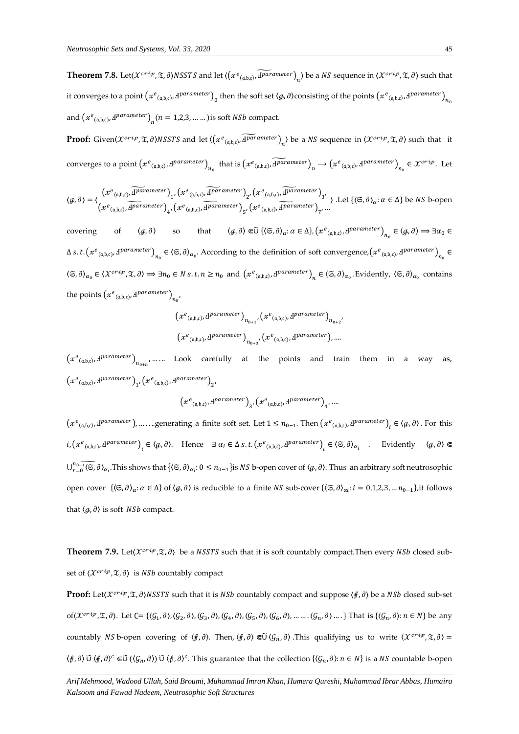**Theorem 7.8.** Let( $\chi^{crip}$ ,  $\mathfrak{X}$ ,  $\partial$ )NSSTS and let  $(\chi^{e_{(a,b,c)}}, \widetilde{A^{parameter}})_{n}$ ) be a NS sequence in  $(\chi^{crip}, \mathfrak{X}, \partial)$  such that it converges to a point  $(x^e_{(a,b,c)},1^{parameter})_0$  then the soft set  $\langle g,\partial\rangle$ consisting of the points  $(x^e_{(a,b,c)},1^{parameter})_{n_c}$ and  $(x^e_{(a,b,c)}, \mathbf{d}^{parameter})_{n} (n = 1,2,3,.......)$  is soft *NSb* compact.

**Proof:** Given $\langle \mathcal{X}^{crip}, \mathfrak{X}, \partial \rangle$ NSSTS and let  $\langle (x^e_{(a,b,c)}, \widetilde{d^{parameter}})_n \rangle$  be a NS sequence in  $\langle \mathcal{X}^{crip}, \mathfrak{X}, \partial \rangle$  such that it converges to a point  $(x^e_{(a,b,c)}, d^{parameter})_{n_0}$  that is  $(x^e_{(a,b,c)}, \widetilde{d^{parameter}})_{n} \to (x^e_{(a,b,c)}, d^{parameter})_{n_0} \in x^{c \cdot r \cdot i p}$ . Let

$$
\langle g, \partial \rangle = \langle \begin{pmatrix} x^e_{(a,b,c)}, \overline{H^{arameter}}_1, \big( x^e_{(a,b,c)}, \overline{H^{arameter}}_2 \big)_{2}, \big( x^e_{(a,b,c)}, \overline{H^{arameter}}_3 \big)_{3}, \\ x^e_{(a,b,c)}, \overline{H^{arameter}}_4, \big( x^e_{(a,b,c)}, \overline{H^{arameter}}_5 \big)_{5}, \big( x^e_{(a,b,c)}, \overline{H^{arameter}}_7 \big)_{7}, \dots \end{pmatrix} \rangle
$$
 Let  $\{ \langle \mathfrak{S}, \partial \rangle_{\alpha} : \alpha \in \Delta \}$  be NS b-open

covering of  $\langle \mathcal{G}, \partial \rangle$  so that  $\langle \mathcal{G}, \partial \rangle \in \widetilde{\cup} \{ \langle \mathfrak{S}, \partial \rangle_{\alpha} : \alpha \in \Delta \}, \left( x^e_{(a,b,c)}, x^{parameter} \right)_{n_0} \in \langle \mathcal{G}, \partial \rangle \Rightarrow \exists \alpha_0 \in \mathfrak{S} \}$  $\Delta$  *s.t.*  $(xe_{(a,b,c)},x^{parameter})_{n_0} \in (\mathfrak{S},\partial)_{\alpha_0}$ . According to the definition of soft convergence,  $(xe_{(a,b,c)},x^{parameter})_{n_0} \in (\mathfrak{S},\partial)_{\alpha_0}$  $\langle \mathfrak{S}, \partial \rangle_{\alpha_0} \in \langle \mathcal{X}^{crip}, \mathfrak{X}, \partial \rangle \Rightarrow \exists n_0 \in N \text{ s.t. } n \geq n_0 \text{ and } \left( \mathcal{X}^e_{(\alpha, \beta, c)}, \mathcal{Y}^{parameter} \right)_n \in \langle \mathfrak{S}, \partial \rangle_{\alpha_0}$ . Evidently,  $\langle \mathfrak{S}, \partial \rangle_{\alpha_0}$  contains the points  $(x^e_{(a,b,c)}, d^{parameter})_{n_0}$ 

$$
\begin{aligned} &\left(\mathcal{X}^e_{\; (a,b,c)},\mathrm{d}^{parameter}\right)_{n_{0+1}}, \left(\mathcal{X}^e_{\; (a,b,c)},\mathrm{d}^{parameter}\right)_{n_{0+2}}, \\ &\left(\mathcal{X}^e_{\; (a,b,c)},\mathrm{d}^{parameter}\right)_{n_{0+3}}, \left(\mathcal{X}^e_{\; (a,b,c)},\mathrm{d}^{parameter}\right),\ldots. \end{aligned}
$$

 $(xe_{(a,b,c)},a^{parameter})_{n_{0+n}},\dots$ . Look carefully at the points and train them in a way as,  $\left(x^e_{~(\mathfrak{a}, \mathfrak{b}, \mathfrak{c})}, \Psi^{parameter}\right)_1, \left(x^e_{~(\mathfrak{a}, \mathfrak{b}, \mathfrak{c})}, \Psi^{parameter}\right)_2,$ 

$$
\left(x^e_{\; (a,b,c)}, \mathrm{d}^{parameter}\right)_{3}, \left(x^e_{\; (a,b,c)}, \mathrm{d}^{parameter}\right)_{4}, \ldots
$$

 $(x^e_{(a,b,c)},d^{parameter})$ , .......generating a finite soft set. Let  $1 \le n_{0-1}$ . Then  $(x^e_{(a,b,c)},d^{parameter})$ <sub>i</sub>  $\in \langle g, \partial \rangle$ . For this  $i, (\mathcal{X}^e_{(a,b,c)}, d^{parameter})_i \in \langle \mathcal{G}, \partial \rangle$ . Hence  $\exists \alpha_i \in \Delta s. t. (\mathcal{X}^e_{(a,b,c)}, d^{parameter})_i \in \langle \mathfrak{S}, \partial \rangle_{\alpha_i}$  . Evidently  $\langle \mathcal{G}, \partial \rangle \in$  $\bigcup_{r=0}^{n_0-1} \widetilde{\langle \mathfrak{S}, \partial \rangle}_{\alpha_i}$ . This shows that  $\{ \langle \mathfrak{S}, \partial \rangle_{\alpha_i}$ :  $0 \leq n_0-1 \}$ is *NS* b-open cover of  $\langle \mathcal{G}, \partial \rangle$ . Thus an arbitrary soft neutrosophic open cover  $\{\langle \mathfrak{S}, \partial \rangle_{\alpha} : \alpha \in \Delta\}$  of  $\langle \mathcal{G}, \partial \rangle$  is reducible to a finite NS sub-cover  $\{\langle \mathfrak{S}, \partial \rangle_{\alpha} : i = 0, 1, 2, 3, ..., n_{0-1}\}\$ , it follows that  $\langle q, \partial \rangle$  is soft *NSb* compact.

**Theorem 7.9.** Let( $\mathcal{X}^{crip}, \mathcal{Z}, \partial$ ) be a *NSSTS* such that it is soft countably compact. Then every *NSb* closed subset of  $\langle \mathcal{X}^{crip}, \mathcal{I}, \partial \rangle$  is *NSb* countably compact

**Proof:** Let( $X^{crip}$ ,  $\tilde{x}$ ,  $\partial$ )NSSTS such that it is NSb countably compact and suppose  $\langle f, \partial \rangle$  be a NSb closed sub-set of( $\mathcal{X}^{crip}, \mathfrak{X}, \partial$ ). Let  $C = \{\langle G_1, \partial \rangle, \langle G_2, \partial \rangle, \langle G_3, \partial \rangle, \langle G_4, \partial \rangle, \langle G_5, \partial \rangle, \langle G_6, \partial \rangle, \dots \dots \langle G_n, \partial \rangle \dots\}$  That is  $\{\langle G_n, \partial \rangle : n \in \mathbb{N}\}$  be any countably *NS* b-open covering of  $\langle f, \partial \rangle$ . Then,  $\langle f, \partial \rangle \in \widetilde{U} \langle \mathcal{G}_n, \partial \rangle$ . This qualifying us to write  $\langle \mathcal{X}^{crip}, \mathfrak{X}, \partial \rangle =$  $\langle f, \partial \rangle$   $\tilde{\cup}$   $\langle f, \partial \rangle^c \in \tilde{\cup}$   $(\langle \mathcal{G}_n, \partial \rangle)$   $\tilde{\cup}$   $\langle f, \partial \rangle^c$ . This guarantee that the collection  $\{\langle \mathcal{G}_n, \partial \rangle : n \in N\}$  is a NS countable b-open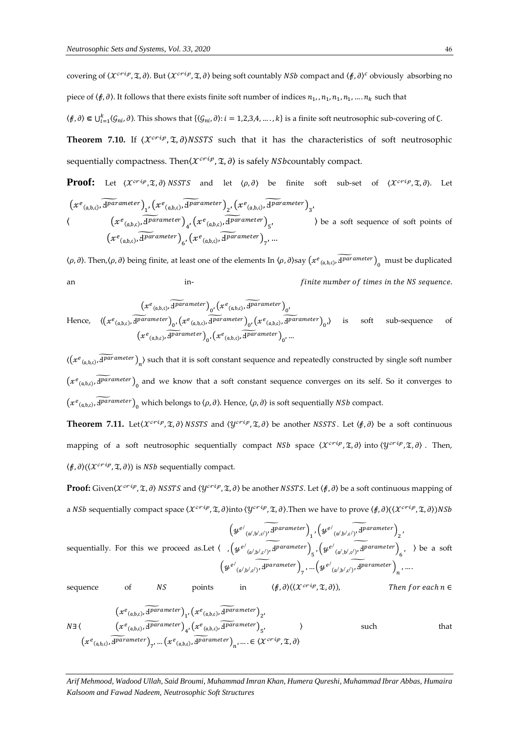covering of  $\langle \mathcal{X}^{crip}, \mathfrak{X}, \partial \rangle$ . But  $\langle \mathcal{X}^{crip}, \mathfrak{X}, \partial \rangle$  being soft countably NSb compact and  $\langle f, \partial \rangle^c$  obviously absorbing no piece of  $\langle f, \partial \rangle$ . It follows that there exists finite soft number of indices  $n_1, n_1, n_1, n_1, \ldots, n_k$  such that

 $\langle f, \partial \rangle \in \bigcup_{i=1}^k \langle \mathcal{G}_{ni}, \partial \rangle$ . This shows that  $\{\langle \mathcal{G}_{ni}, \partial \rangle : i = 1, 2, 3, 4, ..., k\}$  is a finite soft neutrosophic sub-covering of C.

**Theorem 7.10.** If  $\langle \mathcal{X}^{crip}, \mathcal{I}, \partial \rangle$ NSSTS such that it has the characteristics of soft neutrosophic sequentially compactness. Then  $(\mathcal{X}^{crtip}, \mathfrak{T}, \partial)$  is safely NSb countably compact.

**Proof:** Let 
$$
(X^{crip}, \mathfrak{X}, \partial)
$$
 NSTS and let  $\langle \rho, \partial \rangle$  be finite soft sub-set of  $(X^{crip}, \mathfrak{X}, \partial)$ . Let  $(x^e_{(a,b,c)}, \overline{d\nu}a$  (where  $\mathfrak{X}^{(c)}, \overline{d})$  is the same as follows:  $(x^e_{(a,b,c)}, \overline{d\nu}a$  (where  $\mathfrak{X}^{(c)}, \overline{d\nu}a$  (where  $\mathfrak{X}^{(c)}, \overline{d\nu}a$  (where  $\mathfrak{X}^{(c)}, \overline{d\nu}a$  (where  $\mathfrak{X}^{(c)}, \overline{d\nu}a$  (where  $\mathfrak{X}^{(c)}, \overline{d\nu}a$  (where  $\mathfrak{X}^{(c)}, \overline{d\nu}a$  (where  $\mathfrak{X}^{(c)}, \overline{d\nu}a$  (where  $\mathfrak{X}^{(c)}, \overline{d\nu}a$  (where  $\mathfrak{X}^{(c)}, \overline{d\nu}a$  (where  $\mathfrak{X}^{(c)}, \overline{d\nu}a$  (where  $\mathfrak{X}^{(c)}, \overline{d\nu}a$  (where  $\mathfrak{X}^{(c)}, \overline{d\nu}a$  (where  $\mathfrak{X}^{(c)}, \overline{d\nu}a$  (where  $\mathfrak{X}^{(c)}, \overline{d\nu}a$  (where  $\mathfrak{X}^{(c)}, \overline{d\nu}a$  (where  $\mathfrak{X}^{(c)}, \overline{d\nu}a$  (where  $\mathfrak{X}^{(c)}, \overline{d\nu}a$  (where  $\mathfrak{X}^{(c)}, \overline{d\nu}a$  (where  $\mathfrak{X}^{(c)}, \overline{d\nu}a$  (where  $\mathfrak{X}^{(c)}, \overline{d\nu}a$  (where  $\mathfrak{X}^{(c)}, \overline{d\nu}a$  (where  $\mathfrak{X}^{(c)}, \overline{d\nu}a$  (where  $\mathfrak{X}^{(c)}, \overline{d$ 

 $\langle \rho, \partial \rangle$ . Then,  $\langle \rho, \partial \rangle$  being finite, at least one of the elements In  $\langle \rho, \partial \rangle$ say  $(xe_{(a,b,c)}, \widetilde{H^{parameter}})_{0}$  must be duplicated an in-  $\qquad \qquad$  in-  $\qquad \qquad$  finite number of times in the NS sequence.

Hence, 
$$
\frac{(x^e_{(a,b,c)}, \overline{d^{parameter}})_{0'}(x^e_{(a,b,c)}, \overline{d^{parameter}})_{0'}}{(x^e_{(a,b,c)}, \overline{d^{parameter}})_{0'}(x^e_{(a,b,c)}, \overline{d^{parameter}})_{0'}(x^e_{(a,b,c)}, \overline{d^{parameter}})_{0'}})
$$
 is soft sub-sequence of 
$$
(x^e_{(a,b,c)}, \overline{d^{parameter}})_{0'}(x^e_{(a,b,c)}, \overline{d^{parameter}})_{0'}...
$$

 $\langle (x^e_{(a,b,c)}, \widetilde{4} \widetilde{p}^{arameter})_{n} \rangle$  such that it is soft constant sequence and repeatedly constructed by single soft number  $(x^e_{(a,b,c)}, \widetilde{A^{parameter}})_{0}$  and we know that a soft constant sequence converges on its self. So it converges to  $(xe_{(a,b,c)}, \widetilde{A^{parameter}})_{0}$  which belongs to  $\langle \rho, \partial \rangle$ . Hence,  $\langle \rho, \partial \rangle$  is soft sequentially *NSb* compact.

**Theorem 7.11.** Let  $(X^{crip}, \mathfrak{T}, \partial)$  NSSTS and  $(Y^{crip}, \mathfrak{T}, \partial)$  be another NSSTS. Let  $\langle f, \partial \rangle$  be a soft continuous mapping of a soft neutrosophic sequentially compact NSb space  $\langle X^{crip}, \mathfrak{X}, \partial \rangle$  into  $\langle Y^{crip}, \mathfrak{X}, \partial \rangle$ . Then,  $\langle f, \partial \rangle (\langle \mathcal{X}^{crip}, \mathfrak{T}, \partial \rangle)$  is *NSb* sequentially compact.

**Proof:** Given $\langle \mathcal{X}^{crip}, \mathcal{X}, \partial \rangle$  NSSTS and  $\langle \mathcal{Y}^{crip}, \mathcal{X}, \partial \rangle$  be another NSSTS. Let  $\langle \mathcal{f}, \partial \rangle$  be a soft continuous mapping of a NSb sequentially compact space  $(\mathcal{X}^{crip}, \mathfrak{X}, \partial)$  into  $(\mathcal{Y}^{crip}, \mathfrak{X}, \partial)$ . Then we have to prove  $(\phi, \partial) ((\mathcal{X}^{crip}, \mathfrak{X}, \partial))$ NSb

sequentially. For this we proceed as.Let  $\langle , ( \psi^{e'}_{(a',b',c')}, \overline{4}^{parameter} )_{5}, ( \psi^{e'}_{(a',b',c')}, \overline{4}^{parameter} )_{6}, \rangle$  be a soft  $\left(y^{e^{\prime}}\sqrt{\sqrt{\lambda^{(1)}\cdot\lambda^{(1)}}}\right)^{A}$  parameter  $\int_{1}^{} , \left(y^{e^{\prime}}\sqrt{\sqrt{\lambda^{(1)}\cdot\lambda^{(1)}}}\right)^{A}$  parameter  $\right)_{2}^{}$  $\left(y^{e^{\prime}}\sqrt{\Delta_{(a^{\prime},b^{\prime},c^{\prime})}},\mathcal{I}^{parameter}\right)_{7},...,\left(y^{e^{\prime}}\sqrt{\Delta_{(a^{\prime},b^{\prime},c^{\prime})}},\mathcal{I}^{parameter}\right)_{n},...$ sequence of  $NS$  points in  $\langle f, \partial \rangle (\langle X^{cri\rho}, \mathfrak{X}, \partial \rangle)$ , Then for each  $n \in \mathbb{N}$ 

$$
(x^{e_{(a,b,c)}, \overline{d} \overline{p}} a^{r \overline{a} \overline{b}})_{1}, (x^{e_{(a,b,c)}, \overline{d} \overline{p}} a^{r \overline{a} \overline{b}})_{2},
$$
\n
$$
N \exists \langle \underbrace{(x^{e_{(a,b,c)}, \overline{d} \overline{p}} a^{r \overline{a}} a^{r \overline{b}})}_{\{x^{e_{(a,b,c)}, \overline{d} \overline{p}} a^{r \overline{a}} a^{r \overline{b}} \}^{a}_{4}, (x^{e_{(a,b,c)}, \overline{d} \overline{p}} a^{r \overline{a}} a^{r \overline{b}})_{5}, \dots, (x^{e_{(a,b,c)}, \overline{d} \overline{p}} a^{r \overline{a}} a^{r \overline{b}})_{n}, \dots \in \langle x^{c^{r} \overline{v}}, \mathfrak{I}, \partial \rangle
$$
\nsuch that

*Arif Mehmood, Wadood Ullah, Said Broumi, Muhammad Imran Khan, Humera Qureshi, Muhammad Ibrar Abbas, Humaira Kalsoom and Fawad Nadeem, Neutrosophic Soft Structures*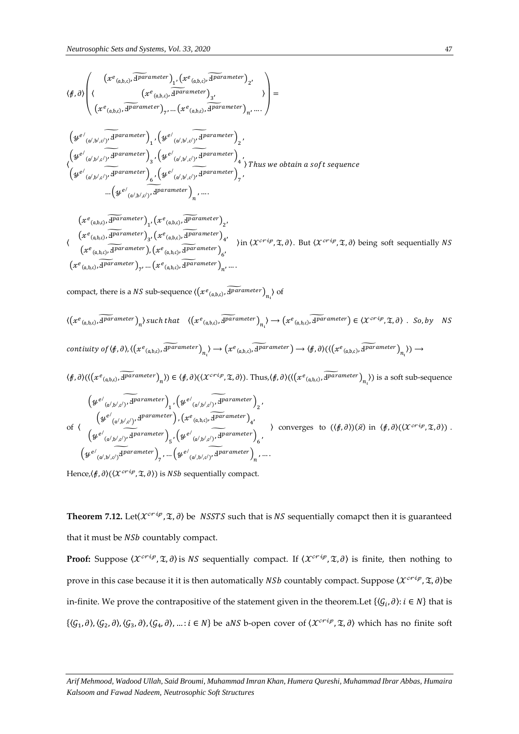$$
\langle \beta, \partial \rangle \left( \langle x^e_{(a,b,c)}, \overline{\Psi^{arameter}} \rangle_{1}, \langle x^e_{(a,b,c)}, \overline{\Psi^{arameter}} \rangle_{2}, \right) =
$$
\n
$$
\langle x^e_{(a,b,c)}, \overline{\Psi^{arameter}} \rangle_{7}, \dots, \langle x^e_{(a,b,c)}, \overline{\Psi^{arameter}} \rangle_{n}, \dots \rangle
$$
\n
$$
\langle \Psi^{e'}_{(a',b',c')}, \overline{\Psi^{arameter}} \rangle_{1}, \langle \Psi^{e'}_{(a',b',c')}, \overline{\Psi^{arameter}} \rangle_{2}, \langle \Psi^{e'}_{(a',b',c')}, \overline{\Psi^{arameter}} \rangle_{4}, \langle \Psi^{e'}_{(a',b',c')}, \overline{\Psi^{arameter}} \rangle_{4}, \rangle
$$
\n
$$
\langle \Psi^{e'}_{(a',b',c')}, \overline{\Psi^{arameter}} \rangle_{3}, \langle \Psi^{e'}_{(a',b',c')}, \overline{\Psi^{arameter}} \rangle_{4}, \rangle
$$
\n
$$
\langle \Psi^{e'}_{(a',b',c')}, \overline{\Psi^{arameter}} \rangle_{6}, \langle \Psi^{e'}_{(a',b',c')}, \overline{\Psi^{arameter}} \rangle_{7}, \dots, \langle \Psi^{e'}_{(a',b',c')}, \overline{\Psi^{arameter}} \rangle_{n}, \dots
$$

$$
(x^{e_{(a,b,c)}, \overline{d}parameter})_{1}, (x^{e_{(a,b,c)}, \overline{d}parameter})_{2},
$$
\n
$$
(x^{e_{(a,b,c)}, \overline{d}parameter})_{3}, (x^{e_{(a,b,c)}, \overline{d}parameter})_{4}, \newline (x^{e_{(a,b,c)}, \overline{d}parameter})_{k}, (x^{e_{(a,b,c)}, \overline{d}parameter})_{6}, \newline (x^{e_{(a,b,c)}, \overline{d}parameter})_{7}, \ldots (x^{e_{(a,b,c)}, \overline{d}parameter})_{n}, \ldots
$$
\n
$$
(x^{e_{(a,b,c)}, \overline{d}parameter})_{7}, \ldots (x^{e_{(a,b,c)}, \overline{d}parameter})_{n}, \ldots
$$

compact, there is a *NS* sub-sequence  $\langle (x^e_{(a,b,c)}, \widetilde{4^{parameter}})_{n_i} \rangle$  of

$$
\langle (x^e_{(a,b,c)}, \overline{\Psi} \overline{\Psi} \overline{\Psi} \overline{\Psi} \overline{\Psi} \overline{\Psi} \overline{\Psi} \overline{\Psi} \overline{\Psi} \overline{\Psi} \overline{\Psi} \overline{\Psi} \overline{\Psi} \overline{\Psi} \overline{\Psi} \overline{\Psi} \overline{\Psi} \overline{\Psi} \overline{\Psi} \overline{\Psi} \overline{\Psi} \overline{\Psi} \overline{\Psi} \overline{\Psi} \overline{\Psi} \overline{\Psi} \overline{\Psi} \overline{\Psi} \overline{\Psi} \overline{\Psi} \overline{\Psi} \overline{\Psi} \overline{\Psi} \overline{\Psi} \overline{\Psi} \overline{\Psi} \overline{\Psi} \overline{\Psi} \overline{\Psi} \overline{\Psi} \overline{\Psi} \overline{\Psi} \overline{\Psi} \overline{\Psi} \overline{\Psi} \overline{\Psi} \overline{\Psi} \overline{\Psi} \overline{\Psi} \overline{\Psi} \overline{\Psi} \overline{\Psi} \overline{\Psi} \overline{\Psi} \overline{\Psi} \overline{\Psi} \overline{\Psi} \overline{\Psi} \overline{\Psi} \overline{\Psi} \overline{\Psi} \overline{\Psi} \overline{\Psi} \overline{\Psi} \overline{\Psi} \overline{\Psi} \overline{\Psi} \overline{\Psi} \overline{\Psi} \overline{\Psi} \overline{\Psi} \overline{\Psi} \overline{\Psi} \overline{\Psi} \overline{\Psi} \overline{\Psi} \overline{\Psi} \overline{\Psi} \overline{\Psi} \overline{\Psi} \overline{\Psi} \overline{\Psi} \overline{\Psi} \overline{\Psi} \overline{\Psi} \overline{\Psi} \overline{\Psi} \overline{\Psi} \overline{\Psi} \overline{\Psi} \overline{\Psi} \overline{\Psi} \overline{\Psi} \overline{\Psi} \overline{\Psi} \overline{\Psi} \overline{\Psi} \overline{\Psi} \overline{\Psi} \overline{\Psi} \overline{\Psi} \overline{\Psi} \overline{\Psi} \overline{\Psi} \overline{\Psi} \overline{\Psi} \overline{\Psi} \overline{\Psi} \overline{\Psi} \overline{\Psi} \overline{\Psi} \overline{\Psi} \overline{\Psi} \overline{\Psi} \overline{\Psi} \overline{\Psi} \overline{\Psi} \overline{\Psi} \overline{\Psi} \overline{\Psi} \overline{\Psi} \overline{\Psi} \overline{\Psi} \overline{\Psi} \overline{\
$$

of 
$$
\langle \psi^{e'}_{(\alpha',b',c')}, d^{parameter} \rangle
$$
,  $(x^e_{(\alpha,b,c)}, \overline{d^{parameter}})_4$ ,  
\n $\langle \psi^{e'}_{(\alpha',b',c')} d^{parameter} \rangle_{5}$ ,  $(y^{e'}_{(\alpha',b',c)}, \overline{d^{parameter}})_6$ ,  
\n $(y^{e'}_{(\alpha',b',c')} d^{parameter})_{7}$ , ...,  $(y^{e'}_{(\alpha',b',c')}, d^{parameter})_{n}$ , ....

Hence, $\langle f, \partial \rangle (\langle \mathcal{X}^{crip}, \mathfrak{T}, \partial \rangle)$  is  $NSh$  sequentially compact.

**Theorem 7.12.** Let $\langle \chi^{cri\varphi}, \mathfrak{T}, \partial \rangle$  be *NSSTS* such that is *NS* sequentially comapct then it is guaranteed that it must be NSb countably compact.

**Proof:** Suppose  $\langle \mathcal{X}^{crip}, \mathfrak{X}, \partial \rangle$  is NS sequentially compact. If  $\langle \mathcal{X}^{crip}, \mathfrak{X}, \partial \rangle$  is finite, then nothing to prove in this case because it it is then automatically *NSb* countably compact. Suppose  $\langle \mathcal{X}^{crip}, \mathfrak{X}, \partial \rangle$ be in-finite. We prove the contrapositive of the statement given in the theorem.Let  $\{(\mathcal{G}_i, \partial) : i \in N\}$  that is  $\{\langle \mathcal{G}_1,\partial \rangle,\langle \mathcal{G}_2,\partial \rangle,\langle \mathcal{G}_3,\partial \rangle,\langle \mathcal{G}_4,\partial \rangle,\ldots: i\in N\}$  be aNS b-open cover of  $\langle \mathcal{X}^{crip},\mathfrak{X},\partial \rangle$  which has no finite soft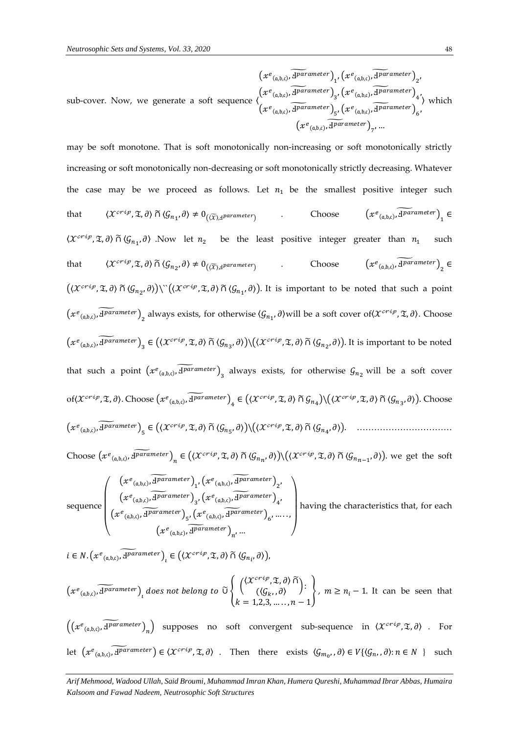sub-cover. Now, we generate a soft sequence 〈  $\left(x^e_{(\mathfrak a, \mathfrak b, \mathfrak c)}, \widetilde{{\rm\bf 1}^{parameter}}\right)_1, \left(x^e_{(\mathfrak a, \mathfrak b, \mathfrak c)}, \widetilde{{\rm\bf 1}^{parameter}}\right)_2,$  $\left(x^e_{(a,b,c)}, \widetilde{4^{parameter}}\right)_3, \left(x^e_{(a,b,c)}, \widetilde{4^{parameter}}\right)_4,$  $\left(x^e_{(\mathfrak{a},\mathfrak{b},\mathfrak{c})},\widetilde{\mathcal{I}^{parameter}}\right)_5, \left(x^e_{(\mathfrak{a},\mathfrak{b},\mathfrak{c})},\widetilde{\mathcal{I}^{parameter}}\right)_6,$  $(x)$  $\boldsymbol{e}$  $(a,b,c)$  $,\widetilde{\mathbf{d}^{parameter}}\big)_{7}$  ... 〉 which

may be soft monotone. That is soft monotonically non-increasing or soft monotonically strictly increasing or soft monotonically non-decreasing or soft monotonically strictly decreasing. Whatever the case may be we proceed as follows. Let  $n_1$  be the smallest positive integer such that  $\langle \mathcal{X}^{c r i p}, \mathfrak{T}, \partial \rangle \, \widetilde{\cap} \, \langle \mathcal{G}_{n_1}, \partial \rangle \neq 0_{\left(\langle \widetilde{\mathcal{X}} \rangle, A^{parameter}\right)}$ . Choose  $\left(x^e_{(a,b,c)}, \widetilde{4^{parameter}}\right)_1 \in$  $\langle \mathcal{X}^{crip}, \mathfrak{X}, \partial \rangle$   $\tilde{\cap}$   $\langle \mathcal{G}_{n_1}, \partial \rangle$  . Now let  $n_2$  be the least positive integer greater than  $n_1$  such that  $\langle \mathcal{X}^{crip}, \mathfrak{X}, \partial \rangle \widetilde{\cap} \langle \mathcal{G}_{n_2}, \partial \rangle \neq 0_{(\widetilde{\mathcal{X}}), A^{parameter}}$  . Choose  $\left( x^e_{(a,b,c)}, \widetilde{A^{parameter}} \right)_2 \in$  $((\mathcal{X}^{crip}, \mathfrak{X}, \partial) \cap (\mathcal{G}_{n_2}, \partial))$ \'' $((\mathcal{X}^{crip}, \mathfrak{X}, \partial) \cap (\mathcal{G}_{n_1}, \partial))$ . It is important to be noted that such a point  $(x^e_{(a,b,c)}, \widetilde{4^{parameter}})_2$  always exists, for otherwise  $\langle \mathcal{G}_{n_1}, \partial \rangle$  will be a soft cover of $(x^{cri}, \mathcal{I}, \partial)$ . Choose  $(x^e{}_{(a,b,c)}, \widetilde{4^{parameter}})_3 \in ((\mathcal{X}^{critp}, \mathfrak{T}, \partial) \cap (\mathcal{G}_{n_3}, \partial)) \setminus ((\mathcal{X}^{critp}, \mathfrak{T}, \partial) \cap (\mathcal{G}_{n_2}, \partial))$ . It is important to be noted that such a point  $(xe_{(a,b,c)}, \widetilde{H^{parameter}})_{3}$  always exists, for otherwise  $\mathcal{G}_{n_{2}}$  will be a soft cover  $of(X^{crip}, \mathfrak{T}, \partial)$ . Choose  $(xe_{(a,b,c)}, \widetilde{H^{parameter}})_4 \in ((X^{crip}, \mathfrak{T}, \partial) \cap G_{n_4}) \setminus ((X^{crip}, \mathfrak{T}, \partial) \cap G_{n_3}, \partial))$ . Choose ( (,,) , Ⅎ ) ̃ <sup>5</sup> <sup>∈</sup> (〈, , 〉 ∩̃ 〈5 , 〉)\(〈, , 〉 ∩̃ 〈4 , 〉). …………………………… Choose  $(x^e_{(a,b,c)}, \widetilde{d^{parameter}})_n \in ((x^{crip}, \mathfrak{X}, \partial) \cap \langle \mathcal{G}_{n_n}, \partial \rangle) \setminus ((x^{crip}, \mathfrak{X}, \partial) \cap \langle \mathcal{G}_{n_{n-1}}, \partial \rangle)$  we get the soft

sequence  $\bigwedge$  $\overline{\phantom{a}}$ L  $\left(x^e_{(a,b,c)}, \widetilde{4^{parameter}}\right)_1, \left(x^e_{(a,b,c)}, \widetilde{4^{parameter}}\right)_2,$  $\left(x^e_{(\mathfrak{a},\mathfrak{b},\mathfrak{c})},\widetilde{\mathcal{A}^{parameter}}\right)_3, \left(x^e_{(\mathfrak{a},\mathfrak{b},\mathfrak{c})},\widetilde{\mathcal{A}^{parameter}}\right)_4,$  $\left(x^e_{(a,b,c)}, \widetilde{4^{parameter}}\right)_{5}, \left(x^e_{(a,b,c)}, \widetilde{4^{parameter}}\right)_{6}, \ldots.$  $(xe_{(a,b,c)}, \overline{if \space parameter})_{n'} ...$  $\overline{\phantom{a}}$  $\overline{\phantom{a}}$ having the characteristics that, for each

 $i \in N$ .  $\left(x^e_{(a,b,c)}, \widetilde{A^{parameter}}\right)_i \in \left(\left\langle x^{crip}, \mathfrak{T}, \partial\right\rangle \widetilde{\cap} \langle \mathcal{G}_{n_i}, \partial \rangle\right)$ 

$$
(x^e_{(a,b,c)}, \widetilde{d}^{parameter})_t \text{ does not belong to } \widetilde{U} \left\{ \begin{pmatrix} (\mathcal{X}^{crit}, \mathfrak{X}, \partial) \widetilde{\cap} \\ ((\mathcal{G}_k, \partial)) \\ k = 1, 2, 3, \dots, n - 1 \end{pmatrix}, m \ge n_i - 1. \text{ It can be seen that}
$$

 $((x^e{}_{(a,b,c)}, \widetilde{{\bf H}^{parameter}})_n)$  supposes no soft convergent sub-sequence in  $\langle \mathcal{X}^{crip}, \mathfrak{X}, \partial \rangle$  . For let  $(xe_{(a,b,c)}, \widetilde{A^{parameter}}) \in \langle X^{cri\varphi}, \mathfrak{X}, \partial \rangle$  . Then there exists  $\langle \mathcal{G}_{m_0}, \partial \rangle \in V\{\langle \mathcal{G}_n, \partial \rangle : n \in N \}$  such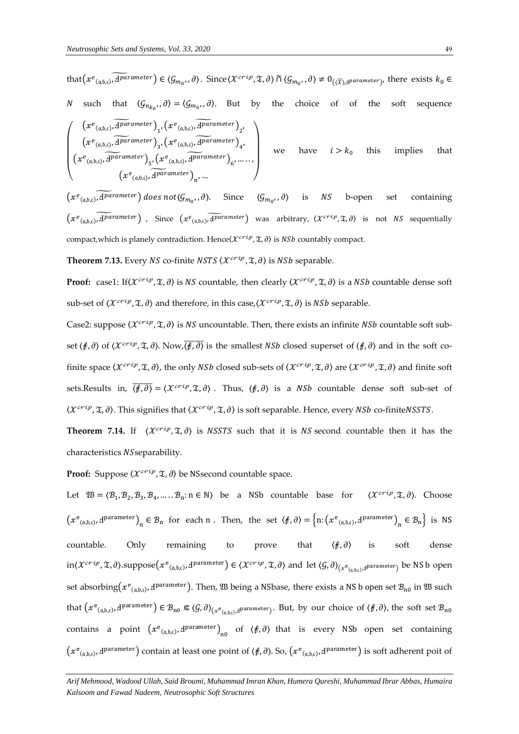$\bigwedge$ 

that $(xe_{(a,b,c)}, \widetilde{A^{parameter}}) \in \langle \mathcal{G}_{m_0}, \partial \rangle$ . Since $\langle \mathcal{X}^{crip}, \mathfrak{T}, \partial \rangle$  ñ  $\langle \mathcal{G}_{m_0}, \partial \rangle \neq 0_{(\widetilde{X}), d^{parameter}}$ , there exists  $k_0 \in$ *N* such that  $\langle G_{n_{k_0}}, \partial \rangle = \langle G_{m_0}, \partial \rangle$ . But by the choice of of the soft sequence  $\overline{\phantom{a}}$ L  $\left(x^e_{(a,b,c)}, \widetilde{4^{parameter}}\right)_1, \left(x^e_{(a,b,c)}, \widetilde{4^{parameter}}\right)_2,$  $\left(x^e_{(a,b,c)}, \widetilde{4^{parameter}}\right)_3, \left(x^e_{(a,b,c)}, \widetilde{4^{parameter}}\right)_4,$  $\left(x^e_{(a,b,c)}, \widetilde{4^{parameter}}\right)_{5'}\left(x^e_{(a,b,c)}, \widetilde{4^{parameter}}\right)_{6'}, \ldots$  $\left(x^e_{(a,b,c)}, \widetilde{H}^{parameter}\right)_{n'}...$  $\overline{\phantom{a}}$ -1 we have  $i > k_0$  this implies that

 $(xe_{(a,b,c)}, \widetilde{A}^{parameter})$  does not $\langle \mathcal{G}_{m_0}, \partial \rangle$ . Since  $\langle \mathcal{G}_{m_0}, \partial \rangle$  is NS b-open set containing  $(xe_{(a,b,c)}, \widetilde{aparameter})$ , Since  $(xe_{(a,b,c)}, \widetilde{aparameter})$  was arbitrary,  $\langle x^{crip}, \mathfrak{T}, \partial \rangle$  is not NS sequentially compact, which is planely contradiction. Hence  $\langle X^{crip}, \mathfrak{X}, \partial \rangle$  is *NSb* countably compact.

**Theorem 7.13.** Every *NS* co-finite *NSTS*  $\langle \mathcal{X}^{crip}, \mathcal{I}, \partial \rangle$  is *NSb* separable.

**Proof:** case1: If( $\mathcal{X}^{crip}, \mathcal{I}, \partial$ ) is NS countable, then clearly  $(\mathcal{X}^{crip}, \mathcal{I}, \partial)$  is a NSb countable dense soft sub-set of  $\langle \mathcal{X}^{crip}, \mathfrak{T}, \partial \rangle$  and therefore, in this case,  $\langle \mathcal{X}^{crip}, \mathfrak{T}, \partial \rangle$  is *NSb* separable.

Case2: suppose  $\langle X^{crip}, \mathfrak{T}, \partial \rangle$  is NS uncountable. Then, there exists an infinite NSb countable soft subset  $\langle f, \partial \rangle$  of  $\langle \chi^{cri\varphi}, \mathfrak{T}, \partial \rangle$ . Now,  $\overline{\langle f, \partial \rangle}$  is the smallest *NSb* closed superset of  $\langle f, \partial \rangle$  and in the soft cofinite space  $\langle X^{crip}, \mathfrak{T}, \partial \rangle$ , the only *NSb* closed sub-sets of  $\langle X^{crip}, \mathfrak{T}, \partial \rangle$  are  $\langle X^{crip}, \mathfrak{T}, \partial \rangle$  and finite soft sets.Results in,  $\overline{\langle f, \partial \rangle} = \langle \mathcal{X}^{crip}, \mathfrak{X}, \partial \rangle$ . Thus,  $\langle f, \partial \rangle$  is a NSb countable dense soft sub-set of  $\langle \mathcal{X}^{crip}, \mathfrak{X}, \partial \rangle$ . This signifies that  $\langle \mathcal{X}^{crip}, \mathfrak{X}, \partial \rangle$  is soft separable. Hence, every *NSb* co-finite*NSSTS*.

**Theorem 7.14.** If  $\langle \mathcal{X}^{crip}, \mathcal{I}, \partial \rangle$  is NSSTS such that it is NS second countable then it has the characteristics NSseparability.

**Proof:** Suppose  $\langle \mathcal{X}^{crip}, \mathcal{I}, \partial \rangle$  be NSsecond countable space.

Let  $\mathfrak{W} = \langle \mathcal{B}_1, \mathcal{B}_2, \mathcal{B}_3, \mathcal{B}_4, \dots, \mathcal{B}_n : n \in \mathbb{N} \rangle$  be a NSb countable base for  $\langle \mathcal{X}^{criy}, \mathfrak{X}, \partial \rangle$ . Choose  $(x^e_{(a,b,c)}, d^{parameter})_n \in \mathcal{B}_n$  for each n. Then, the set  $\langle f, \partial \rangle = \{n: (x^e_{(a,b,c)}, d^{parameter})_n \in \mathcal{B}_n\}$  is NS countable. Only remaining to prove that  $\langle f, \partial \rangle$  is soft dense in( $\chi^{crip}$ , X, ∂). $\mathrm{suppose}\big(x^\mathrm{e}_{(\mathfrak{a},\mathfrak{b},\mathfrak{c})}$ , d $^\mathrm{parameter}\big)\in\langle\mathcal{X}^{crip},$  X, ∂) and let  $\langle\mathcal{G},\partial\rangle_{(x^\mathrm{e}_{(\mathfrak{a},\mathfrak{b},\mathfrak{c})}$ ,dparameter $)}$  be NS b open set absorbing $(x^e{}_{(a,b,c)},$  I $^{parameter}$ ). Then,  $\frak B$  being a NSbase, there exists a NS b open set  $\cal B_{n0}$  in  $\frak B$  such that  $\left(x^{e}{}_{(a,b,c)},x^{parameter}\right)\in {\mathcal{B}}_{\mathrm{n0}}\Subset \left<{\mathcal{G},\partial}\right>_{\left(x^{e}{}_{(a,b,c)},x^{parameter}\right)}.$  But, by our choice of  $\left<{\mathcal{f},\partial}\right>$ , the soft set  ${\mathcal{B}}_{\mathrm{n0}}$ contains a point  $(x^e_{(a,b,c)}, d^{parameter})_{n0}$  of  $\langle f, \partial \rangle$  that is every NSb open set containing  $(xe_{(a,b,c)},d^{parameter})$  contain at least one point of  $(f,\partial)$ . So,  $(xe_{(a,b,c)},d^{parameter})$  is soft adherent poit of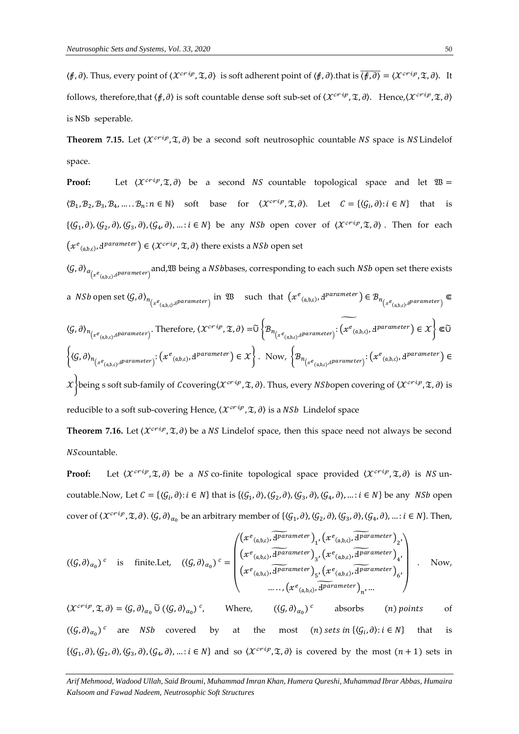$\langle f, \partial \rangle$ . Thus, every point of  $\langle \mathcal{X}^{cri\varphi}, \mathfrak{X}, \partial \rangle$  is soft adherent point of  $\langle f, \partial \rangle$ . that is  $\overline{\langle f, \partial \rangle} = \langle \mathcal{X}^{cri\varphi}, \mathfrak{X}, \partial \rangle$ . It follows, therefore,that  $\langle f, \partial \rangle$  is soft countable dense soft sub-set of  $\langle \mathcal{X}^{crip}, \mathfrak{T}, \partial \rangle$ . Hence, $\langle \mathcal{X}^{crip}, \mathfrak{T}, \partial \rangle$ is NSb seperable.

**Theorem 7.15.** Let  $\langle \mathcal{X}^{crip}, \mathcal{I}, \partial \rangle$  be a second soft neutrosophic countable NS space is NS Lindelof space.

**Proof:** Let  $\langle \mathcal{X}^{crip}, \mathcal{X}, \partial \rangle$  be a second NS countable topological space and let  $\mathfrak{W} =$  $\langle B_1, B_2, B_3, B_4, \dots, B_n : n \in \mathbb{N} \rangle$  soft base for  $\langle \mathcal{X}^{c} \gamma^{c} \gamma, \mathcal{X}, \partial \rangle$ . Let  $C = \{ \langle G_i, \partial \rangle : i \in \mathbb{N} \}$  that is  $\{\langle \mathcal{G}_1, \partial \rangle, \langle \mathcal{G}_2, \partial \rangle, \langle \mathcal{G}_3, \partial \rangle, \langle \mathcal{G}_4, \partial \rangle, \dots : i \in N\}$  be any NSb open cover of  $\langle \mathcal{X}^{crip}, \mathfrak{X}, \partial \rangle$ . Then for each  $(x^e_{(a,b,c)}, d^{parameter}) \in \langle \mathcal{X}^{cri\varphi}, \mathfrak{X}, \partial \rangle$  there exists a *NSb* open set

 $\langle G, \partial \rangle_{\alpha_{\left(x^e_{(a,b,c)},d}$ parameter $\right)}$ and, $\frak W$  being a NSbbases, corresponding to each such NSb open set there exists

a *NSb* open set  $\langle G, \partial \rangle_{n_{(x^e_{(a,b,c)},d} parameter)}$  in  $\mathfrak{W}$  such that  $(x^e{}_{(a,b,c)},d^{parameter}) \in \mathcal{B}_{n_{(x^e_{(a,b,c)},d} parameter)}$ 

$$
\langle \mathcal{G}, \partial \rangle_{n_{\left(x^e(a,b,c),d^{parameter}\right)}}. \text{Therefore, } \langle \chi^{critp}, \mathfrak{X}, \partial \rangle = \tilde{U} \left\{ \mathcal{B}_{n_{\left(x^e(a,b,c),d^{parameter}\right)}}: \widetilde{\left(x^e_{(a,b,c)},d^{parameter}\right)} \in \mathcal{X} \right\} \in \tilde{U}
$$
\n
$$
\left\{ \langle \mathcal{G}, \partial \rangle_{n_{\left(x^e(a,b,c),d^{parameter}\right)}}: \left(x^e_{(a,b,c)},d^{parameter}\right): \left(x^e_{(a,b,c)},d^{parameter}\right) \in \mathcal{X} \right\}. \text{ Now, } \left\{ \mathcal{B}_{n_{\left(x^e(a,b,c),d^{parameter}\right)}}: \left(x^e_{(a,b,c)},d^{parameter}\right) \in \mathcal{X} \right\} \in \tilde{U}
$$

 $\mathcal{X}$  being s soft sub-family of Ccovering( $\mathcal{X}^{crip}$ ,  $\mathfrak{X}, \partial$ ). Thus, every NSbopen covering of  $\langle \mathcal{X}^{crip}, \mathfrak{X}, \partial \rangle$  is reducible to a soft sub-covering Hence,  $\langle \mathcal{X}^{crip}, \mathfrak{X}, \partial \rangle$  is a NSb Lindelof space

**Theorem 7.16.** Let  $\langle \mathcal{X}^{crip}, \mathcal{I}, \partial \rangle$  be a NS Lindelof space, then this space need not always be second NScountable.

**Proof:** Let  $\langle \mathcal{X}^{crip}, \mathfrak{X}, \partial \rangle$  be a NS co-finite topological space provided  $\langle \mathcal{X}^{crip}, \mathfrak{X}, \partial \rangle$  is NS uncoutable.Now, Let  $C = \{(\mathcal{G}_i, \partial): i \in N\}$  that is  $\{(\mathcal{G}_1, \partial), (\mathcal{G}_2, \partial), (\mathcal{G}_3, \partial), (\mathcal{G}_4, \partial), \dots : i \in N\}$  be any *NSb* open cover of  $\langle X^{crip}, \mathfrak{T}, \partial \rangle$ .  $\langle \mathcal{G}, \partial \rangle_{\alpha_0}$  be an arbitrary member of  $\{\langle \mathcal{G}_1, \partial \rangle, \langle \mathcal{G}_2, \partial \rangle, \langle \mathcal{G}_3, \partial \rangle, \langle \mathcal{G}_4, \partial \rangle, \dots : i \in N\}$ . Then,

$$
(\langle \mathcal{G}, \partial \rangle_{\alpha_0})^c \text{ is finite.} \text{Let, } (\langle \mathcal{G}, \partial \rangle_{\alpha_0})^c = \begin{pmatrix} (x^e_{(a,b,c)}, \overline{\text{H\nu}a} \text{parameter})_1, (x^e_{(a,b,c)}, \overline{\text{H\nu}a} \text{ometer})_2, \\ (x^e_{(a,b,c)}, \overline{\text{H\nu}a} \text{ometer})_3, (x^e_{(a,b,c)}, \overline{\text{H\nu}a} \text{ometer})_4, \\ (x^e_{(a,b,c)}, \overline{\text{H\nu}a} \text{ometer})_5, (x^e_{(a,b,c)}, \overline{\text{H\nu}a} \text{ometer})_6, \\ \dots, (x^e_{(a,b,c)}, \overline{\text{H\nu}a} \text{meter})_n, \dots \end{pmatrix} . \text{ Now,}
$$

 $\langle \mathcal{X}^{crip}, \mathfrak{X}, \partial \rangle = \langle \mathcal{G}, \partial \rangle_{\alpha_0} \widetilde{\cup} (\langle \mathcal{G}, \partial \rangle_{\alpha_0})^c$ , Where,  $(\langle \mathcal{G}, \partial \rangle_{\alpha_0})^c$  absorbs (*n*) points of  $((\mathcal{G}, \partial)_{\alpha_0})^c$  are *NSb* covered by at the most  $(n)$  sets in  $\{(\mathcal{G}_i, \partial) : i \in N\}$  that is  $\{\langle \mathcal{G}_1, \partial \rangle, \langle \mathcal{G}_2, \partial \rangle, \langle \mathcal{G}_3, \partial \rangle, \langle \mathcal{G}_4, \partial \rangle, \dots : i \in N\}$  and so  $\langle \mathcal{X}^{crip}, \mathfrak{X}, \partial \rangle$  is covered by the most  $(n+1)$  sets in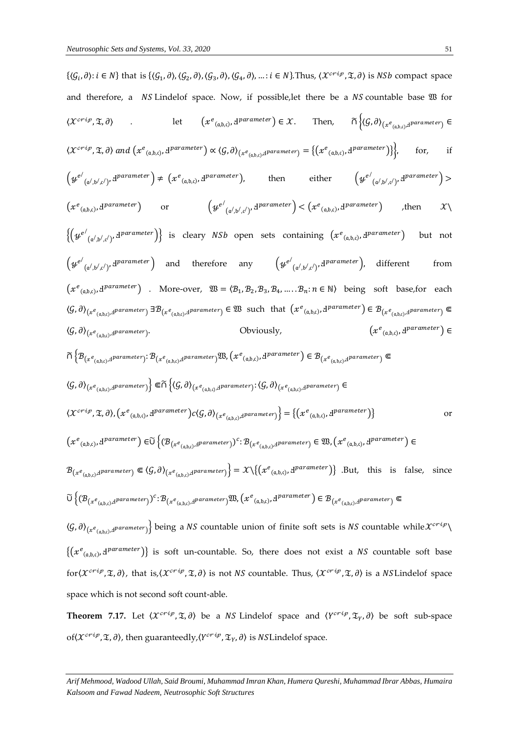$\{\langle G_i, \partial \rangle : i \in N\}$  that is  $\{\langle G_1, \partial \rangle, \langle G_2, \partial \rangle, \langle G_3, \partial \rangle, \langle G_4, \partial \rangle, \dots : i \in N\}$ . Thus,  $\langle \mathcal{X}^{crip}, \mathfrak{X}, \partial \rangle$  is NSb compact space and therefore, a  $NS$  Lindelof space. Now, if possible, let there be a  $NS$  countable base  $\mathfrak M$  for  $\langle \mathcal{X}^{crip}, \mathcal{Z}, \partial \rangle$  let  $e_{(a,b,c)}$ ,  $A^{parameter}$   $\in \mathcal{X}$ . Then,  $\widetilde{\cap} \langle \mathcal{G}, \partial \rangle$  $(x^e_{(a,b,c),d}$ parameter $) \in$  $\langle \mathcal{X}^{crip}, \mathfrak{T}, \partial \rangle$  and  $\left( x^e_{(a,b,c)}, A^{parameter} \right) \propto \langle \mathcal{G}, \partial \rangle_{(x^e_{(a,b,c)}, A^{parameter})} = \{ (x^e_{(a,b,c)}, A^{parameter}) \} \}, \qquad \text{for,} \qquad \text{if}$  $\left(y^{e^{\prime}}\right)$  $(a',b',c')$ ,  $d'p$ arameter  $\Big) \neq (x^e_{(a,b,c)},d)$ parameter), then either  $(y^{e^t})$  $\mathcal{A}_{(a^{\prime},b^{\prime},c^{\prime})},\mathcal{A}^{parameter}$ ) >  $(xe_{(a,b,c)}, \mathbf{d}^{parameter})$  or  $(y$  $e^/$  $\left( \begin{smallmatrix} \alpha / , \mathfrak{b} / , \mathfrak{c} / \end{smallmatrix} \right)$ ,  $\mathbf{H}^{parameter}$  ) <  $\left( x^e_{(a,b,c)}, \mathbf{H}^{parameter} \right)$  , then  $\mathcal{X} \setminus$  $\{(\mathit{\mathit{y}}^{e\prime}% )\}_{i=1}^{k}$  $(a',b',c')$ ,  $d^{parameter}$  is cleary NSb open sets containing  $(x^e_{(a,b,c)},d^{parameter})$  but not  $\left(y^{e^{\prime}}\right)$  $(\alpha', \beta', c')$ ,  $d^{parameter}$  and therefore any  $(\psi^{e'})$  $(a',b',c')$ ,  $d^{parameter}$ , different from  $(x^e_{(a,b,c)}, d^{parameter})$  . More-over,  $\mathfrak{W} = \langle \mathcal{B}_1, \mathcal{B}_2, \mathcal{B}_3, \mathcal{B}_4, \dots, \mathcal{B}_n : n \in \mathbb{N} \rangle$  being soft base, for each  $\langle \mathcal{G}, \partial \rangle_{(x^e_{(a,b,c)},d}$ parameter $)}$   $\exists \mathcal{B}_{(x^e_{(a,b,c)},d}$ parameter $)} \in \mathfrak{W}$  such that  $(x^e_{(a,b,c)},d^{parameter}) \in \mathcal{B}_{(x^e_{(a,b,c)},d}$ parameter $)}$   $\in$  $\langle \mathcal{G}, \partial \rangle_{\left(x^e_{(\mathfrak{a}, \mathfrak{b}, \mathfrak{c})}, \mathfrak{d}^{parameter}\right)}$ Obviously,  $e_{(\mathfrak{a},\mathfrak{b},\mathfrak{c})}$ , H<sup>parameter</sup>)  $\in$  $\widetilde{\cap}\left\{\mathcal{B}_{(x^e_{(a,b,c)},d^{\text{parameter}})}\text{: } \mathcal{B}_{(x^e_{(a,b,c)},d^{\text{parameter}})}\mathfrak{W},\left(x^e_{(a,b,c)},d^{\text{parameter}}\right)\in \mathcal{B}_{(x^e_{(a,b,c)},d^{\text{parameter}})}\subset \mathcal{B}_{(x^e_{(a,b,c)},d^{\text{parameter}})}\right\}$  $\langle \mathcal{G}, \partial \rangle_{(x^e_{(a,b,c)},d}$ parameter $\rangle$  $\}$   $\in$   $\widetilde \cap$   $\big\{ \langle \mathcal{G}, \partial \rangle_{(x^e_{(a,b,c)},d}$ parameter $\rangle$ :  $\langle \mathcal{G}, \partial \rangle_{(x^e_{(a,b,c)},d}$ parameter $\rangle$   $\in$  $\langle \mathcal{X}^{crip}, \mathfrak{X}, \partial \rangle, \left( x^e_{(a,b,c)}, A^{parameter} \right) c \langle \mathcal{G}, \partial \rangle_{\left( x^e_{(a,b,c)}, A^{parameter} \right)} \} = \left\{ \left( x^e_{(a,b,c)}, A^{parameter} \right) \right\}$  $\bigl(x^e_{~(\mathfrak a, \mathfrak b, \mathfrak c)}, \mathrm d^{parameter}\bigr) \in \widetilde{\cup} \left\{ ( \mathcal{B}_{(x^e_{~(\mathfrak a, \mathfrak b, \mathfrak c)}, \mathrm d^{parameter})})^c \colon \mathcal{B}_{(x^e_{~(\mathfrak a, \mathfrak b, \mathfrak c)}, \mathrm d^{parameter})} \in \mathfrak{W}, \bigl(x^e_{~(\mathfrak a, \mathfrak b, \mathfrak c)}, \mathrm d^{parameter}\bigr) \in \right\}$  $\mathcal{B}_{(x^e_{(a,b,c)},d^{\text{parameter}})} \subseteq \langle \mathcal{G}, \partial \rangle_{(x^e_{(a,b,c)},d^{\text{parameter}})} \} = \mathcal{X} \setminus \{ (x^e_{(a,b,c)},d^{\text{parameter}}) \}$ . But, this is false, since  $\widetilde{\cup} \left\{ (\mathcal{B}_{\left(x^e_{({\mathfrak{a}}, {\mathfrak{b}}, {\mathfrak{c}})}, {\mathfrak{a}}^{parameter})})^c \colon \mathcal{B}_{\left(x^e_{({\mathfrak{a}}, {\mathfrak{b}}, {\mathfrak{c}})} \text{,} d^{{parameter}}\right)} \mathfrak{M}, \left(x^e_{({\mathfrak{a}}, {\mathfrak{b}}, {\mathfrak{c}})}, {\mathfrak{a}}^{parameter}\right) \in \mathcal{B}_{\left(x^e_{({\mathfrak{a}}, {\mathfrak{b}}, {\mathfrak{c}})}, {\mathfrak{a}}^{parameter}\right)} \Subset$  $\langle G, \partial \rangle_{(x^e_{(a,b,c)},d}$ parameter $)\Big\}$  being a  $NS$  countable union of finite soft sets is  $NS$  countable while $\mathcal{X}^{crip}\setminus$  $\{(x^e_{(a,b,c)},d^{parameter})\}$  is soft un-countable. So, there does not exist a NS countable soft base for $\langle \chi^{crip}, \mathfrak{T}, \partial \rangle$ , that is,  $\langle \chi^{crip}, \mathfrak{T}, \partial \rangle$  is not NS countable. Thus,  $\langle \chi^{crip}, \mathfrak{T}, \partial \rangle$  is a NSLindelof space space which is not second soft count-able.

**Theorem 7.17.** Let  $\langle X^{crip}, \mathfrak{T}, \partial \rangle$  be a NS Lindelof space and  $\langle Y^{crip}, \mathfrak{T}_Y, \partial \rangle$  be soft sub-space of( $\mathcal{X}^{crip}$ ,  $\mathfrak{X}, \partial$ ), then guaranteedly, $\langle Y^{crip}, \mathfrak{T}_{Y}, \partial \rangle$  is NSLindelof space.

*Arif Mehmood, Wadood Ullah, Said Broumi, Muhammad Imran Khan, Humera Qureshi, Muhammad Ibrar Abbas, Humaira Kalsoom and Fawad Nadeem, Neutrosophic Soft Structures*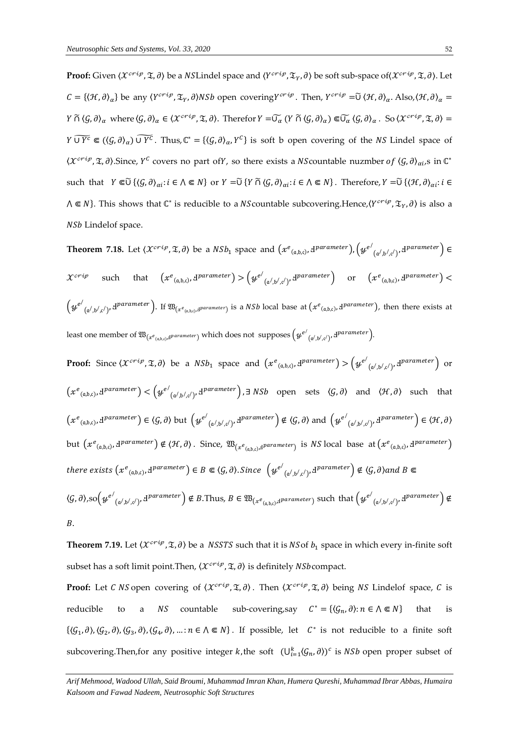$\bf{Proof:}$  Given  $\langle X^{crip},\mathfrak{T},\partial\rangle$  be a  $NSL$ indel space and  $\langle Y^{crip},\mathfrak{T}_Y,\partial\rangle$  be soft sub-space of $\langle X^{crip},\mathfrak{T},\partial\rangle.$  Let  $C = {\langle \mathcal{H}, \partial \rangle_{\alpha}}$  be any  $\langle Y^{cri\varphi}, \mathfrak{T}_{\gamma}, \partial \rangle NSh$  open covering  $Y^{cri\varphi}$ . Then,  $Y^{cri\varphi} = \tilde{U} \langle \mathcal{H}, \partial \rangle_{\alpha}$ . Also,  $\langle \mathcal{H}, \partial \rangle_{\alpha} =$  $Y \cap (\mathcal{G}, \partial)_{\alpha}$  where  $\langle \mathcal{G}, \partial \rangle_{\alpha} \in \langle \mathcal{X}^{cri\rho}, \mathfrak{T}, \partial \rangle$ . Therefor  $Y = \widetilde{\cup_{\alpha}} (Y \cap (\mathcal{G}, \partial)_{\alpha}) \Subset \widetilde{\cup_{\alpha}} (\mathcal{G}, \partial)_{\alpha}$ . So  $\langle \mathcal{X}^{cri\rho}, \mathfrak{T}, \partial \rangle = 0$  $Y \overline{U} \overline{Y^c} \in ((\mathcal{G}, \partial)_{\alpha}) \widetilde{U} \overline{Y^c}$ . Thus,  $\mathbb{C}^* = (\langle \mathcal{G}, \partial \rangle_{\alpha}, Y^c \}$  is soft b open covering of the NS Lindel space of  $\langle X^{crip}, \mathfrak{T}, \partial \rangle$ . Since,  $Y^c$  covers no part of Y, so there exists a NS countable nuzmber of  $\langle \mathcal{G}, \partial \rangle_{\alpha i}$ , s in  $\mathbb{C}^*$ such that  $Y \in \widetilde{U} \{ \langle \mathcal{G}, \partial \rangle_{\alpha i} : i \in \Lambda \subseteq N \}$  or  $Y = \widetilde{U} \{ Y \cap \langle \mathcal{G}, \partial \rangle_{\alpha i} : i \in \Lambda \subseteq N \}$ . Therefore,  $Y = \widetilde{U} \{ \langle \mathcal{H}, \partial \rangle_{\alpha i} : i \in \Lambda \}$  $\Lambda \subseteq N$ }. This shows that  $\mathbb{C}^*$  is reducible to a NScountable subcovering.Hence, $\langle Y^{crip}, \mathfrak{T}_{Y}, \partial \rangle$  is also a NS<sub>b</sub> Lindelof space.

**Theorem 7.18.** Let  $\langle X^{crip},\mathfrak{T},\partial\rangle$  be a  $NSh_{1}$  space and  $\bigl(x^{e}_{(\mathfrak{a},\mathfrak{b},\mathfrak{c})},\mathrm{d}^{parameter}\bigr)$ ,  $\bigl(y^{e^{f}}$  $(a^{\prime},b^{\prime},c^{\prime})^{\prime}$  d<sup>parameter</sup>)  $\in$  $\mathcal{X}^{c r i p}$  such that  $\left( x^{e}_{(\mathfrak{a}, \mathfrak{b}, \mathfrak{c})}, \mathrm{d}^{parameter} \right) > \left( y^{e^f} \right)$  $(\alpha^j, b^j, c^j)$ ,  $d^\text{parameter}$  or  $(x^e_{(\alpha, b, c)}, d^\text{parameter}) <$  $\left(y^{e'}\right)$  $_{(\alpha',\beta',c')'}$ ,  $d^{parameter}$ ). If  $\mathfrak{W}_{(x^e_{(\alpha,\beta,c)},d^{parameter})}$  is a *NSb* local base at  $(x^e_{(\alpha,\beta,c)},d^{parameter})$ , then there exists at least one member of  $\mathfrak{W}_{(x^e_{(\mathfrak{a},\mathfrak{b},c)},d^{parameter})}$  which does not  $\,$  supposes  $\big(\mathcal{y}^{e'}_{(\mathfrak{a}',\mathfrak{b}',c')},d^{parameter}\big).$ 

**Proof:** Since  $\langle \mathcal{X}^{crip}, \mathfrak{X}, \partial \rangle$  be a  $NSh_1$  space and  $\left( x^e_{(a,b,c)}, A^{parameter} \right) > \left( y^{e^{\prime}} \right)$  $(a',b',c')$ ,  $d'$ <sup>parameter</sup>) or  $\left( x^{e_{\left( a,b,c\right) },d}^{~p \textit{arame} \textit{ter} } \right) < \left( y^{e^{\prime}}_{~~p}\right)$  $_{(\alpha',\beta',c')},$   $d^{parameter}$ ,  $\exists$  *NSb* open sets  $\langle \mathcal{G}, \partial \rangle$  and  $\langle \mathcal{H}, \partial \rangle$  such that  $(x^e_{(a,b,c)}, A^{parameter}) \in \langle \mathcal{G}, \partial \rangle$  but  $(y^{e^{\prime}})$  $\chi_{\mathsf{a}',\mathsf{b}',\mathsf{c}'}$ ,  $\mathrm{d}^{parameter}$   $\neq \langle \mathcal{G}, \partial \rangle$  and  $\left( y^{e'} \right)$  $\left( \begin{smallmatrix} \mathfrak{a}', \mathfrak{b}', \mathfrak{c}' \end{smallmatrix} \right), \mathbf{d}^{parameter} \end{smallmatrix} \in \langle \mathcal{H}, \partial \rangle$ but  $(x^e{}_{(a,b,c)},d^{parameter}) \notin \langle \mathcal{H}, \partial \rangle$ . Since,  $\mathfrak{W}_{(x^e{}_{(a,b,c)},d^{parameter})}$  is NS local base at  $(x^e{}_{(a,b,c)},d^{parameter})$ there exists  $(x^e{}_{(a,b,c)}, 4^{parameter}) \in B \Subset \langle \mathcal{G}, \partial \rangle$ . Since  $\left( y^{e'} \right)$  $_{(\mathfrak{a}', \mathfrak{b}', \mathfrak{c}')}.$  H<sup>parameter</sup>  $\Big) \notin \langle \mathcal{G}, \partial \rangle$ and B  $\langle \mathcal{G}, \partial \rangle,$ so $\left( y^{e^f} \right)$  $(a',b',c')$ ,  $d^{parameter}$   $\notin B$ . Thus,  $B \in \mathfrak{W}_{(x^e_{(a,b,c)},d^{parameter})}$  such that  $(\psi^{e'}$  $(a^{\prime},b^{\prime},c^{\prime})$ ,  $\mathrm{d}^{parameter}$ )  $\notin$  $B$ .

**Theorem 7.19.** Let  $\langle \mathcal{X}^{crip}, \mathcal{I}, \partial \rangle$  be a *NSSTS* such that it is *NSof b<sub>1</sub>* space in which every in-finite soft subset has a soft limit point. Then,  $\langle \mathcal{X}^{crip}, \mathfrak{X}, \partial \rangle$  is definitely NSb compact.

**Proof:** Let C NS open covering of  $\langle \mathcal{X}^{crip}, \mathfrak{X}, \partial \rangle$ . Then  $\langle \mathcal{X}^{crip}, \mathfrak{X}, \partial \rangle$  being NS Lindelof space, C is reducible to a *NS* countable sub-covering,say  $C^* = \{(\mathcal{G}_n, \partial) : n \in \Lambda \subseteq N\}$  that is  $\{\langle \mathcal{G}_1, \partial \rangle, \langle \mathcal{G}_2, \partial \rangle, \langle \mathcal{G}_3, \partial \rangle, \langle \mathcal{G}_4, \partial \rangle, \dots : n \in \Lambda \subseteq N\}$ . If possible, let  $C^*$  is not reducible to a finite soft subcovering. Then, for any positive integer k, the soft  $(U_{i=1}^k \langle \mathcal{G}_n, \partial \rangle)^c$  is NSb open proper subset of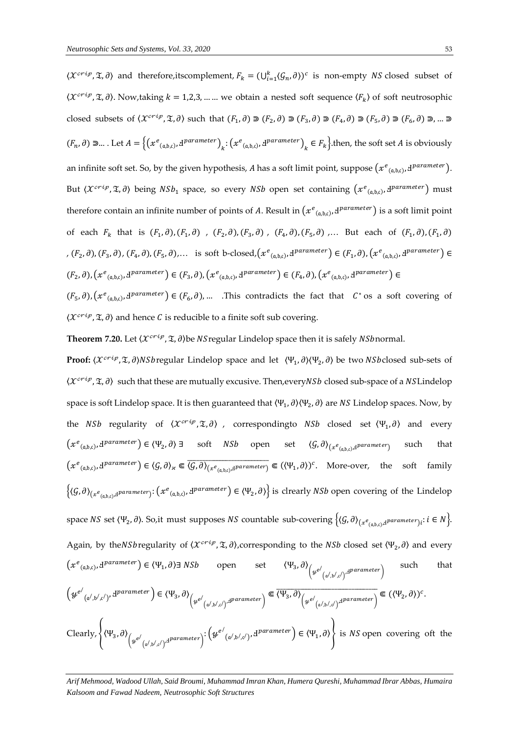$\langle \mathcal{X}^{crip}, \mathfrak{X}, \partial \rangle$  and therefore, its complement,  $F_k = (\bigcup_{i=1}^k (G_n, \partial))^{c}$  is non-empty NS closed subset of  $\langle \mathcal{X}^{crip}, \mathfrak{X}, \partial \rangle$ . Now,taking  $k = 1, 2, 3, ...$  we obtain a nested soft sequence  $\langle F_k \rangle$  of soft neutrosophic closed subsets of  $\langle X^{c r i p}, \mathfrak{T}, \partial \rangle$  such that  $(F_1, \partial) \supset (F_2, \partial) \supset (F_3, \partial) \supset (F_4, \partial) \supset (F_5, \partial) \supset (F_6, \partial) \supset ... \supset$  $(F_n, \partial) \ni...$  Let  $A = \left\{ (x^e_{(a,b,c)}, A^{parameter})_k : (x^e_{(a,b,c)}, A^{parameter})_k \in F_k \right\}$ . then, the soft set A is obviously an infinite soft set. So, by the given hypothesis, *A* has a soft limit point, suppose  $(x^e_{(a,b,c)}, d^{parameter})$ . But  $\langle X^{crip}, \mathfrak{T}, \partial \rangle$  being  $NSh_1$  space, so every  $NSh$  open set containing  $\left( x^{e}\right._{(a,b,c)},d^{parameter}\right)$  must therefore contain an infinite number of points of A. Result in  $(xe_{(a,b,c)},d^{parameter})$  is a soft limit point of each  $F_k$  that is  $(F_1, \partial), (F_1, \partial)$ ,  $(F_2, \partial), (F_3, \partial)$ ,  $(F_4, \partial), (F_5, \partial)$ ,... But each of  $(F_1, \partial), (F_1, \partial)$ ,  $(F_2, \partial), (F_3, \partial), (F_4, \partial), (F_5, \partial), \ldots$  is soft b-closed,  $(x^e_{(a,b,c)}, d^{parameter}) \in (F_1, \partial), (x^e_{(a,b,c)}, d^{parameter}) \in$  $(F_2, \partial), \left(x^e_{(a,b,c)}, A^{parameter}\right) \in (F_3, \partial), \left(x^e_{(a,b,c)}, A^{parameter}\right) \in (F_4, \partial), \left(x^e_{(a,b,c)}, A^{parameter}\right) \in$  $(F_5, \partial), (x^e_{(a,b,c)}, d^{parameter}) \in (F_6, \partial), \dots$  This contradicts the fact that  $C^*$  os a soft covering of

 $\langle \mathcal{X}^{crip}, \mathfrak{X}, \partial \rangle$  and hence C is reducible to a finite soft sub covering.

**Theorem 7.20.** Let  $\langle \mathcal{X}^{crip}, \mathcal{I}, \partial \rangle$  be NS regular Lindelop space then it is safely NS bnormal.

**Proof:**  $\langle X^{crip}, \mathfrak{T}, \partial \rangle$ NSbregular Lindelop space and let  $\langle \Psi_1, \partial \rangle \langle \Psi_2, \partial \rangle$  be two NSbclosed sub-sets of  $\langle X^{crip}, \mathfrak{T}, \partial \rangle$  such that these are mutually excusive. Then, every NSb closed sub-space of a NSL indelop space is soft Lindelop space. It is then guaranteed that  $\langle \Psi_1, \partial \rangle \langle \Psi_2, \partial \rangle$  are NS Lindelop spaces. Now, by the *NSb* regularity of  $\langle \mathcal{X}^{crip}, \mathfrak{T}, \partial \rangle$  , correspondingto *NSb* closed set  $\langle \Psi_1, \partial \rangle$  and every  $(x^e{}_{(a,b,c)}, d^{parameter}) \in \langle \Psi_2, \partial \rangle$  3 soft *NSb* open set  $\langle \mathcal{G}, \partial \rangle_{(x^e{}_{(a,b,c)}, d^{parameter})}$ such that  $(x^e_{(a,b,c)}, d^{parameter}) \in \langle G, \partial \rangle_{\chi} \subset \overline{\langle G, \partial \rangle_{(x^e_{(a,b,c)}, d^{parameter})}} \subset (\langle \Psi_1, \partial \rangle)^c$ . More-over, the soft family  $\{(G,\partial)_{(x^e_{(a,b,c)},d^{\text{parameter}})}: (x^e_{(a,b,c)},d^{\text{parameter}}) \in (\Psi_2,\partial)\}\$ is clrearly *NSb* open covering of the Lindelop space  $NS$  set  $\langle \Psi_2, \partial \rangle$ . So,it must supposes  $NS$  countable sub-covering  $\big\{\langle \mathcal{G}, \partial \rangle_{(x^e_{(\mathfrak{a}, \mathfrak{b}, c)}, \mathfrak{d}^{parameter})_i} : i \in N \big\}$ . Again, by the *NSb* regularity of  $\langle \mathcal{X}^{crip}, \mathfrak{X}, \partial \rangle$ , corresponding to the *NSb* closed set  $\langle \Psi_2, \partial \rangle$  and every  $(xe_{(a,b,c)}, d^{parameter}) \in \langle \Psi_1, \partial \rangle \exists NSh$  open set  $\langle \Psi_3 \rangle$ ,  $\partial \rangle_{\scriptstyle \left( y^{e'_{}}\right)}$  $(a', b', c')'$ <sup>Hparameter</sup> that  $\left(y^{e^{\prime}}\right)$  $(\mathfrak{a}',\mathfrak{b}',\mathfrak{c}')$ ,  $\mathrm{d}^{parameter}$  )  $\in \langle \Psi_3, \partial \rangle_{\left(\mathcal{H}^{e'}\right)}$  $\left( \begin{smallmatrix} \begin{smallmatrix} a\end{smallmatrix} , \begin{smallmatrix} b\end{smallmatrix} \end{smallmatrix} \right) \overset{\text{a} \textit{parameter}}{=} \right) \in \overline{\langle \Psi_3, \partial \rangle}_{\left( \begin{smallmatrix} ye\end{smallmatrix} \right)}$  $\overline{\langle \Psi_3, \partial \rangle}_{\left\langle \mu^{e'}_{\left( \alpha', b', c' \right) \rangle} \text{d}^{parameter} \right\rangle} \in (\langle \Psi_2, \partial \rangle)^c.$ Clearly,  $\left\langle \Psi_3, \partial \right\rangle_{\left(y^{e^{\prime}}\right)}$  $_{(\alpha^{\prime},\mathfrak{b}^{\prime},\mathfrak{c}^{\prime})^{\cdot}}$ d $^{parameter})^{\vdots \left(y^{e^{\prime}}\right)^{\cdot}}$  $(\alpha', \beta', c')$ ,  $d^{parameter}$   $\in \langle \Psi_1, \partial \rangle$  is *NS* open covering oft the

*Arif Mehmood, Wadood Ullah, Said Broumi, Muhammad Imran Khan, Humera Qureshi, Muhammad Ibrar Abbas, Humaira Kalsoom and Fawad Nadeem, Neutrosophic Soft Structures*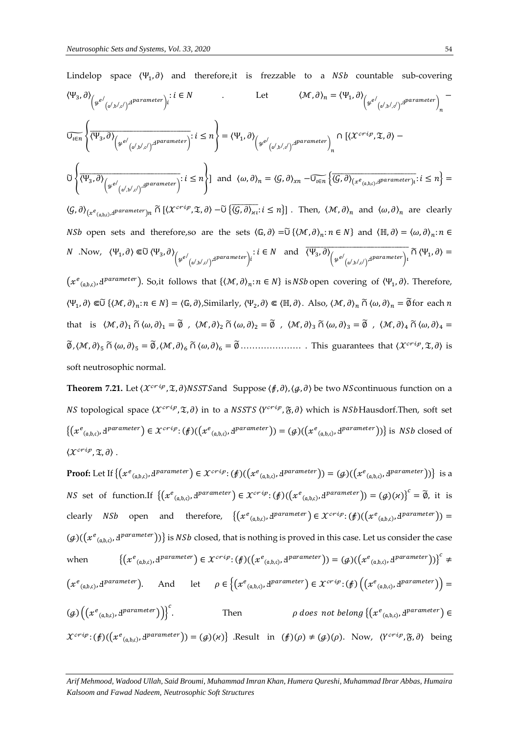Lindelop space (Ψ<sub>1</sub>, *∂*) and therefore, it is frezzable to a *NSD* countable sub-covering

\n
$$
\langle \Psi_{3}, \partial \rangle_{\left(\mu^{e'}(\alpha', b', c')\right)^{\text{d}parameter}}: i \in N
$$
\nLet

\n
$$
\langle \mathcal{M}, \partial \rangle_{n} = \langle \Psi_{1}, \partial \rangle_{\left(\mu^{e'}(\alpha', b', c')\right)^{\text{d}parameter}}: \int_{n} \langle \mathcal{M}, \partial \rangle_{n} = \langle \Psi_{1}, \partial \rangle_{\left(\mu^{e'}(\alpha', b', c')\right)^{\text{d}parameter}} = \int_{n} \langle \mathcal{M}, \partial \rangle_{\left(\mu^{e'}(\alpha', b', c')\right)^{\text{d}parameter}} \rangle_{n} - \int_{n} \langle \mathcal{M}, \partial \rangle_{\left(\mu^{e'}(\alpha', b', c')\right)^{\text{d}parameter}}: i \leq n \right\} = \langle \Psi_{1}, \partial \rangle_{\left(\mu^{e'}(\alpha', b', c')\right)^{\text{d}parameter}}: i \leq n \right\}
$$
\nand

\n
$$
\langle \mathcal{M}, \partial \rangle_{n} = \langle \mathcal{G}, \partial \rangle_{x_{n}} - \overline{\mathcal{U}_{\{E\}} \{ \langle \mathcal{G}, \partial \rangle_{(x^{e}(\alpha, b, c)) \text{d}parenter}}: i \leq n \} = \langle \mathcal{G}, \partial \rangle_{(x^{e}(\alpha, b, c)) \text{d}parenter}} \rangle_{n} \cdot i \leq n \cdot \int_{n} \langle \mathcal{M}, \partial \rangle_{n} = \langle \mathcal{G}, \partial \rangle_{(x^{e}(\alpha, b, c)) \text{d}parenter}} \cdot i \leq n \cdot \int_{n} \langle \mathcal{M}, \partial \rangle_{n} = \langle \mathcal{M}, \partial \rangle_{n}
$$
\nand

\n
$$
\langle \mathcal{M}, \partial \rangle_{n} = \langle \mathcal{M}, \partial \rangle_{n} = \langle \mathcal{M}, \partial \rangle_{n} = \langle \mathcal{M}, \partial \rangle_{n} = \langle \mathcal{M}, \partial \rangle_{n} = \langle \mathcal{M}, \partial \rangle_{n} = \langle \mathcal{M}, \partial \rangle_{n} = \langle \mathcal{M}, \partial \rangle_{n}
$$

**Theorem 7.21.** Let  $\langle \mathcal{X}^{crip}, \mathcal{I}, \partial \rangle$ NSSTS and Suppose  $\langle f, \partial \rangle$ ,  $\langle g, \partial \rangle$  be two NS continuous function on a NS topological space  $\langle X^{crip},\mathfrak{T},\partial\rangle$  in to a NSSTS  $\langle Y^{crip},\mathfrak{F},\partial\rangle$  which is NSbHausdorf.Then, soft set  $\{(x^e_{(a,b,c)},d^{\text{parameter}}) \in \mathcal{X}^{crip}: (\text{$f$})((x^e_{(a,b,c)},d^{\text{parameter}})) = (g)((x^e_{(a,b,c)},d^{\text{parameter}}))\}$  is NSb closed of  $\langle \mathcal{X}^{crip}, \mathfrak{X}, \partial \rangle$ .

**Proof:** Let If  $\{(x^e_{(a,b,c)}, d^{\text{parameter}}) \in \mathcal{X}^{crip} : (\text{$f$})((x^e_{(a,b,c)}, d^{\text{parameter}})) = (g)((x^e_{(a,b,c)}, d^{\text{parameter}}))\}$  is a *NS* set of function.If  $\{(x^e_{(a,b,c)}, d^{parameter}) \in \mathcal{X}^{crip} : (f)((x^e_{(a,b,c)}, d^{parameter})) = (g)(\varkappa)\}^c = \widetilde{\emptyset}$ , it is clearly NSb open and therefore,  $\{(x^e_{(a,b,c)}, d^{parameter}) \in \mathcal{X}^{crip} : (f)((x^e_{(a,b,c)}, d^{parameter})) =$  $(g)((x^e_{(a,b,c)},d^{parameter}))$  is *NSb* closed, that is nothing is proved in this case. Let us consider the case when  $(e_{(a,b,c)}, A^{\text{parameter}}) \in \mathcal{X}^{c}_{}^{i}$ ;  $(\mathcal{f})((\mathcal{X}^{e}_{(a,b,c)}, A^{\text{parameter}})) = (\mathcal{G})((\mathcal{X}^{e}_{(a,b,c)}, A^{\text{parameter}}))\}^{c}$  $(x^e_{(a,b,c)}, d^{parameter})$ . And let  $\rho \in \{(x^e_{(a,b,c)}, d^{parameter}) \in \mathcal{X}^{crip} : (\not{E}) ((x^e_{(a,b,c)}, d^{parameter})) =$  $(g)\left(\left(x^e_{(a,b,c)},A^{parameter}\right)\right)\right)^c$ . Then  $\rho$  does not belong  $\{ (x^e_{(a,b,c)}, d^{parameter}) \in$  $\mathcal{X}^{crip}$ :  $(f)$ ( $(x^e_{(a,b,c)},d^{parameter})$ ) =  $(g)(\kappa)\}$  .Result in  $(f)(\rho) \neq (g)(\rho)$ . Now,  $\langle Y^{crip}, \mathfrak{F}, \partial \rangle$  being

*Arif Mehmood, Wadood Ullah, Said Broumi, Muhammad Imran Khan, Humera Qureshi, Muhammad Ibrar Abbas, Humaira Kalsoom and Fawad Nadeem, Neutrosophic Soft Structures*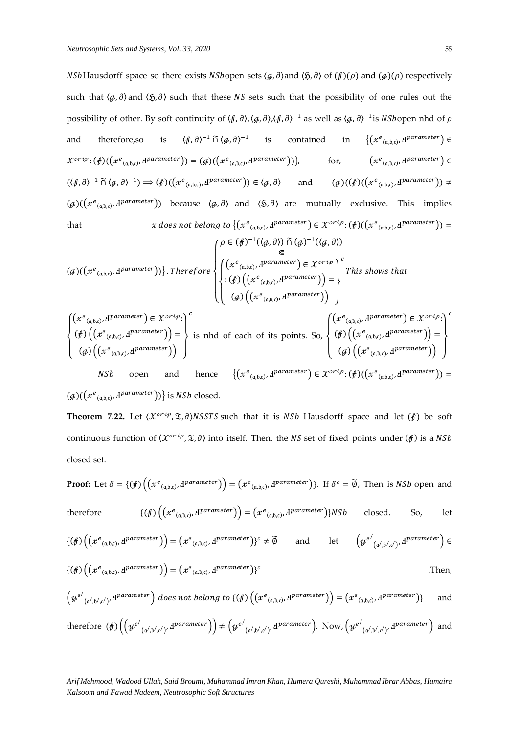*NSb*Hausdorff space so there exists *NSbopen* sets  $\langle q, \partial \rangle$  and  $\langle \xi, \partial \rangle$  of  $(f)(\rho)$  and  $(g)(\rho)$  respectively such that  $\langle \varphi, \partial \rangle$  and  $\langle \mathfrak{H}, \partial \rangle$  such that these *NS* sets such that the possibility of one rules out the possibility of other. By soft continuity of  $(\nmid \theta, \partial), (\nmid \theta, \partial)$ , $(\nmid \theta, \partial)^{-1}$  as well as  $(\nmid \theta, \partial)^{-1}$ is NSbopen nhd of  $\rho$ and therefore,so is  $\langle f, \partial \rangle^{-1} \cap \langle g, \partial \rangle^{-1}$  is contained in  $\{(x^e_{(a,b,c)}, A^{parameter})\in$  $\mathcal{X}^{crip}$ :  $(f)$ ( $(x^e{}_{(a,b,c)},d^{parameter})$ ) =  $(g)$ ( $(x^e{}_{(a,b,c)},d^{parameter})$ )}, for,  $(x^e{}_{(a,b,c)},d^{parameter}) \in$  $((\nexists, \partial)^{-1} \cap (\mathcal{G}, \partial)^{-1}) \Rightarrow (\nexists) ((x^e_{(a,b,c)}, d^{parameter})) \in (\mathcal{G}, \partial)$  and  $(\mathcal{G})((\nexists) ((\nexists e_{(a,b,c)}, d^{parameter})) \neq$  $(g)$ ( $(x^e_{(a,b,c)}, d^{parameter})$ ) because  $\langle g, \partial \rangle$  and  $\langle \mathfrak{H}, \partial \rangle$  are mutually exclusive. This implies that  $x\ does\ not\ belong\ to\ \{ (x^e_{(a,b,c)}, d^{parameter}) \in \mathcal{X}^{cri\varphi} : (\beta) ((x^e_{(a,b,c)}, d^{parameter})) =$ 

$$
(\mathcal{G})((x^e_{(a,b,c)}, d^{parameter}))\}.\nTherefore\n\begin{cases}\n\rho \in (\mathcal{f})^{-1}(\langle \mathcal{G}, \partial \rangle) \cap (\mathcal{G})^{-1}(\langle \mathcal{G}, \partial \rangle) \\
\in \\
(\mathcal{F}^e_{(a,b,c)}, d^{parameter}) \in \mathcal{X}^{crip} \\
\in (\mathcal{f})((x^e_{(a,b,c)}, d^{parameter})) \\
\in (\mathcal{G})((x^e_{(a,b,c)}, d^{parameter}))\n\end{cases}\n\begin{cases}\n\rho \in (\mathcal{f})^{-1}(\langle \mathcal{G}, \partial \rangle) \cap (\mathcal{G})^{-1}(\langle \mathcal{G}, \partial \rangle) \\
\in \mathcal{F}^{crip} \\
\in (\mathcal{G})^{-1}(\langle \mathcal{G}, \partial \rangle) \cap (\langle \mathcal{F}^e_{(a,b,c)}, d^{parameter}))\n\end{cases}
$$

$$
\begin{cases}\n\left(x^e_{(a,b,c)}, \mathbf{d}^{parameter}\right) \in \mathcal{X}^{crip:}\n\end{cases}\n\begin{cases}\n\left(\oint \left(\left(x^e_{(a,b,c)}, \mathbf{d}^{parameter}\right) \in \mathcal{X}^{crip:}\right)\n\right) & \text{is } \text{nhd of each of its points. So,}\n\left(\oint \left(\left(x^e_{(a,b,c)}, \mathbf{d}^{parameter}\right) \in \mathcal{X}^{crip:}\right)\n\right) & \text{is } \left(\oint \left(\left(x^e_{(a,b,c)}, \mathbf{d}^{parameter}\right) \in \mathcal{X}^{crip:}\n\right)\n\right) & \text{is } \left(\oint \left(\left(x^e_{(a,b,c)}, \mathbf{d}^{parameter}\right) \in \mathcal{X}^{crip:}\n\right)\n\right) & \text{is } \left(\oint \left(x^e_{(a,b,c)}, \mathbf{d}^{parameter}\right) \in \mathcal{X}^{crip:}\n\right)\n\end{cases}
$$

 $(g)((x^e_{(a,b,c)},d^{parameter}))\}$  is *NSb* closed.

**Theorem 7.22.** Let  $\langle \mathcal{X}^{crip}, \mathcal{I}, \partial \rangle$ NSSTS such that it is NSb Hausdorff space and let  $(f)$  be soft continuous function of  $\langle \mathcal{X}^{crip}, \mathfrak{X}, \partial \rangle$  into itself. Then, the NS set of fixed points under  $(f)$  is a NSb closed set.

Proof: Let 
$$
\delta = \{(\textbf{f}) \left( (x^e_{(a,b,c)}, 1^{parameter}) \right) = (x^e_{(a,b,c)}, 1^{parameter}) \}
$$
. If  $\delta^c = \tilde{\emptyset}$ , Then is NSb open and  
\ntherefore\n
$$
\{(\textbf{f}) \left( (x^e_{(a,b,c)}, 1^{parameter}) \right) = (x^e_{(a,b,c)}, 1^{parameter}) \} \text{NSb} \qquad \text{closed.} \qquad \text{So,} \qquad \text{let}
$$
\n
$$
\{(\textbf{f}) \left( (x^e_{(a,b,c)}, 1^{parameter}) \right) = (x^e_{(a,b,c)}, 1^{parameter}) \}^c \neq \tilde{\emptyset} \qquad \text{and} \qquad \text{let} \qquad \left( y^{e'}_{(a',b',c')}, 1^{parameter} \right) \in
$$
\n
$$
\{(\textbf{f}) \left( (x^e_{(a,b,c)}, 1^{parameter}) \right) = (x^e_{(a,b,c)}, 1^{parameter}) \}^c \neq \tilde{\emptyset} \qquad \text{and} \qquad \text{let} \qquad \left( y^{e'}_{(a',b',c')}, 1^{parameter} \right) \in
$$
\n
$$
\{ (\textbf{f}) \left( (x^e_{(a',b',c')}, 1^{parameter} \right) \} = (x^e_{(a,b,c)}, 1^{parameter} \right) \}^c \qquad \text{Then,}
$$
\n
$$
\{ (y^{e'}_{(a',b',c')}, 1^{parameter} \} \text{does not belong to } \{ (\textbf{f}) \left( (x^e_{(a,b,c)}, 1^{parameter} \right) \} = (x^e_{(a,b,c)}, 1^{parameter} \right) \text{ and}
$$
\n
$$
\text{therefore } (\textbf{f}) \left( (y^{e'}_{(a',b',c')}, 1^{parameter} \right) \neq (y^{e'}_{(a',b',c')}, 1^{parameter} \right). \text{ Now, } (y^{e'}_{(a',b',c')}, 1^{parameter} \right) \text{ and}
$$

*Arif Mehmood, Wadood Ullah, Said Broumi, Muhammad Imran Khan, Humera Qureshi, Muhammad Ibrar Abbas, Humaira Kalsoom and Fawad Nadeem, Neutrosophic Soft Structures*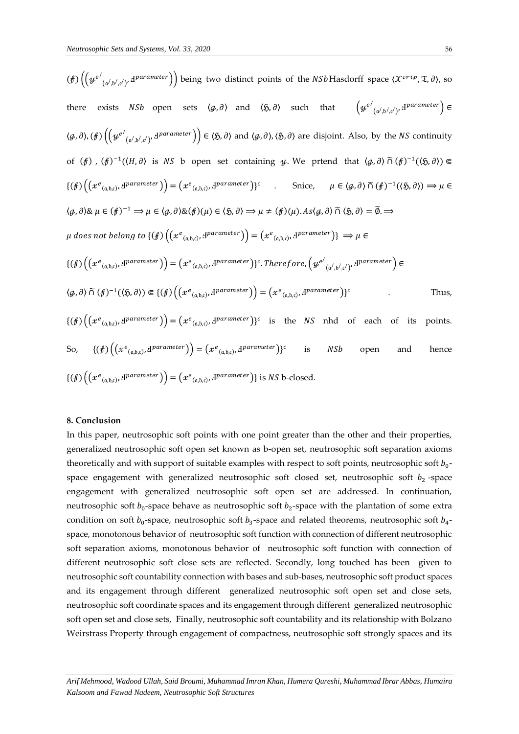$\sqrt{ }$ 

 $\sqrt{2}$ 

$$
(f) \left( \left( \psi^{e'}_{(a',b',c')}, d^{parameter} \right) \right) \text{ being two distinct points of the } NSb\text{Hasdorff space } (\mathcal{X}^{crit}, \mathcal{X}, \partial), \text{ so}
$$
\nthere exists *NSb* open sets  $\langle \mathcal{G}, \partial \rangle$  and  $\langle \mathcal{S}, \partial \rangle$  such that  $\left( \psi^{e'}_{(a',b',c')}, d^{parameter} \right) \in$ \n
$$
\langle \mathcal{G}, \partial), (f) \left( \left( \psi^{e'}_{(a',b',c')}, d^{parameter} \right) \right) \in \langle \mathcal{S}, \partial \rangle \text{ and } \langle \mathcal{G}, \partial \rangle, \langle \mathcal{S}, \partial \rangle \text{ are disjoint. Also, by the } NS \text{ continuity}
$$
\n
$$
(f) \left( \mathcal{X}^{e_{(a,b,c)}, d^{parameter}} \right) \right) = \left( \mathcal{X}^{e_{(a,b,c)}, d^{parameter}} \right) \in \left( \mathcal{S}, \partial \right) \text{ and } \langle \mathcal{G}, \partial \rangle, \langle \mathcal{S}, \partial \rangle \text{ are disjoint. Also, by the } NS \text{ continuity}
$$
\n
$$
(\{f\}) \left( \left( \mathcal{X}^{e_{(a,b,c)}, d^{parameter} \right) \right) = \left( \mathcal{X}^{e_{(a,b,c)}, d^{parameter} \right) \in \mathcal{S}} \right) \in \left( \mathcal{S}, \partial \right) \in \left( \{f\} \right) \left( \left( \mathcal{X}^{e_{(a,b,c)}, d^{parameter} \right) \right) \in \left( \mathcal{S}, \partial \right) \in \mathcal{S} \right) \in \left( \mathcal{S}, \partial \right) \cap \left( \{f\} \right)^{-1} \left( \langle \mathcal{S}, \partial \rangle \right) \Rightarrow \mu \in \left( \{f\} \right) \left( \left( \mathcal{X}^{e_{(a,b,c)}, d^{parameter} \right) \right) = \left( \mathcal{X}^{e_{(a,b,c)}, d^{parameter} \right) \in \left( \{f\} \right) \left( \left( \mathcal{X}^{e_{(a,b,c)}, d^{parameter} \right) \right) \in \left( \{f\} \left( \left( \mathcal{X}^{e_{(a,b,c)}, d^{
$$

### **8. Conclusion**

In this paper, neutrosophic soft points with one point greater than the other and their properties, generalized neutrosophic soft open set known as b-open set, neutrosophic soft separation axioms theoretically and with support of suitable examples with respect to soft points, neutrosophic soft  $b_0$ space engagement with generalized neutrosophic soft closed set, neutrosophic soft  $b_2$ -space engagement with generalized neutrosophic soft open set are addressed. In continuation, neutrosophic soft  $b_0$ -space behave as neutrosophic soft  $b_2$ -space with the plantation of some extra condition on soft  $b_0$ -space, neutrosophic soft  $b_3$ -space and related theorems, neutrosophic soft  $b_4$ space, monotonous behavior of neutrosophic soft function with connection of different neutrosophic soft separation axioms, monotonous behavior of neutrosophic soft function with connection of different neutrosophic soft close sets are reflected. Secondly, long touched has been given to neutrosophic soft countability connection with bases and sub-bases, neutrosophic soft product spaces and its engagement through different generalized neutrosophic soft open set and close sets, neutrosophic soft coordinate spaces and its engagement through different generalized neutrosophic soft open set and close sets, Finally, neutrosophic soft countability and its relationship with Bolzano Weirstrass Property through engagement of compactness, neutrosophic soft strongly spaces and its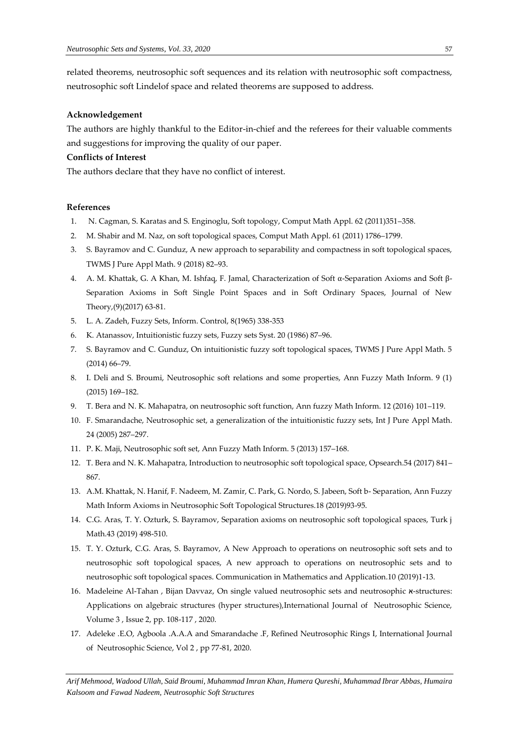related theorems, neutrosophic soft sequences and its relation with neutrosophic soft compactness, neutrosophic soft Lindelof space and related theorems are supposed to address.

#### **Acknowledgement**

The authors are highly thankful to the Editor-in-chief and the referees for their valuable comments and suggestions for improving the quality of our paper.

## **Conflicts of Interest**

The authors declare that they have no conflict of interest.

### **References**

- 1. N. Cagman, S. Karatas and S. Enginoglu, Soft topology, Comput Math Appl. 62 (2011)351–358.
- 2. M. Shabir and M. Naz, on soft topological spaces, Comput Math Appl. 61 (2011) 1786–1799.
- 3. S. Bayramov and C. Gunduz, A new approach to separability and compactness in soft topological spaces, TWMS J Pure Appl Math. 9 (2018) 82–93.
- 4. A. M. Khattak, G. A Khan, M. Ishfaq, F. Jamal, Characterization of Soft α-Separation Axioms and Soft β-Separation Axioms in Soft Single Point Spaces and in Soft Ordinary Spaces, Journal of New Theory,(9)(2017) 63-81.
- 5. L. A. Zadeh, Fuzzy Sets, Inform. Control, 8(1965) 338-353
- 6. K. Atanassov, Intuitionistic fuzzy sets, Fuzzy sets Syst. 20 (1986) 87–96.
- 7. S. Bayramov and C. Gunduz, On intuitionistic fuzzy soft topological spaces, TWMS J Pure Appl Math. 5 (2014) 66–79.
- 8. I. Deli and S. Broumi, Neutrosophic soft relations and some properties, Ann Fuzzy Math Inform. 9 (1) (2015) 169–182.
- 9. T. Bera and N. K. Mahapatra, on neutrosophic soft function, Ann fuzzy Math Inform. 12 (2016) 101–119.
- 10. F. Smarandache, Neutrosophic set, a generalization of the intuitionistic fuzzy sets, Int J Pure Appl Math. 24 (2005) 287–297.
- 11. P. K. Maji, Neutrosophic soft set, Ann Fuzzy Math Inform. 5 (2013) 157–168.
- 12. T. Bera and N. K. Mahapatra, Introduction to neutrosophic soft topological space, Opsearch.54 (2017) 841– 867.
- 13. A.M. Khattak, N. Hanif, F. Nadeem, M. Zamir, C. Park, G. Nordo, S. Jabeen, Soft b- Separation, Ann Fuzzy Math Inform Axioms in Neutrosophic Soft Topological Structures.18 (2019)93-95.
- 14. C.G. Aras, T. Y. Ozturk, S. Bayramov, Separation axioms on neutrosophic soft topological spaces, Turk j Math.43 (2019) 498-510.
- 15. T. Y. Ozturk, C.G. Aras, S. Bayramov, A New Approach to operations on neutrosophic soft sets and to neutrosophic soft topological spaces, A new approach to operations on neutrosophic sets and to neutrosophic soft topological spaces. Communication in Mathematics and Application.10 (2019)1-13.
- 16. Madeleine Al-Tahan , Bijan Davvaz, On single valued neutrosophic sets and neutrosophic  $x$ -structures: Applications on algebraic structures (hyper structures),International Journal of Neutrosophic Science, Volume 3 , Issue 2, pp. 108-117 , 2020.
- 17. Adeleke .E.O, Agboola .A.A.A and Smarandache .F, Refined Neutrosophic Rings I, International Journal of Neutrosophic Science, Vol 2 , pp 77-81, 2020.